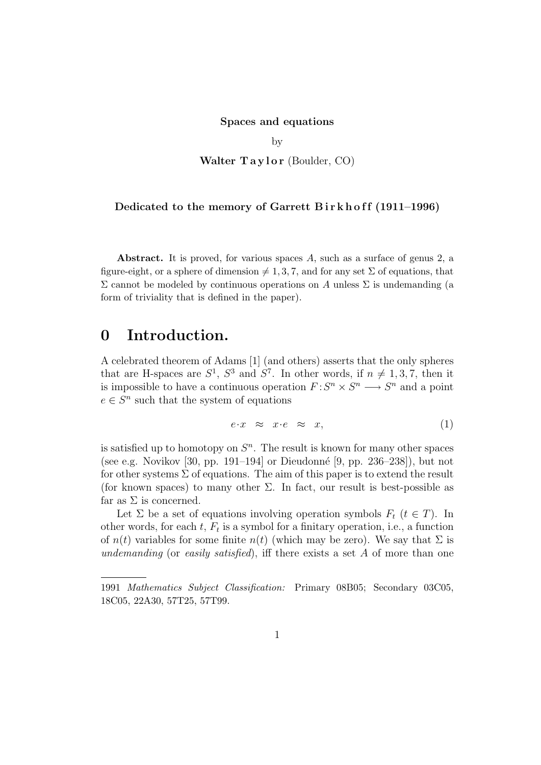#### Spaces and equations

by

Walter  $Taylor$  (Boulder, CO)

#### Dedicated to the memory of Garrett Birkhoff  $(1911-1996)$

Abstract. It is proved, for various spaces A, such as a surface of genus 2, a figure-eight, or a sphere of dimension  $\neq 1, 3, 7$ , and for any set  $\Sigma$  of equations, that Σ cannot be modeled by continuous operations on A unless Σ is undemanding (a form of triviality that is defined in the paper).

## 0 Introduction.

A celebrated theorem of Adams [1] (and others) asserts that the only spheres that are H-spaces are  $S^1$ ,  $S^3$  and  $S^7$ . In other words, if  $n \neq 1, 3, 7$ , then it is impossible to have a continuous operation  $F: S^n \times S^n \longrightarrow S^n$  and a point  $e \in S^n$  such that the system of equations

$$
e \cdot x \quad \approx \quad x \cdot e \quad \approx \quad x,\tag{1}
$$

is satisfied up to homotopy on  $S<sup>n</sup>$ . The result is known for many other spaces (see e.g. Novikov [30, pp. 191–194] or Dieudonn´e [9, pp. 236–238]), but not for other systems  $\Sigma$  of equations. The aim of this paper is to extend the result (for known spaces) to many other  $\Sigma$ . In fact, our result is best-possible as far as  $\Sigma$  is concerned.

Let  $\Sigma$  be a set of equations involving operation symbols  $F_t$  ( $t \in T$ ). In other words, for each  $t$ ,  $F_t$  is a symbol for a finitary operation, i.e., a function of  $n(t)$  variables for some finite  $n(t)$  (which may be zero). We say that  $\Sigma$  is undemanding (or easily satisfied), iff there exists a set  $A$  of more than one

<sup>1991</sup> Mathematics Subject Classification: Primary 08B05; Secondary 03C05, 18C05, 22A30, 57T25, 57T99.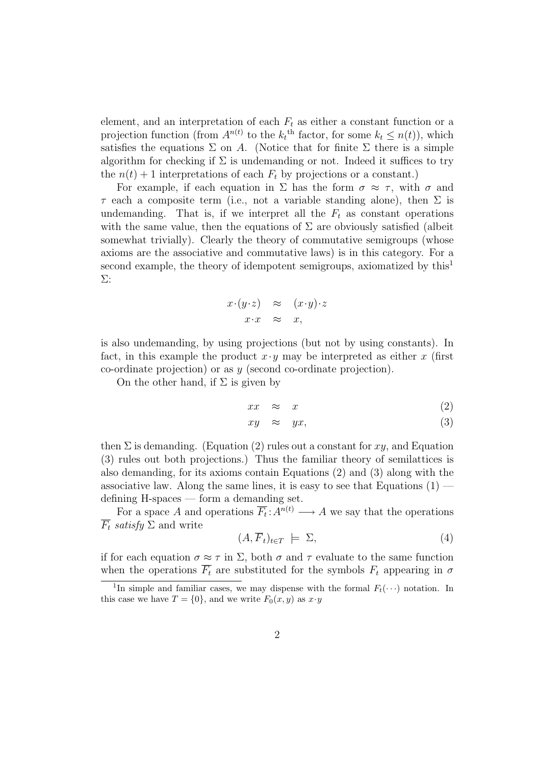element, and an interpretation of each  $F_t$  as either a constant function or a projection function (from  $A^{n(t)}$  to the  $k_t$ <sup>th</sup> factor, for some  $k_t \leq n(t)$ ), which satisfies the equations  $\Sigma$  on A. (Notice that for finite  $\Sigma$  there is a simple algorithm for checking if  $\Sigma$  is undemanding or not. Indeed it suffices to try the  $n(t) + 1$  interpretations of each  $F_t$  by projections or a constant.)

For example, if each equation in  $\Sigma$  has the form  $\sigma \approx \tau$ , with  $\sigma$  and  $\tau$  each a composite term (i.e., not a variable standing alone), then  $\Sigma$  is undemanding. That is, if we interpret all the  $F_t$  as constant operations with the same value, then the equations of  $\Sigma$  are obviously satisfied (albeit somewhat trivially). Clearly the theory of commutative semigroups (whose axioms are the associative and commutative laws) is in this category. For a second example, the theory of idempotent semigroups, axiomatized by this<sup>1</sup> Σ:

$$
x \cdot (y \cdot z) \quad \approx \quad (x \cdot y) \cdot z
$$

$$
x \cdot x \quad \approx \quad x,
$$

is also undemanding, by using projections (but not by using constants). In fact, in this example the product  $x \cdot y$  may be interpreted as either x (first co-ordinate projection) or as y (second co-ordinate projection).

On the other hand, if  $\Sigma$  is given by

$$
xx \approx x \tag{2}
$$

$$
xy \approx yx, \tag{3}
$$

then  $\Sigma$  is demanding. (Equation (2) rules out a constant for  $xy$ , and Equation (3) rules out both projections.) Thus the familiar theory of semilattices is also demanding, for its axioms contain Equations (2) and (3) along with the associative law. Along the same lines, it is easy to see that Equations  $(1)$ defining H-spaces — form a demanding set.

For a space A and operations  $\overline{F_t}: A^{n(t)} \longrightarrow A$  we say that the operations  $\overline{F_t}$  satisfy  $\Sigma$  and write

$$
(A,\overline{F}_t)_{t \in T} \models \Sigma,\tag{4}
$$

if for each equation  $\sigma \approx \tau$  in  $\Sigma$ , both  $\sigma$  and  $\tau$  evaluate to the same function when the operations  $\overline{F_t}$  are substituted for the symbols  $F_t$  appearing in  $\sigma$ 

<sup>&</sup>lt;sup>1</sup>In simple and familiar cases, we may dispense with the formal  $F_t(\cdot \cdot \cdot)$  notation. In this case we have  $T = \{0\}$ , and we write  $F_0(x, y)$  as  $x \cdot y$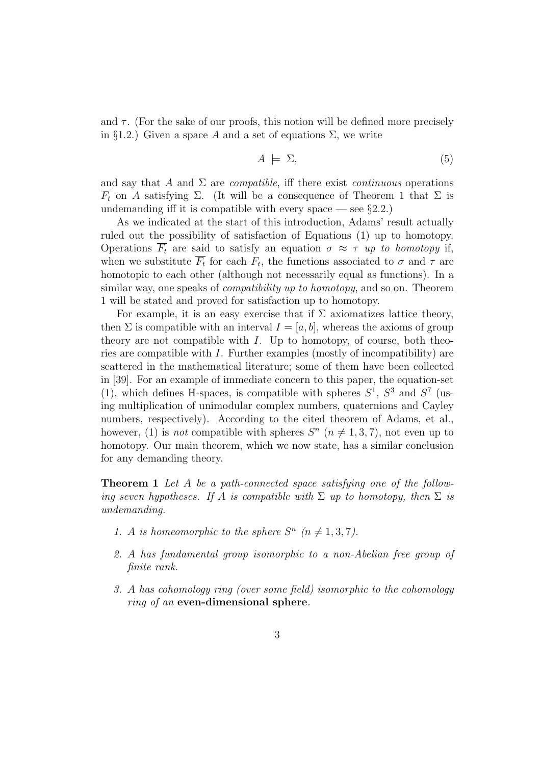and  $\tau$ . (For the sake of our proofs, this notion will be defined more precisely in §1.2.) Given a space A and a set of equations  $\Sigma$ , we write

$$
A \models \Sigma,\tag{5}
$$

and say that A and  $\Sigma$  are *compatible*, iff there exist *continuous* operations  $\overline{F_t}$  on A satisfying  $\Sigma$ . (It will be a consequence of Theorem 1 that  $\Sigma$  is undemanding iff it is compatible with every space — see  $\S 2.2$ .)

As we indicated at the start of this introduction, Adams' result actually ruled out the possibility of satisfaction of Equations (1) up to homotopy. Operations  $\overline{F_t}$  are said to satisfy an equation  $\sigma \approx \tau$  up to homotopy if, when we substitute  $\overline{F_t}$  for each  $F_t$ , the functions associated to  $\sigma$  and  $\tau$  are homotopic to each other (although not necessarily equal as functions). In a similar way, one speaks of *compatibility up to homotopy*, and so on. Theorem 1 will be stated and proved for satisfaction up to homotopy.

For example, it is an easy exercise that if  $\Sigma$  axiomatizes lattice theory, then  $\Sigma$  is compatible with an interval  $I = [a, b]$ , whereas the axioms of group theory are not compatible with  $I$ . Up to homotopy, of course, both theories are compatible with  $I$ . Further examples (mostly of incompatibility) are scattered in the mathematical literature; some of them have been collected in [39]. For an example of immediate concern to this paper, the equation-set (1), which defines H-spaces, is compatible with spheres  $S^1$ ,  $S^3$  and  $S^7$  (using multiplication of unimodular complex numbers, quaternions and Cayley numbers, respectively). According to the cited theorem of Adams, et al., however, (1) is *not* compatible with spheres  $S<sup>n</sup>$  ( $n \neq 1, 3, 7$ ), not even up to homotopy. Our main theorem, which we now state, has a similar conclusion for any demanding theory.

Theorem 1 Let A be a path-connected space satisfying one of the following seven hypotheses. If A is compatible with  $\Sigma$  up to homotopy, then  $\Sigma$  is undemanding.

- 1. A is homeomorphic to the sphere  $S^n$  ( $n \neq 1,3,7$ ).
- 2. A has fundamental group isomorphic to a non-Abelian free group of finite rank.
- 3. A has cohomology ring (over some field) isomorphic to the cohomology ring of an even-dimensional sphere.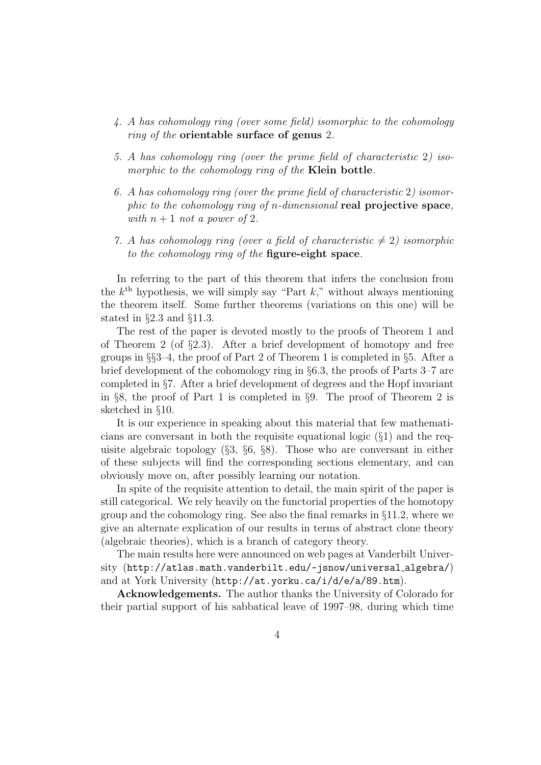- 4. A has cohomology ring (over some field) isomorphic to the cohomology ring of the orientable surface of genus 2.
- 5. A has cohomology ring (over the prime field of characteristic 2) isomorphic to the cohomology ring of the **Klein bottle**.
- 6. A has cohomology ring (over the prime field of characteristic 2) isomorphic to the cohomology ring of n-dimensional real projective space, with  $n+1$  not a power of 2.
- 7. A has cohomology ring (over a field of characteristic  $\neq 2$ ) isomorphic to the cohomology ring of the figure-eight space.

In referring to the part of this theorem that infers the conclusion from the  $k^{\text{th}}$  hypothesis, we will simply say "Part  $k$ ," without always mentioning the theorem itself. Some further theorems (variations on this one) will be stated in §2.3 and §11.3.

The rest of the paper is devoted mostly to the proofs of Theorem 1 and of Theorem 2 (of  $\S 2.3$ ). After a brief development of homotopy and free groups in  $\S$ §3–4, the proof of Part 2 of Theorem 1 is completed in §5. After a brief development of the cohomology ring in §6.3, the proofs of Parts 3–7 are completed in §7. After a brief development of degrees and the Hopf invariant in §8, the proof of Part 1 is completed in §9. The proof of Theorem 2 is sketched in §10.

It is our experience in speaking about this material that few mathematicians are conversant in both the requisite equational logic  $(\S1)$  and the requisite algebraic topology  $(\S3, \S6, \S8)$ . Those who are conversant in either of these subjects will find the corresponding sections elementary, and can obviously move on, after possibly learning our notation.

In spite of the requisite attention to detail, the main spirit of the paper is still categorical. We rely heavily on the functorial properties of the homotopy group and the cohomology ring. See also the final remarks in §11.2, where we give an alternate explication of our results in terms of abstract clone theory (algebraic theories), which is a branch of category theory.

The main results here were announced on web pages at Vanderbilt University (http://atlas.math.vanderbilt.edu/~ jsnow/universal algebra/) and at York University (http://at.yorku.ca/i/d/e/a/89.htm).

Acknowledgements. The author thanks the University of Colorado for their partial support of his sabbatical leave of 1997–98, during which time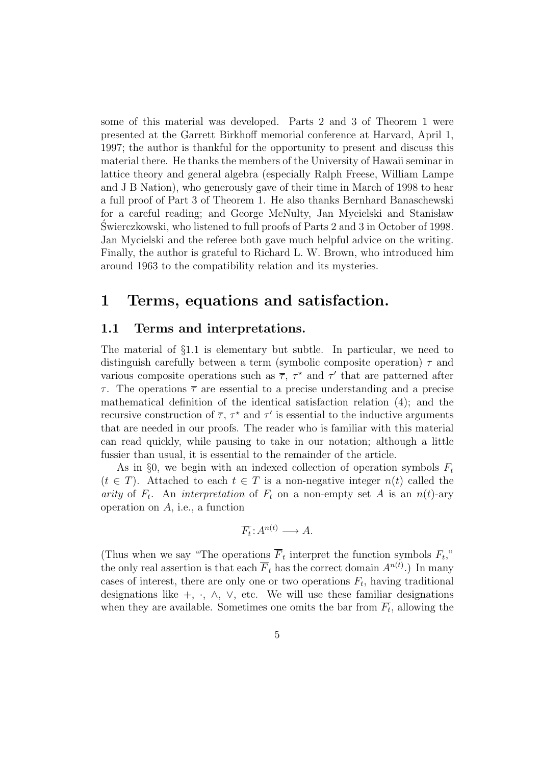some of this material was developed. Parts 2 and 3 of Theorem 1 were presented at the Garrett Birkhoff memorial conference at Harvard, April 1, 1997; the author is thankful for the opportunity to present and discuss this material there. He thanks the members of the University of Hawaii seminar in lattice theory and general algebra (especially Ralph Freese, William Lampe and J B Nation), who generously gave of their time in March of 1998 to hear a full proof of Part 3 of Theorem 1. He also thanks Bernhard Banaschewski for a careful reading; and George McNulty, Jan Mycielski and Stanisław Swierczkowski, who listened to full proofs of Parts 2 and 3 in October of 1998. ´ Jan Mycielski and the referee both gave much helpful advice on the writing. Finally, the author is grateful to Richard L. W. Brown, who introduced him around 1963 to the compatibility relation and its mysteries.

## 1 Terms, equations and satisfaction.

### 1.1 Terms and interpretations.

The material of §1.1 is elementary but subtle. In particular, we need to distinguish carefully between a term (symbolic composite operation)  $\tau$  and various composite operations such as  $\bar{\tau}$ ,  $\tau^*$  and  $\tau'$  that are patterned after  $\tau$ . The operations  $\overline{\tau}$  are essential to a precise understanding and a precise mathematical definition of the identical satisfaction relation (4); and the recursive construction of  $\overline{\tau}$ ,  $\tau^*$  and  $\tau'$  is essential to the inductive arguments that are needed in our proofs. The reader who is familiar with this material can read quickly, while pausing to take in our notation; although a little fussier than usual, it is essential to the remainder of the article.

As in §0, we begin with an indexed collection of operation symbols  $F_t$  $(t \in T)$ . Attached to each  $t \in T$  is a non-negative integer  $n(t)$  called the arity of  $F_t$ . An interpretation of  $F_t$  on a non-empty set A is an  $n(t)$ -ary operation on A, i.e., a function

$$
\overline{F_t}:A^{n(t)}\longrightarrow A.
$$

(Thus when we say "The operations  $\overline{F}_t$  interpret the function symbols  $F_t$ ," the only real assertion is that each  $\overline{F}_t$  has the correct domain  $A^{n(t)}$ .) In many cases of interest, there are only one or two operations  $F_t$ , having traditional designations like +,  $\cdot$ ,  $\wedge$ ,  $\vee$ , etc. We will use these familiar designations when they are available. Sometimes one omits the bar from  $\overline{F_t}$ , allowing the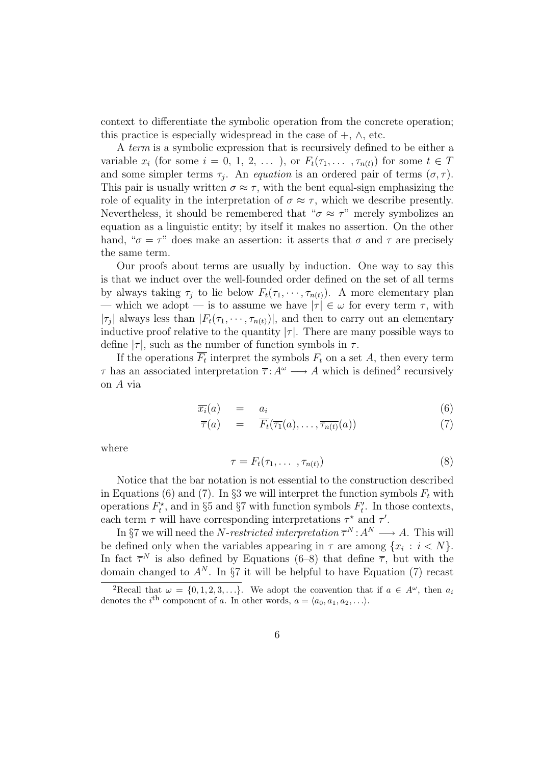context to differentiate the symbolic operation from the concrete operation; this practice is especially widespread in the case of  $+$ ,  $\wedge$ , etc.

A term is a symbolic expression that is recursively defined to be either a variable  $x_i$  (for some  $i = 0, 1, 2, \ldots$  ), or  $F_t(\tau_1, \ldots, \tau_{n(t)})$  for some  $t \in T$ and some simpler terms  $\tau_j$ . An *equation* is an ordered pair of terms  $(\sigma, \tau)$ . This pair is usually written  $\sigma \approx \tau$ , with the bent equal-sign emphasizing the role of equality in the interpretation of  $\sigma \approx \tau$ , which we describe presently. Nevertheless, it should be remembered that " $\sigma \approx \tau$ " merely symbolizes an equation as a linguistic entity; by itself it makes no assertion. On the other hand, " $\sigma = \tau$ " does make an assertion: it asserts that  $\sigma$  and  $\tau$  are precisely the same term.

Our proofs about terms are usually by induction. One way to say this is that we induct over the well-founded order defined on the set of all terms by always taking  $\tau_j$  to lie below  $F_t(\tau_1, \dots, \tau_{n(t)})$ . A more elementary plan — which we adopt — is to assume we have  $|\tau| \in \omega$  for every term  $\tau$ , with  $|\tau_j|$  always less than  $|F_t(\tau_1, \dots, \tau_{n(t)})|$ , and then to carry out an elementary inductive proof relative to the quantity  $|\tau|$ . There are many possible ways to define  $|\tau|$ , such as the number of function symbols in  $\tau$ .

If the operations  $\overline{F_t}$  interpret the symbols  $F_t$  on a set A, then every term  $\tau$  has an associated interpretation  $\overline{\tau}: A^{\omega} \longrightarrow A$  which is defined<sup>2</sup> recursively on A via

$$
\overline{x_i}(a) = a_i \tag{6}
$$

$$
\overline{\tau}(a) = \overline{F_t}(\overline{\tau_1}(a), \dots, \overline{\tau_{n(t)}}(a)) \tag{7}
$$

where

$$
\tau = F_t(\tau_1, \dots, \tau_{n(t)}) \tag{8}
$$

Notice that the bar notation is not essential to the construction described in Equations (6) and (7). In §3 we will interpret the function symbols  $F_t$  with operations  $F_t^*$ , and in §5 and §7 with function symbols  $F_t^*$  $t'$ . In those contexts, each term  $\tau$  will have corresponding interpretations  $\tau^*$  and  $\tau'$ .

In §7 we will need the N-restricted interpretation  $\overline{\tau}^N : A^N \longrightarrow A$ . This will be defined only when the variables appearing in  $\tau$  are among  $\{x_i : i < N\}$ . In fact  $\overline{\tau}^N$  is also defined by Equations (6–8) that define  $\overline{\tau}$ , but with the domain changed to  $A^N$ . In §7 it will be helpful to have Equation (7) recast

<sup>&</sup>lt;sup>2</sup>Recall that  $\omega = \{0, 1, 2, 3, ...\}$ . We adopt the convention that if  $a \in A^{\omega}$ , then  $a_i$ denotes the *i*<sup>th</sup> component of a. In other words,  $a = \langle a_0, a_1, a_2, \ldots \rangle$ .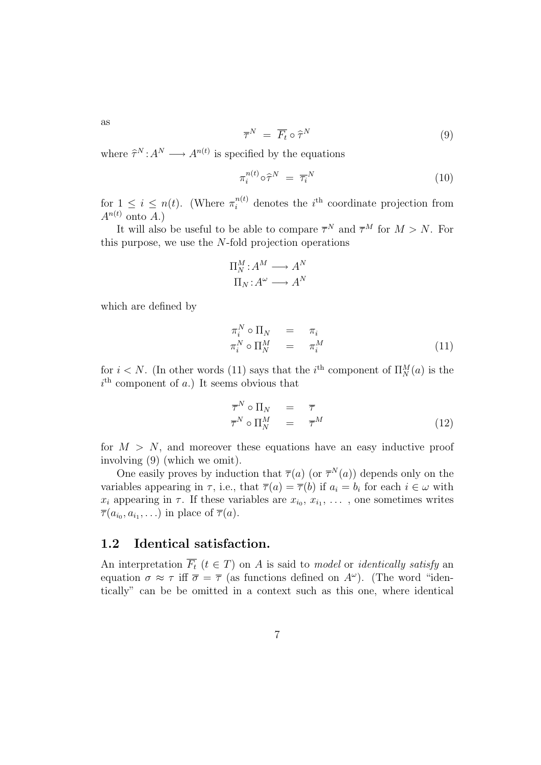as

$$
\overline{\tau}^N = \overline{F_t} \circ \widehat{\tau}^N \tag{9}
$$

where  $\hat{\tau}^N : A^N \longrightarrow A^{n(t)}$  is specified by the equations

$$
\pi_i^{n(t)} \circ \hat{\tau}^N = \overline{\tau_i}^N \tag{10}
$$

for  $1 \leq i \leq n(t)$ . (Where  $\pi_i^{n(t)}$  denotes the *i*<sup>th</sup> coordinate projection from  $A^{n(t)}$  onto A.)

It will also be useful to be able to compare  $\overline{\tau}^N$  and  $\overline{\tau}^M$  for  $M > N$ . For this purpose, we use the  $N$ -fold projection operations

$$
\Pi_N^M : A^M \longrightarrow A^N
$$

$$
\Pi_N : A^\omega \longrightarrow A^N
$$

which are defined by

$$
\begin{array}{rcl}\n\pi_i^N \circ \Pi_N & = & \pi_i \\
\pi_i^N \circ \Pi_N^M & = & \pi_i^M\n\end{array} \tag{11}
$$

for  $i < N$ . (In other words (11) says that the *i*<sup>th</sup> component of  $\Pi_N^M(a)$  is the  $i<sup>th</sup>$  component of a.) It seems obvious that

$$
\overline{\tau}^N \circ \Pi_N = \overline{\tau} \n\overline{\tau}^N \circ \Pi_N^M = \overline{\tau}^M
$$
\n(12)

for  $M > N$ , and moreover these equations have an easy inductive proof involving (9) (which we omit).

One easily proves by induction that  $\overline{\tau}(a)$  (or  $\overline{\tau}^N(a)$ ) depends only on the variables appearing in  $\tau$ , i.e., that  $\overline{\tau}(a) = \overline{\tau}(b)$  if  $a_i = b_i$  for each  $i \in \omega$  with  $x_i$  appearing in  $\tau$ . If these variables are  $x_{i_0}, x_{i_1}, \ldots$ , one sometimes writes  $\overline{\tau}(a_{i_0}, a_{i_1}, \ldots)$  in place of  $\overline{\tau}(a)$ .

### 1.2 Identical satisfaction.

An interpretation  $\overline{F_t}$   $(t \in T)$  on A is said to model or *identically satisfy* an equation  $\sigma \approx \tau$  iff  $\overline{\sigma} = \overline{\tau}$  (as functions defined on  $A^{\omega}$ ). (The word "identically" can be be omitted in a context such as this one, where identical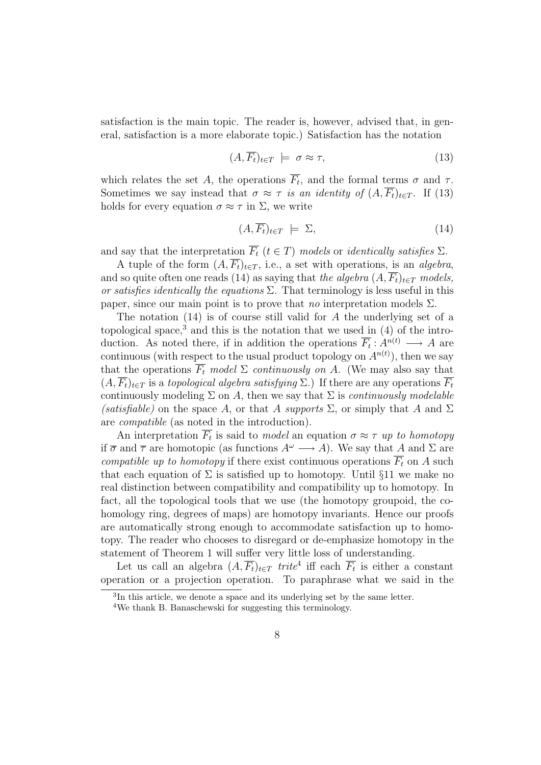satisfaction is the main topic. The reader is, however, advised that, in general, satisfaction is a more elaborate topic.) Satisfaction has the notation

$$
(A,\overline{F_t})_{t \in T} \models \sigma \approx \tau,\tag{13}
$$

which relates the set A, the operations  $\overline{F_t}$ , and the formal terms  $\sigma$  and  $\tau$ . Sometimes we say instead that  $\sigma \approx \tau$  is an identity of  $(A, \overline{F_t})_{t \in T}$ . If (13) holds for every equation  $\sigma \approx \tau$  in  $\Sigma$ , we write

$$
(A,\overline{F_t})_{t \in T} \models \Sigma,\tag{14}
$$

and say that the interpretation  $\overline{F_t}$   $(t \in T)$  models or *identically satisfies*  $\Sigma$ .

A tuple of the form  $(A, \overline{F_t})_{t \in T}$ , i.e., a set with operations, is an *algebra*, and so quite often one reads (14) as saying that the algebra  $(A, \overline{F_t})_{t \in T}$  models, or satisfies identically the equations  $\Sigma$ . That terminology is less useful in this paper, since our main point is to prove that *no* interpretation models  $\Sigma$ .

The notation (14) is of course still valid for A the underlying set of a topological space,<sup>3</sup> and this is the notation that we used in  $(4)$  of the introduction. As noted there, if in addition the operations  $\overline{F_t}: A^{n(t)} \longrightarrow A$  are continuous (with respect to the usual product topology on  $A^{n(t)}$ ), then we say that the operations  $\overline{F_t}$  model  $\Sigma$  continuously on A. (We may also say that  $(A, \overline{F_t})_{t \in \mathcal{T}}$  is a topological algebra satisfying  $\Sigma$ .) If there are any operations  $\overline{F_t}$ continuously modeling  $\Sigma$  on A, then we say that  $\Sigma$  is *continuously modelable* (satisfiable) on the space A, or that A supports  $\Sigma$ , or simply that A and  $\Sigma$ are compatible (as noted in the introduction).

An interpretation  $\overline{F_t}$  is said to model an equation  $\sigma \approx \tau$  up to homotopy if  $\overline{\sigma}$  and  $\overline{\tau}$  are homotopic (as functions  $A^{\omega} \longrightarrow A$ ). We say that A and  $\Sigma$  are compatible up to homotopy if there exist continuous operations  $\overline{F_t}$  on A such that each equation of  $\Sigma$  is satisfied up to homotopy. Until §11 we make no real distinction between compatibility and compatibility up to homotopy. In fact, all the topological tools that we use (the homotopy groupoid, the cohomology ring, degrees of maps) are homotopy invariants. Hence our proofs are automatically strong enough to accommodate satisfaction up to homotopy. The reader who chooses to disregard or de-emphasize homotopy in the statement of Theorem 1 will suffer very little loss of understanding.

Let us call an algebra  $(A, \overline{F_t})_{t \in T}$  trite<sup>4</sup> iff each  $\overline{F_t}$  is either a constant operation or a projection operation. To paraphrase what we said in the

<sup>&</sup>lt;sup>3</sup>In this article, we denote a space and its underlying set by the same letter.

<sup>4</sup>We thank B. Banaschewski for suggesting this terminology.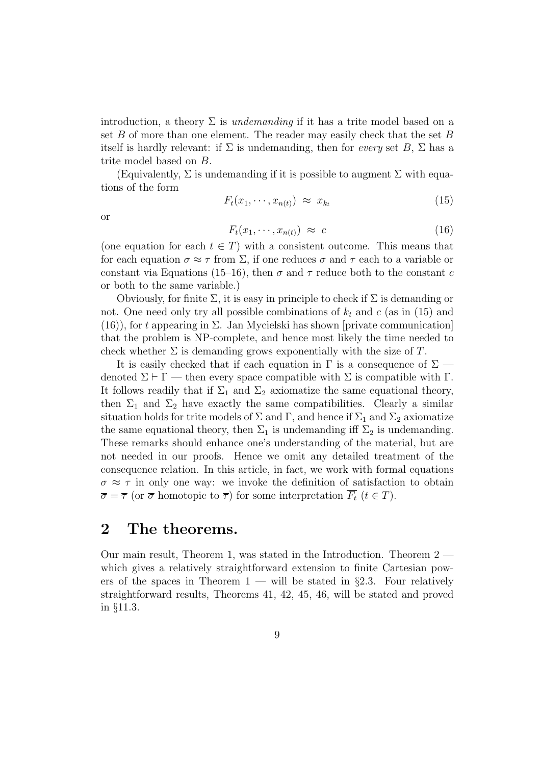introduction, a theory  $\Sigma$  is *undemanding* if it has a trite model based on a set B of more than one element. The reader may easily check that the set B itself is hardly relevant: if  $\Sigma$  is undemanding, then for *every* set  $B$ ,  $\Sigma$  has a trite model based on B.

(Equivalently,  $\Sigma$  is undemanding if it is possible to augment  $\Sigma$  with equations of the form

$$
F_t(x_1, \cdots, x_{n(t)}) \approx x_{k_t} \tag{15}
$$

or

$$
F_t(x_1, \cdots, x_{n(t)}) \approx c \tag{16}
$$

(one equation for each  $t \in T$ ) with a consistent outcome. This means that for each equation  $\sigma \approx \tau$  from  $\Sigma$ , if one reduces  $\sigma$  and  $\tau$  each to a variable or constant via Equations (15–16), then  $\sigma$  and  $\tau$  reduce both to the constant c or both to the same variable.)

Obviously, for finite  $\Sigma$ , it is easy in principle to check if  $\Sigma$  is demanding or not. One need only try all possible combinations of  $k_t$  and c (as in (15) and  $(16)$ , for t appearing in  $\Sigma$ . Jan Mycielski has shown [private communication] that the problem is NP-complete, and hence most likely the time needed to check whether  $\Sigma$  is demanding grows exponentially with the size of T.

It is easily checked that if each equation in  $\Gamma$  is a consequence of  $\Sigma$  denoted  $\Sigma \vdash \Gamma$  — then every space compatible with  $\Sigma$  is compatible with  $\Gamma$ . It follows readily that if  $\Sigma_1$  and  $\Sigma_2$  axiomatize the same equational theory, then  $\Sigma_1$  and  $\Sigma_2$  have exactly the same compatibilities. Clearly a similar situation holds for trite models of  $\Sigma$  and  $\Gamma$ , and hence if  $\Sigma_1$  and  $\Sigma_2$  axiomatize the same equational theory, then  $\Sigma_1$  is undemanding iff  $\Sigma_2$  is undemanding. These remarks should enhance one's understanding of the material, but are not needed in our proofs. Hence we omit any detailed treatment of the consequence relation. In this article, in fact, we work with formal equations  $\sigma \approx \tau$  in only one way: we invoke the definition of satisfaction to obtain  $\overline{\sigma} = \overline{\tau}$  (or  $\overline{\sigma}$  homotopic to  $\overline{\tau}$ ) for some interpretation  $\overline{F_t}$  ( $t \in T$ ).

## 2 The theorems.

Our main result, Theorem 1, was stated in the Introduction. Theorem 2 which gives a relatively straightforward extension to finite Cartesian powers of the spaces in Theorem  $1 -$  will be stated in §2.3. Four relatively straightforward results, Theorems 41, 42, 45, 46, will be stated and proved in §11.3.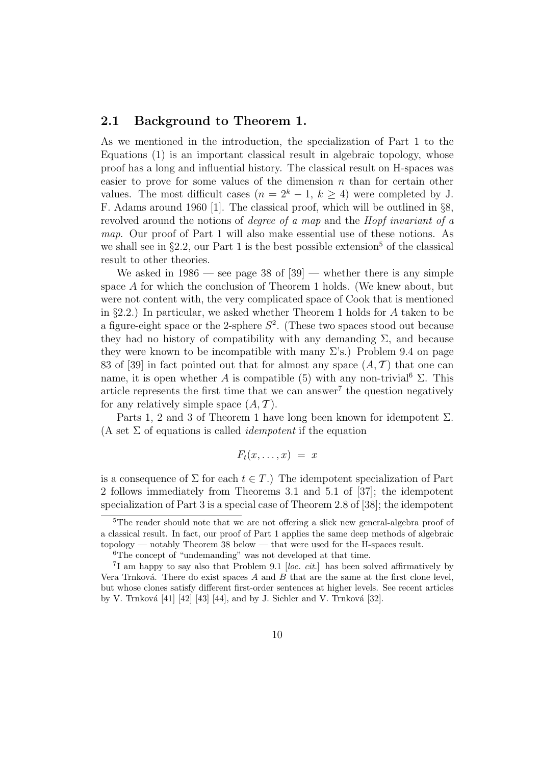### 2.1 Background to Theorem 1.

As we mentioned in the introduction, the specialization of Part 1 to the Equations (1) is an important classical result in algebraic topology, whose proof has a long and influential history. The classical result on H-spaces was easier to prove for some values of the dimension  $n$  than for certain other values. The most difficult cases  $(n = 2<sup>k</sup> - 1, k > 4)$  were completed by J. F. Adams around 1960 [1]. The classical proof, which will be outlined in §8, revolved around the notions of degree of a map and the Hopf invariant of a map. Our proof of Part 1 will also make essential use of these notions. As we shall see in  $\S 2.2$ , our Part 1 is the best possible extension<sup>5</sup> of the classical result to other theories.

We asked in  $1986$  — see page 38 of  $[39]$  — whether there is any simple space A for which the conclusion of Theorem 1 holds. (We knew about, but were not content with, the very complicated space of Cook that is mentioned in §2.2.) In particular, we asked whether Theorem 1 holds for A taken to be a figure-eight space or the 2-sphere  $S^2$ . (These two spaces stood out because they had no history of compatibility with any demanding  $\Sigma$ , and because they were known to be incompatible with many  $\Sigma$ 's.) Problem 9.4 on page 83 of [39] in fact pointed out that for almost any space  $(A, \mathcal{T})$  that one can name, it is open whether A is compatible (5) with any non-trivial<sup>6</sup>  $\Sigma$ . This article represents the first time that we can answer<sup>7</sup> the question negatively for any relatively simple space  $(A, \mathcal{T})$ .

Parts 1, 2 and 3 of Theorem 1 have long been known for idempotent  $\Sigma$ . (A set  $\Sigma$  of equations is called *idempotent* if the equation

$$
F_t(x,\ldots,x) = x
$$

is a consequence of  $\Sigma$  for each  $t \in T$ .) The idempotent specialization of Part 2 follows immediately from Theorems 3.1 and 5.1 of [37]; the idempotent specialization of Part 3 is a special case of Theorem 2.8 of [38]; the idempotent

<sup>5</sup>The reader should note that we are not offering a slick new general-algebra proof of a classical result. In fact, our proof of Part 1 applies the same deep methods of algebraic topology — notably Theorem 38 below — that were used for the H-spaces result.

<sup>6</sup>The concept of "undemanding" was not developed at that time.

<sup>&</sup>lt;sup>7</sup>I am happy to say also that Problem 9.1 [loc. cit.] has been solved affirmatively by Vera Trnková. There do exist spaces  $A$  and  $B$  that are the same at the first clone level, but whose clones satisfy different first-order sentences at higher levels. See recent articles by V. Trnková  $[41]$   $[42]$   $[43]$   $[44]$ , and by J. Sichler and V. Trnková  $[32]$ .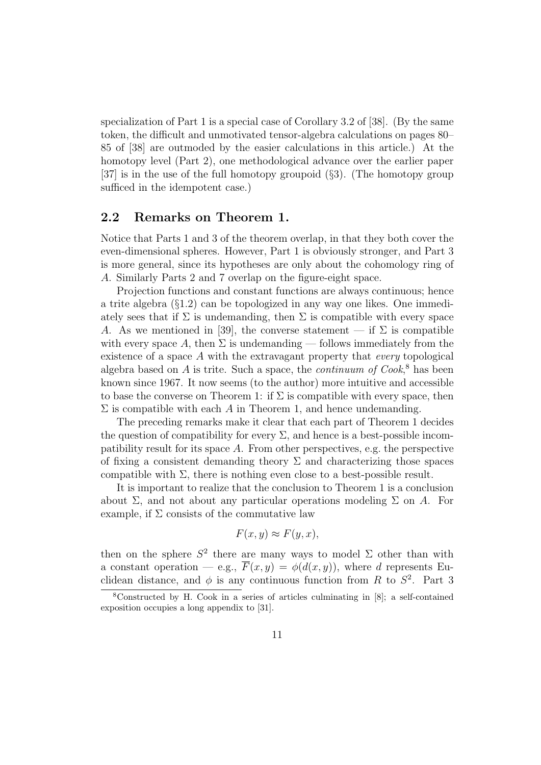specialization of Part 1 is a special case of Corollary 3.2 of [38]. (By the same token, the difficult and unmotivated tensor-algebra calculations on pages 80– 85 of [38] are outmoded by the easier calculations in this article.) At the homotopy level (Part 2), one methodological advance over the earlier paper [37] is in the use of the full homotopy groupoid (§3). (The homotopy group sufficed in the idempotent case.)

### 2.2 Remarks on Theorem 1.

Notice that Parts 1 and 3 of the theorem overlap, in that they both cover the even-dimensional spheres. However, Part 1 is obviously stronger, and Part 3 is more general, since its hypotheses are only about the cohomology ring of A. Similarly Parts 2 and 7 overlap on the figure-eight space.

Projection functions and constant functions are always continuous; hence a trite algebra (§1.2) can be topologized in any way one likes. One immediately sees that if  $\Sigma$  is undemanding, then  $\Sigma$  is compatible with every space A. As we mentioned in [39], the converse statement — if  $\Sigma$  is compatible with every space A, then  $\Sigma$  is undemanding — follows immediately from the existence of a space  $A$  with the extravagant property that *every* topological algebra based on  $A$  is trite. Such a space, the *continuum of Cook*,<sup>8</sup> has been known since 1967. It now seems (to the author) more intuitive and accessible to base the converse on Theorem 1: if  $\Sigma$  is compatible with every space, then  $\Sigma$  is compatible with each A in Theorem 1, and hence undemanding.

The preceding remarks make it clear that each part of Theorem 1 decides the question of compatibility for every  $\Sigma$ , and hence is a best-possible incompatibility result for its space  $A$ . From other perspectives, e.g. the perspective of fixing a consistent demanding theory  $\Sigma$  and characterizing those spaces compatible with  $\Sigma$ , there is nothing even close to a best-possible result.

It is important to realize that the conclusion to Theorem 1 is a conclusion about  $\Sigma$ , and not about any particular operations modeling  $\Sigma$  on A. For example, if  $\Sigma$  consists of the commutative law

$$
F(x, y) \approx F(y, x),
$$

then on the sphere  $S^2$  there are many ways to model  $\Sigma$  other than with a constant operation — e.g.,  $\overline{F}(x, y) = \phi(d(x, y))$ , where d represents Euclidean distance, and  $\phi$  is any continuous function from R to  $S^2$ . Part 3

<sup>8</sup>Constructed by H. Cook in a series of articles culminating in [8]; a self-contained exposition occupies a long appendix to [31].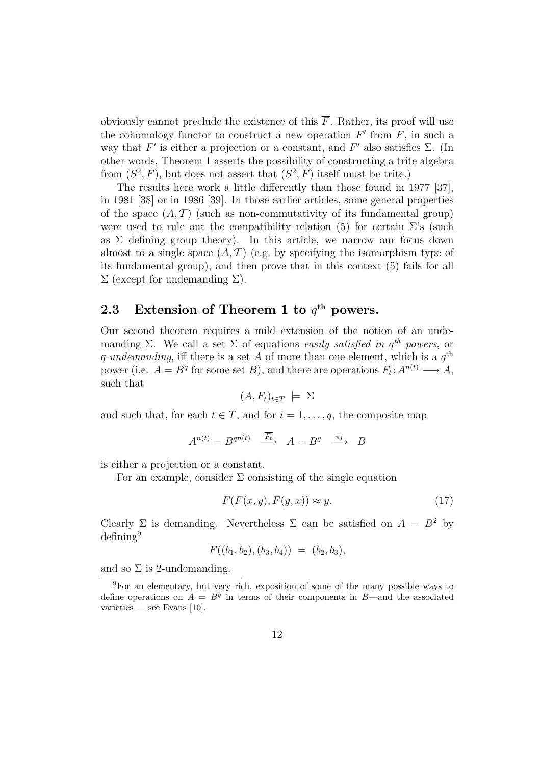obviously cannot preclude the existence of this  $\overline{F}$ . Rather, its proof will use the cohomology functor to construct a new operation  $F'$  from  $\overline{F}$ , in such a way that  $F'$  is either a projection or a constant, and  $F'$  also satisfies  $\Sigma$ . (In other words, Theorem 1 asserts the possibility of constructing a trite algebra from  $(S^2, \overline{F})$ , but does not assert that  $(S^2, \overline{F})$  itself must be trite.)

The results here work a little differently than those found in 1977 [37], in 1981 [38] or in 1986 [39]. In those earlier articles, some general properties of the space  $(A, \mathcal{T})$  (such as non-commutativity of its fundamental group) were used to rule out the compatibility relation (5) for certain  $\Sigma$ 's (such as  $\Sigma$  defining group theory). In this article, we narrow our focus down almost to a single space  $(A, \mathcal{T})$  (e.g. by specifying the isomorphism type of its fundamental group), and then prove that in this context (5) fails for all  $\Sigma$  (except for undemanding  $\Sigma$ ).

## 2.3 Extension of Theorem 1 to  $q^{\text{th}}$  powers.

Our second theorem requires a mild extension of the notion of an undemanding  $\Sigma$ . We call a set  $\Sigma$  of equations easily satisfied in  $q^{th}$  powers, or q-undemanding, iff there is a set A of more than one element, which is a  $q^{\text{th}}$ power (i.e.  $A = B<sup>q</sup>$  for some set B), and there are operations  $\overline{F_t}: A^{n(t)} \longrightarrow A$ , such that

$$
(A, F_t)_{t \in T} \models \Sigma
$$

and such that, for each  $t \in T$ , and for  $i = 1, \ldots, q$ , the composite map

$$
A^{n(t)} = B^{qn(t)} \xrightarrow{\overline{F_t}} A = B^q \xrightarrow{\pi_i} B
$$

is either a projection or a constant.

For an example, consider  $\Sigma$  consisting of the single equation

$$
F(F(x, y), F(y, x)) \approx y.
$$
\n<sup>(17)</sup>

Clearly Σ is demanding. Nevertheless Σ can be satisfied on  $A = B^2$  by defining<sup>9</sup>

$$
F((b_1, b_2), (b_3, b_4)) = (b_2, b_3),
$$

and so  $\Sigma$  is 2-undemanding.

<sup>9</sup>For an elementary, but very rich, exposition of some of the many possible ways to define operations on  $A = B<sup>q</sup>$  in terms of their components in B—and the associated varieties — see Evans  $[10]$ .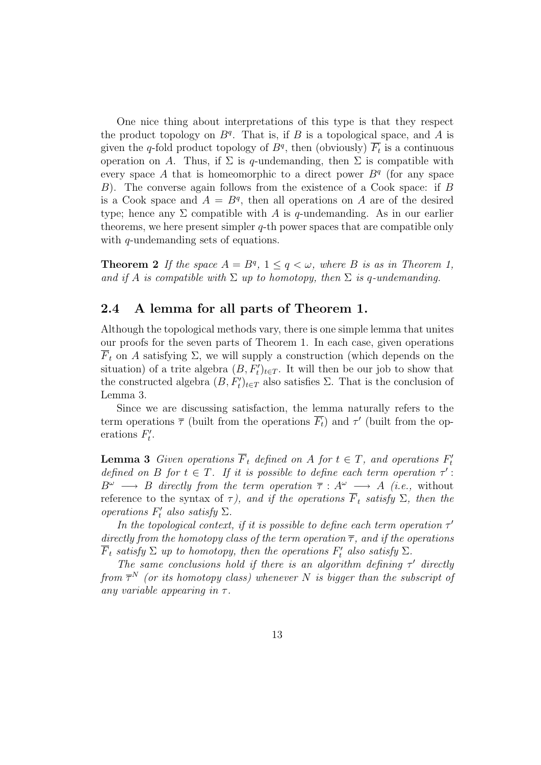One nice thing about interpretations of this type is that they respect the product topology on  $B<sup>q</sup>$ . That is, if B is a topological space, and A is given the q-fold product topology of  $B<sup>q</sup>$ , then (obviously)  $\overline{F_t}$  is a continuous operation on A. Thus, if  $\Sigma$  is q-undemanding, then  $\Sigma$  is compatible with every space A that is homeomorphic to a direct power  $B<sup>q</sup>$  (for any space B). The converse again follows from the existence of a Cook space: if B is a Cook space and  $A = B<sup>q</sup>$ , then all operations on A are of the desired type; hence any  $\Sigma$  compatible with A is q-undemanding. As in our earlier theorems, we here present simpler  $q$ -th power spaces that are compatible only with *q*-undemanding sets of equations.

**Theorem 2** If the space  $A = B^q$ ,  $1 \leq q < \omega$ , where B is as in Theorem 1, and if A is compatible with  $\Sigma$  up to homotopy, then  $\Sigma$  is q-undemanding.

### 2.4 A lemma for all parts of Theorem 1.

Although the topological methods vary, there is one simple lemma that unites our proofs for the seven parts of Theorem 1. In each case, given operations  $\overline{F}_t$  on A satisfying  $\Sigma$ , we will supply a construction (which depends on the situation) of a trite algebra  $(B, F_t')_{t \in T}$ . It will then be our job to show that the constructed algebra  $(B, F_t')_{t \in T}$  also satisfies  $\Sigma$ . That is the conclusion of Lemma 3.

Since we are discussing satisfaction, the lemma naturally refers to the term operations  $\overline{\tau}$  (built from the operations  $\overline{F_t}$ ) and  $\tau'$  (built from the operations  $F_t'$ י"<br>t

**Lemma 3** Given operations  $\overline{F}_t$  defined on A for  $t \in T$ , and operations  $F'_t$ t defined on B for  $t \in T$ . If it is possible to define each term operation  $\tau'$ :  $B^{\omega} \longrightarrow B$  directly from the term operation  $\overline{\tau} : A^{\omega} \longrightarrow A$  (i.e., without reference to the syntax of  $\tau$ ), and if the operations  $\overline{F}_t$  satisfy  $\Sigma$ , then the operations  $F'_t$  also satisfy  $\Sigma$ .

In the topological context, if it is possible to define each term operation  $\tau'$ directly from the homotopy class of the term operation  $\overline{\tau}$ , and if the operations  $\overline{F}_t$  satisfy  $\Sigma$  up to homotopy, then the operations  $F'_t$  also satisfy  $\Sigma$ .

The same conclusions hold if there is an algorithm defining  $\tau'$  directly from  $\overline{\tau}^N$  (or its homotopy class) whenever N is bigger than the subscript of any variable appearing in  $\tau$ .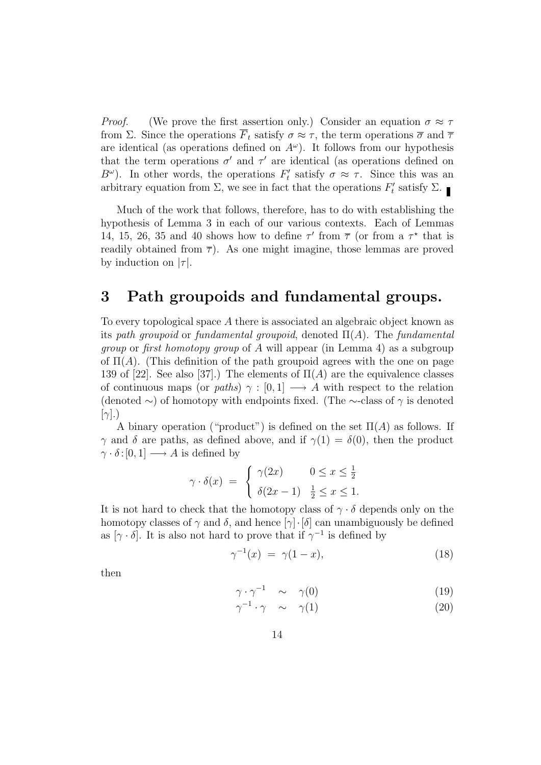*Proof.* (We prove the first assertion only.) Consider an equation  $\sigma \approx \tau$ from Σ. Since the operations  $\overline{F}_t$  satisfy  $\sigma \approx \tau$ , the term operations  $\overline{\sigma}$  and  $\overline{\tau}$ are identical (as operations defined on  $A^{\omega}$ ). It follows from our hypothesis that the term operations  $\sigma'$  and  $\tau'$  are identical (as operations defined on  $B^{\omega}$ ). In other words, the operations  $F_t^{\omega}$ '' satisfy  $\sigma \approx \tau$ . Since this was an arbitrary equation from  $\Sigma$ , we see in fact that the operations  $F_t$  $t'$  satisfy  $\Sigma$ .

Much of the work that follows, therefore, has to do with establishing the hypothesis of Lemma 3 in each of our various contexts. Each of Lemmas 14, 15, 26, 35 and 40 shows how to define  $\tau'$  from  $\overline{\tau}$  (or from a  $\tau^*$  that is readily obtained from  $\overline{\tau}$ ). As one might imagine, those lemmas are proved by induction on  $|\tau|$ .

# 3 Path groupoids and fundamental groups.

To every topological space A there is associated an algebraic object known as its path groupoid or fundamental groupoid, denoted  $\Pi(A)$ . The fundamental group or first homotopy group of A will appear (in Lemma 4) as a subgroup of  $\Pi(A)$ . (This definition of the path groupoid agrees with the one on page 139 of [22]. See also [37].) The elements of  $\Pi(A)$  are the equivalence classes of continuous maps (or paths)  $\gamma : [0,1] \longrightarrow A$  with respect to the relation (denoted  $\sim$ ) of homotopy with endpoints fixed. (The ∼-class of  $\gamma$  is denoted  $[\gamma]$ .)

A binary operation ("product") is defined on the set  $\Pi(A)$  as follows. If  $\gamma$  and  $\delta$  are paths, as defined above, and if  $\gamma(1) = \delta(0)$ , then the product  $\gamma \cdot \delta : [0, 1] \longrightarrow A$  is defined by

$$
\gamma \cdot \delta(x) = \begin{cases} \gamma(2x) & 0 \le x \le \frac{1}{2} \\ \delta(2x - 1) & \frac{1}{2} \le x \le 1. \end{cases}
$$

It is not hard to check that the homotopy class of  $\gamma \cdot \delta$  depends only on the homotopy classes of  $\gamma$  and  $\delta$ , and hence  $[\gamma] \cdot [\delta]$  can unambiguously be defined as  $[\gamma \cdot \delta]$ . It is also not hard to prove that if  $\gamma^{-1}$  is defined by

$$
\gamma^{-1}(x) = \gamma(1-x), \tag{18}
$$

then

$$
\gamma \cdot \gamma^{-1} \quad \sim \quad \gamma(0) \tag{19}
$$

$$
\gamma^{-1} \cdot \gamma \quad \sim \quad \gamma(1) \tag{20}
$$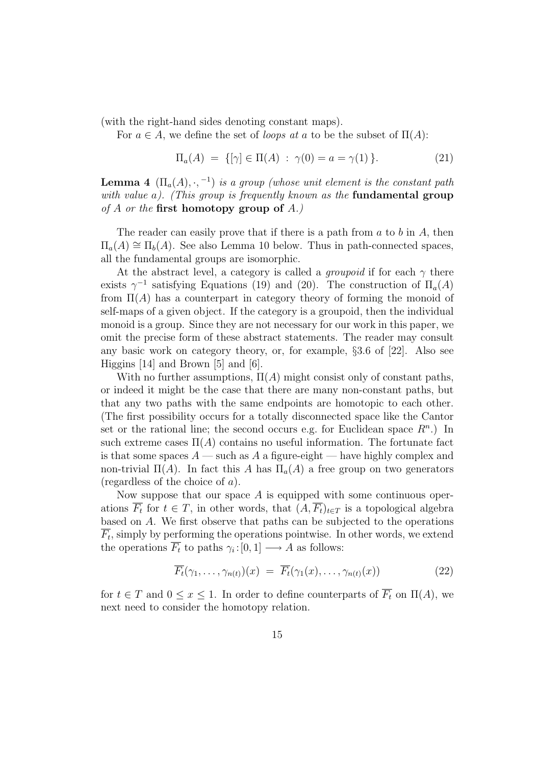(with the right-hand sides denoting constant maps).

For  $a \in A$ , we define the set of *loops at a* to be the subset of  $\Pi(A)$ :

$$
\Pi_a(A) = \{ [\gamma] \in \Pi(A) : \gamma(0) = a = \gamma(1) \}.
$$
 (21)

**Lemma 4**  $(\Pi_a(A), \cdot, -1)$  is a group (whose unit element is the constant path with value a). (This group is frequently known as the **fundamental group** of A or the first homotopy group of  $A$ .)

The reader can easily prove that if there is a path from  $a$  to  $b$  in  $A$ , then  $\Pi_a(A) \cong \Pi_b(A)$ . See also Lemma 10 below. Thus in path-connected spaces, all the fundamental groups are isomorphic.

At the abstract level, a category is called a *groupoid* if for each  $\gamma$  there exists  $\gamma^{-1}$  satisfying Equations (19) and (20). The construction of  $\Pi_a(A)$ from  $\Pi(A)$  has a counterpart in category theory of forming the monoid of self-maps of a given object. If the category is a groupoid, then the individual monoid is a group. Since they are not necessary for our work in this paper, we omit the precise form of these abstract statements. The reader may consult any basic work on category theory, or, for example, §3.6 of [22]. Also see Higgins [14] and Brown [5] and [6].

With no further assumptions,  $\Pi(A)$  might consist only of constant paths, or indeed it might be the case that there are many non-constant paths, but that any two paths with the same endpoints are homotopic to each other. (The first possibility occurs for a totally disconnected space like the Cantor set or the rational line; the second occurs e.g. for Euclidean space  $R<sup>n</sup>$ .) In such extreme cases  $\Pi(A)$  contains no useful information. The fortunate fact is that some spaces  $A$  — such as A a figure-eight — have highly complex and non-trivial  $\Pi(A)$ . In fact this A has  $\Pi_a(A)$  a free group on two generators (regardless of the choice of a).

Now suppose that our space  $A$  is equipped with some continuous operations  $\overline{F_t}$  for  $t \in T$ , in other words, that  $(A, \overline{F_t})_{t \in T}$  is a topological algebra based on A. We first observe that paths can be subjected to the operations  $\overline{F_t}$ , simply by performing the operations pointwise. In other words, we extend the operations  $\overline{F_t}$  to paths  $\gamma_i: [0,1] \longrightarrow A$  as follows:

$$
\overline{F_t}(\gamma_1,\ldots,\gamma_{n(t)})(x) = \overline{F_t}(\gamma_1(x),\ldots,\gamma_{n(t)}(x))
$$
\n(22)

for  $t \in T$  and  $0 \le x \le 1$ . In order to define counterparts of  $\overline{F_t}$  on  $\Pi(A)$ , we next need to consider the homotopy relation.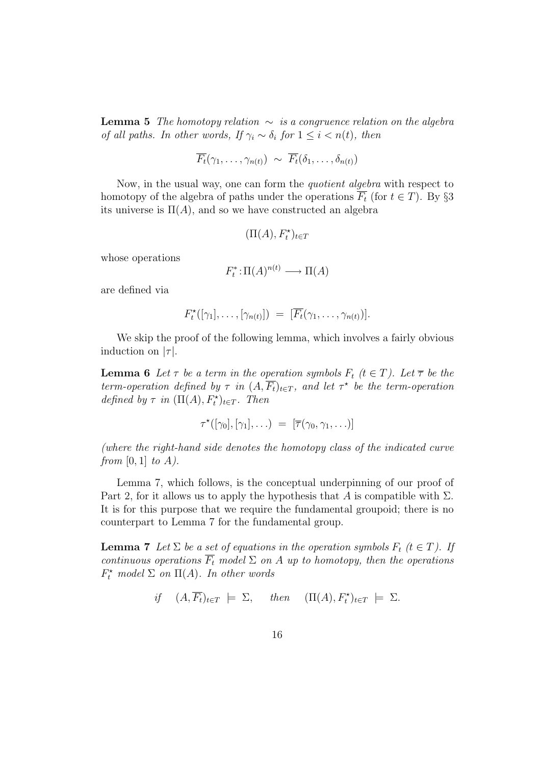**Lemma 5** The homotopy relation  $\sim$  is a congruence relation on the algebra of all paths. In other words, If  $\gamma_i \sim \delta_i$  for  $1 \leq i \leq n(t)$ , then

$$
\overline{F_t}(\gamma_1,\ldots,\gamma_{n(t)}) \sim \overline{F_t}(\delta_1,\ldots,\delta_{n(t)})
$$

Now, in the usual way, one can form the quotient algebra with respect to homotopy of the algebra of paths under the operations  $\overline{F_t}$  (for  $t \in T$ ). By §3 its universe is  $\Pi(A)$ , and so we have constructed an algebra

$$
(\Pi(A), F_t^\star)_{t\in T}
$$

whose operations

$$
F_t^* \colon \Pi(A)^{n(t)} \longrightarrow \Pi(A)
$$

are defined via

$$
F_t^{\star}([\gamma_1], \ldots, [\gamma_{n(t)}]) = [\overline{F_t}(\gamma_1, \ldots, \gamma_{n(t)})].
$$

We skip the proof of the following lemma, which involves a fairly obvious induction on  $|\tau|$ .

**Lemma 6** Let  $\tau$  be a term in the operation symbols  $F_t$  ( $t \in T$ ). Let  $\overline{\tau}$  be the term-operation defined by  $\tau$  in  $(A, \overline{F_t})_{t \in T}$ , and let  $\tau^*$  be the term-operation defined by  $\tau$  in  $(\Pi(A), F_t^{\star})_{t \in T}$ . Then

$$
\tau^{\star}([\gamma_0], [\gamma_1], \ldots) = [\overline{\tau}(\gamma_0, \gamma_1, \ldots)]
$$

(where the right-hand side denotes the homotopy class of the indicated curve from  $[0, 1]$  to  $A$ ).

Lemma 7, which follows, is the conceptual underpinning of our proof of Part 2, for it allows us to apply the hypothesis that A is compatible with  $\Sigma$ . It is for this purpose that we require the fundamental groupoid; there is no counterpart to Lemma 7 for the fundamental group.

**Lemma 7** Let  $\Sigma$  be a set of equations in the operation symbols  $F_t$  ( $t \in T$ ). If continuous operations  $\overline{F_t}$  model  $\Sigma$  on A up to homotopy, then the operations  $F_t^{\star}$  model  $\Sigma$  on  $\Pi(A)$ . In other words

if 
$$
(A, \overline{F_t})_{t \in T} \models \Sigma
$$
, then  $(\Pi(A), F_t^*)_{t \in T} \models \Sigma$ .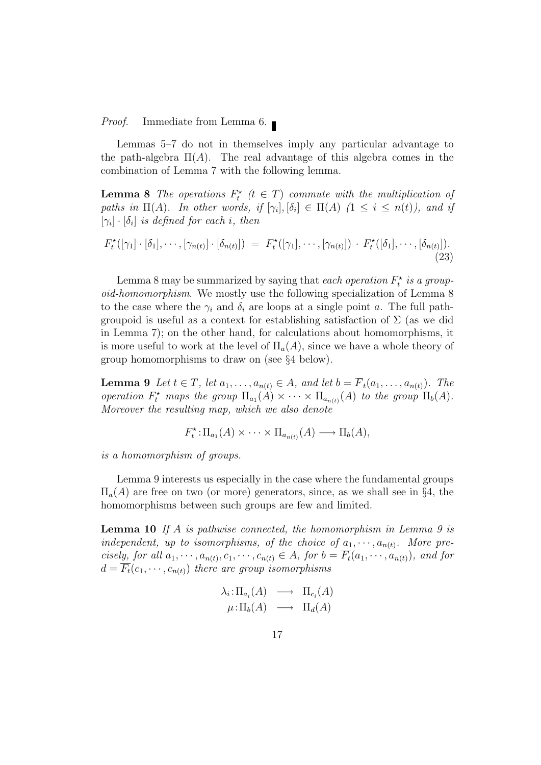Proof. Immediate from Lemma 6.

Lemmas 5–7 do not in themselves imply any particular advantage to the path-algebra  $\Pi(A)$ . The real advantage of this algebra comes in the combination of Lemma 7 with the following lemma.

**Lemma 8** The operations  $F_t^*$  ( $t \in T$ ) commute with the multiplication of paths in  $\Pi(A)$ . In other words, if  $[\gamma_i], [\delta_i] \in \Pi(A)$   $(1 \leq i \leq n(t)),$  and if  $[\gamma_i] \cdot [\delta_i]$  is defined for each i, then

$$
F_t^{\star}([\gamma_1] \cdot [\delta_1], \cdots, [\gamma_{n(t)}] \cdot [\delta_{n(t)}]) = F_t^{\star}([\gamma_1], \cdots, [\gamma_{n(t)}]) \cdot F_t^{\star}([\delta_1], \cdots, [\delta_{n(t)}]).
$$
\n(23)

Lemma 8 may be summarized by saying that each operation  $F_t^*$  is a groupoid-homomorphism. We mostly use the following specialization of Lemma 8 to the case where the  $\gamma_i$  and  $\delta_i$  are loops at a single point a. The full pathgroupoid is useful as a context for establishing satisfaction of  $\Sigma$  (as we did in Lemma 7); on the other hand, for calculations about homomorphisms, it is more useful to work at the level of  $\Pi_a(A)$ , since we have a whole theory of group homomorphisms to draw on (see §4 below).

**Lemma 9** Let  $t \in T$ , let  $a_1, \ldots, a_{n(t)} \in A$ , and let  $b = \overline{F}_t(a_1, \ldots, a_{n(t)})$ . The operation  $F_t^*$  maps the group  $\Pi_{a_1}(A) \times \cdots \times \Pi_{a_{n(t)}}(A)$  to the group  $\Pi_b(A)$ . Moreover the resulting map, which we also denote

$$
F_t^{\star} \colon \Pi_{a_1}(A) \times \cdots \times \Pi_{a_{n(t)}}(A) \longrightarrow \Pi_b(A),
$$

is a homomorphism of groups.

Lemma 9 interests us especially in the case where the fundamental groups  $\Pi_a(A)$  are free on two (or more) generators, since, as we shall see in §4, the homomorphisms between such groups are few and limited.

**Lemma 10** If A is pathwise connected, the homomorphism in Lemma 9 is independent, up to isomorphisms, of the choice of  $a_1, \dots, a_{n(t)}$ . More precisely, for all  $a_1, \dots, a_{n(t)}, c_1, \dots, c_{n(t)} \in A$ , for  $b = \overline{F_t}(a_1, \dots, a_{n(t)})$ , and for  $d = \overline{F_t}(c_1, \dots, c_{n(t)})$  there are group isomorphisms

$$
\lambda_i: \Pi_{a_i}(A) \longrightarrow \Pi_{c_i}(A) \n\mu: \Pi_b(A) \longrightarrow \Pi_d(A)
$$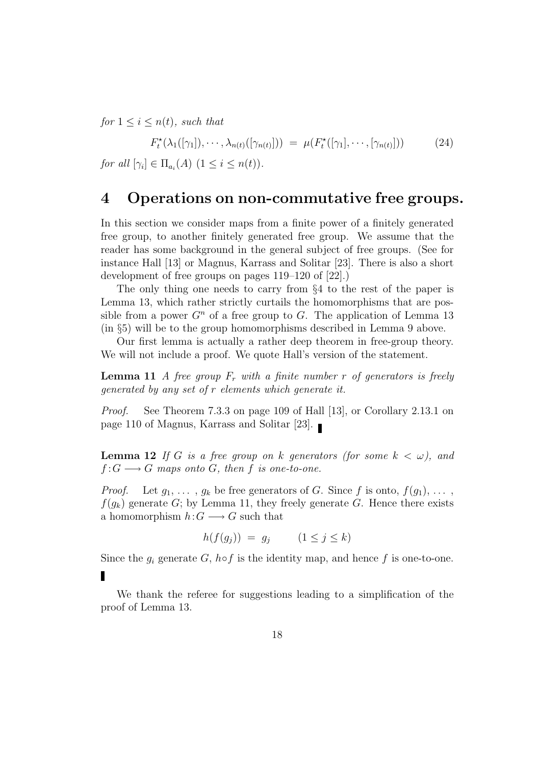for  $1 \leq i \leq n(t)$ , such that

$$
F_t^{\star}(\lambda_1([\gamma_1]), \cdots, \lambda_{n(t)}([\gamma_{n(t)}])) = \mu(F_t^{\star}([\gamma_1], \cdots, [\gamma_{n(t)}])) \qquad (24)
$$
  
for all  $[\gamma_i] \in \Pi_{a_i}(A)$   $(1 \le i \le n(t)).$ 

## 4 Operations on non-commutative free groups.

In this section we consider maps from a finite power of a finitely generated free group, to another finitely generated free group. We assume that the reader has some background in the general subject of free groups. (See for instance Hall [13] or Magnus, Karrass and Solitar [23]. There is also a short development of free groups on pages 119–120 of [22].)

The only thing one needs to carry from §4 to the rest of the paper is Lemma 13, which rather strictly curtails the homomorphisms that are possible from a power  $G<sup>n</sup>$  of a free group to G. The application of Lemma 13 (in §5) will be to the group homomorphisms described in Lemma 9 above.

Our first lemma is actually a rather deep theorem in free-group theory. We will not include a proof. We quote Hall's version of the statement.

**Lemma 11** A free group  $F_r$  with a finite number r of generators is freely generated by any set of r elements which generate it.

Proof. See Theorem 7.3.3 on page 109 of Hall [13], or Corollary 2.13.1 on page 110 of Magnus, Karrass and Solitar [23].

**Lemma 12** If G is a free group on k generators (for some  $k < \omega$ ), and  $f:G\longrightarrow G$  maps onto G, then f is one-to-one.

*Proof.* Let  $g_1, \ldots, g_k$  be free generators of G. Since f is onto,  $f(g_1), \ldots$ ,  $f(q_k)$  generate G; by Lemma 11, they freely generate G. Hence there exists a homomorphism  $h:G\longrightarrow G$  such that

$$
h(f(g_j)) = g_j \qquad (1 \le j \le k)
$$

Since the  $g_i$  generate G, h☉f is the identity map, and hence f is one-to-one. П

We thank the referee for suggestions leading to a simplification of the proof of Lemma 13.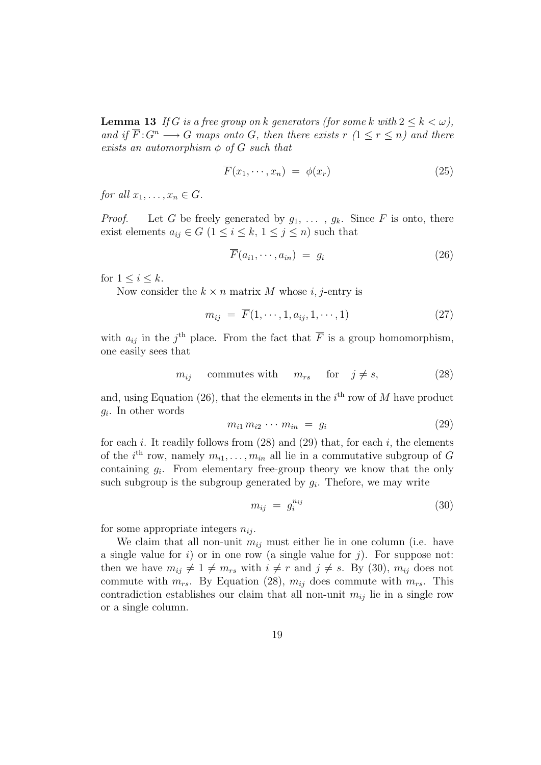**Lemma 13** If G is a free group on k generators (for some k with  $2 \leq k < \omega$ ), and if  $\overline{F}:G^n\longrightarrow G$  maps onto G, then there exists  $r(1 \leq r \leq n)$  and there exists an automorphism  $\phi$  of G such that

$$
\overline{F}(x_1, \cdots, x_n) = \phi(x_r) \tag{25}
$$

for all  $x_1, \ldots, x_n \in G$ .

*Proof.* Let G be freely generated by  $g_1, \ldots, g_k$ . Since F is onto, there exist elements  $a_{ij} \in G$   $(1 \leq i \leq k, 1 \leq j \leq n)$  such that

$$
\overline{F}(a_{i1}, \cdots, a_{in}) = g_i \tag{26}
$$

for  $1 \leq i \leq k$ .

Now consider the  $k \times n$  matrix M whose i, j-entry is

$$
m_{ij} = \overline{F}(1, \cdots, 1, a_{ij}, 1, \cdots, 1) \tag{27}
$$

with  $a_{ij}$  in the j<sup>th</sup> place. From the fact that  $\overline{F}$  is a group homomorphism, one easily sees that

$$
m_{ij}
$$
 commutes with  $m_{rs}$  for  $j \neq s$ , (28)

and, using Equation  $(26)$ , that the elements in the  $i<sup>th</sup>$  row of M have product  $g_i$ . In other words

$$
m_{i1} m_{i2} \cdots m_{in} = g_i \tag{29}
$$

for each i. It readily follows from  $(28)$  and  $(29)$  that, for each i, the elements of the *i*<sup>th</sup> row, namely  $m_{i1}, \ldots, m_{in}$  all lie in a commutative subgroup of G containing  $g_i$ . From elementary free-group theory we know that the only such subgroup is the subgroup generated by  $g_i$ . Thefore, we may write

$$
m_{ij} = g_i^{n_{ij}} \tag{30}
$$

for some appropriate integers  $n_{ij}$ .

We claim that all non-unit  $m_{ij}$  must either lie in one column (i.e. have a single value for  $i$ ) or in one row (a single value for  $j$ ). For suppose not: then we have  $m_{ij} \neq 1 \neq m_{rs}$  with  $i \neq r$  and  $j \neq s$ . By (30),  $m_{ij}$  does not commute with  $m_{rs}$ . By Equation (28),  $m_{ij}$  does commute with  $m_{rs}$ . This contradiction establishes our claim that all non-unit  $m_{ij}$  lie in a single row or a single column.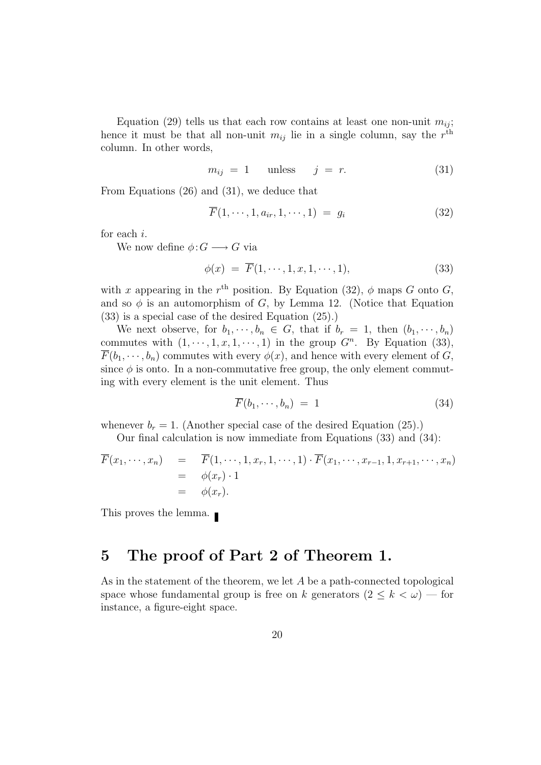Equation (29) tells us that each row contains at least one non-unit  $m_{ij}$ ; hence it must be that all non-unit  $m_{ij}$  lie in a single column, say the  $r<sup>th</sup>$ column. In other words,

$$
m_{ij} = 1 \quad \text{unless} \quad j = r. \tag{31}
$$

From Equations (26) and (31), we deduce that

$$
\overline{F}(1,\cdots,1,a_{ir},1,\cdots,1) = g_i \tag{32}
$$

for each i.

We now define  $\phi: G \longrightarrow G$  via

$$
\phi(x) = \overline{F}(1, \cdots, 1, x, 1, \cdots, 1),\tag{33}
$$

with x appearing in the  $r<sup>th</sup>$  position. By Equation (32),  $\phi$  maps G onto G, and so  $\phi$  is an automorphism of G, by Lemma 12. (Notice that Equation (33) is a special case of the desired Equation (25).)

We next observe, for  $b_1, \dots, b_n \in G$ , that if  $b_r = 1$ , then  $(b_1, \dots, b_n)$ commutes with  $(1, \dots, 1, x, 1, \dots, 1)$  in the group  $G<sup>n</sup>$ . By Equation (33),  $\overline{F}(b_1,\dots,b_n)$  commutes with every  $\phi(x)$ , and hence with every element of G, since  $\phi$  is onto. In a non-commutative free group, the only element commuting with every element is the unit element. Thus

$$
\overline{F}(b_1, \cdots, b_n) = 1 \tag{34}
$$

whenever  $b_r = 1$ . (Another special case of the desired Equation (25).)

Our final calculation is now immediate from Equations (33) and (34):

$$
\overline{F}(x_1, \dots, x_n) = \overline{F}(1, \dots, 1, x_r, 1, \dots, 1) \cdot \overline{F}(x_1, \dots, x_{r-1}, 1, x_{r+1}, \dots, x_n)
$$
  
\n
$$
= \phi(x_r) \cdot 1
$$
  
\n
$$
= \phi(x_r).
$$

This proves the lemma.

# 5 The proof of Part 2 of Theorem 1.

As in the statement of the theorem, we let  $A$  be a path-connected topological space whose fundamental group is free on k generators  $(2 \leq k < \omega)$  — for instance, a figure-eight space.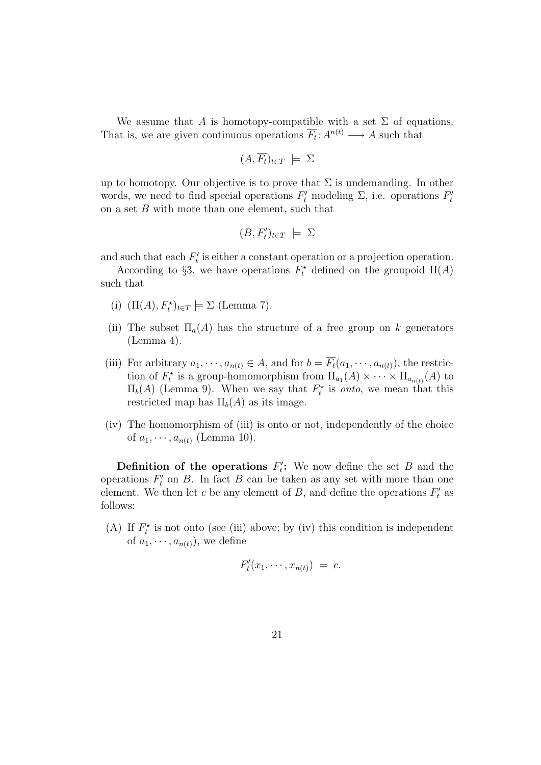We assume that A is homotopy-compatible with a set  $\Sigma$  of equations. That is, we are given continuous operations  $\overline{F_t}: A^{n(t)} \longrightarrow A$  such that

$$
(A,\overline{F_t})_{t\in T} \ \models \ \Sigma
$$

up to homotopy. Our objective is to prove that  $\Sigma$  is undemanding. In other words, we need to find special operations  $F'_t$  modeling  $\Sigma$ , i.e. operations  $F'_t$ t on a set  $B$  with more than one element, such that

$$
(B,F'_t)_{t\in T} \ \models \ \Sigma
$$

and such that each  $F_t'$  $t'$  is either a constant operation or a projection operation.

According to §3, we have operations  $F_t^*$  defined on the groupoid  $\Pi(A)$ such that

- (i)  $(\Pi(A), F_t^*)_{t \in T} \models \Sigma$  (Lemma 7).
- (ii) The subset  $\Pi_a(A)$  has the structure of a free group on k generators (Lemma 4).
- (iii) For arbitrary  $a_1, \dots, a_{n(t)} \in A$ , and for  $b = \overline{F_t}(a_1, \dots, a_{n(t)})$ , the restriction of  $F_t^*$  is a group-homomorphism from  $\Pi_{a_1}(A) \times \cdots \times \Pi_{a_{n(t)}}(A)$  to  $\Pi_b(A)$  (Lemma 9). When we say that  $F_t^*$  is *onto*, we mean that this restricted map has  $\Pi_b(A)$  as its image.
- (iv) The homomorphism of (iii) is onto or not, independently of the choice of  $a_1, \dots, a_{n(t)}$  (Lemma 10).

Definition of the operations  $F_t$ ": We now define the set  $B$  and the operations  $F_t'$  $t'$  on B. In fact B can be taken as any set with more than one element. We then let c be any element of B, and define the operations  $F_t$  $t'$  as follows:

(A) If  $F_t^*$  is not onto (see (iii) above; by (iv) this condition is independent of  $a_1, \dots, a_{n(t)}$ , we define

$$
F'_t(x_1,\cdots,x_{n(t)}) = c.
$$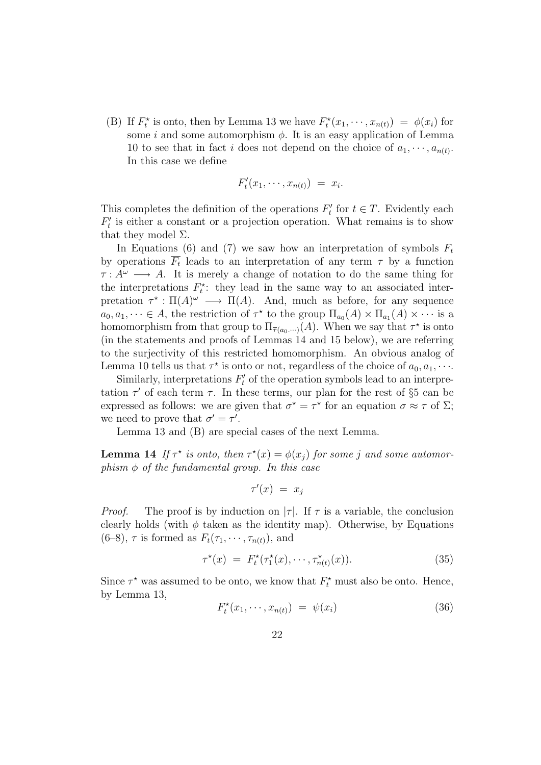(B) If  $F_t^*$  is onto, then by Lemma 13 we have  $F_t^*(x_1, \dots, x_{n(t)}) = \phi(x_i)$  for some i and some automorphism  $\phi$ . It is an easy application of Lemma 10 to see that in fact i does not depend on the choice of  $a_1, \dots, a_{n(t)}$ . In this case we define

$$
F'_t(x_1,\cdots,x_{n(t)}) = x_i.
$$

This completes the definition of the operations  $F_t$  $t \in T$ . Evidently each  $F_t'$  $t'$  is either a constant or a projection operation. What remains is to show that they model  $\Sigma$ .

In Equations (6) and (7) we saw how an interpretation of symbols  $F_t$ by operations  $\overline{F_t}$  leads to an interpretation of any term  $\tau$  by a function  $\overline{\tau} : A^{\omega} \longrightarrow A$ . It is merely a change of notation to do the same thing for the interpretations  $F_t^*$ : they lead in the same way to an associated interpretation  $\tau^* : \Pi(A)^\omega \longrightarrow \Pi(A)$ . And, much as before, for any sequence  $a_0, a_1, \dots \in A$ , the restriction of  $\tau^*$  to the group  $\Pi_{a_0}(A) \times \Pi_{a_1}(A) \times \dots$  is a homomorphism from that group to  $\Pi_{\overline{\tau}(a_0,\dots)}(A)$ . When we say that  $\tau^*$  is onto (in the statements and proofs of Lemmas 14 and 15 below), we are referring to the surjectivity of this restricted homomorphism. An obvious analog of Lemma 10 tells us that  $\tau^*$  is onto or not, regardless of the choice of  $a_0, a_1, \cdots$ .

Similarly, interpretations  $F_t'$  $t'$  of the operation symbols lead to an interpretation  $\tau'$  of each term  $\tau$ . In these terms, our plan for the rest of §5 can be expressed as follows: we are given that  $\sigma^* = \tau^*$  for an equation  $\sigma \approx \tau$  of  $\Sigma$ ; we need to prove that  $\sigma' = \tau'$ .

Lemma 13 and (B) are special cases of the next Lemma.

**Lemma 14** If  $\tau^*$  is onto, then  $\tau^*(x) = \phi(x_j)$  for some j and some automorphism  $\phi$  of the fundamental group. In this case

$$
\tau'(x) = x_j
$$

*Proof.* The proof is by induction on  $|\tau|$ . If  $\tau$  is a variable, the conclusion clearly holds (with  $\phi$  taken as the identity map). Otherwise, by Equations  $(6-8)$ ,  $\tau$  is formed as  $F_t(\tau_1, \dots, \tau_{n(t)})$ , and

$$
\tau^{\star}(x) = F_t^{\star}(\tau_1^{\star}(x), \cdots, \tau_{n(t)}^{\star}(x)). \tag{35}
$$

Since  $\tau^*$  was assumed to be onto, we know that  $F_t^*$  must also be onto. Hence, by Lemma 13,

$$
F_t^{\star}(x_1,\cdots,x_{n(t)}) = \psi(x_i) \tag{36}
$$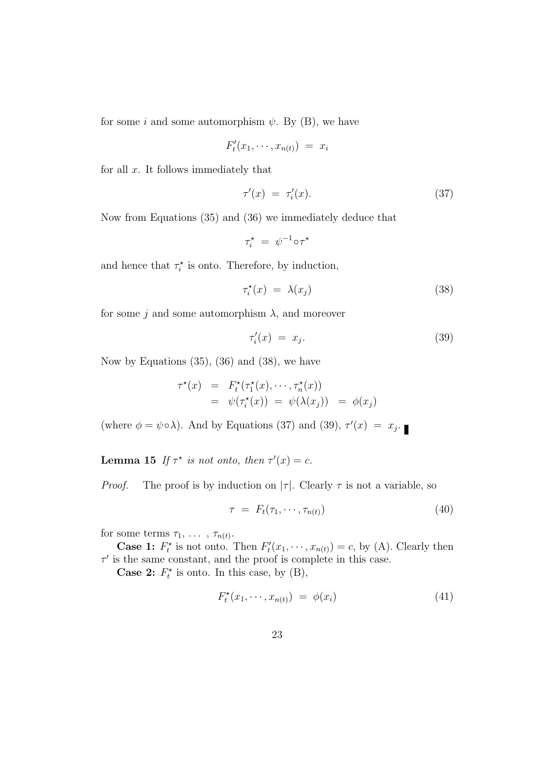for some i and some automorphism  $\psi$ . By (B), we have

$$
F'_t(x_1,\cdots,x_{n(t)}) = x_i
$$

for all  $x$ . It follows immediately that

$$
\tau'(x) = \tau'_i(x). \tag{37}
$$

Now from Equations (35) and (36) we immediately deduce that

$$
\tau_i^\star\ =\ \psi^{-1}\!\circ\!\tau^\star
$$

and hence that  $\tau_i^*$  is onto. Therefore, by induction,

$$
\tau_i^{\star}(x) = \lambda(x_j) \tag{38}
$$

for some j and some automorphism  $\lambda$ , and moreover

$$
\tau_i'(x) = x_j. \tag{39}
$$

Now by Equations  $(35)$ ,  $(36)$  and  $(38)$ , we have

$$
\tau^*(x) = F_t^*(\tau_1^*(x), \cdots, \tau_n^*(x))
$$
  
=  $\psi(\tau_i^*(x)) = \psi(\lambda(x_j)) = \phi(x_j)$ 

(where  $\phi = \psi \circ \lambda$ ). And by Equations (37) and (39),  $\tau'(x) = x_j$ .

**Lemma 15** If  $\tau^*$  is not onto, then  $\tau'(x) = c$ .

*Proof.* The proof is by induction on  $|\tau|$ . Clearly  $\tau$  is not a variable, so

$$
\tau = F_t(\tau_1, \cdots, \tau_{n(t)}) \tag{40}
$$

for some terms  $\tau_1, \ldots, \tau_{n(t)}$ .

**Case 1:**  $F_t^*$  is not onto. Then  $F_t^*$  $t''_t(x_1,\dots,x_{n(t)})=c$ , by (A). Clearly then  $\tau'$  is the same constant, and the proof is complete in this case.

**Case 2:**  $F_t^*$  is onto. In this case, by  $(B)$ ,

$$
F_t^{\star}(x_1,\cdots,x_{n(t)}) = \phi(x_i) \tag{41}
$$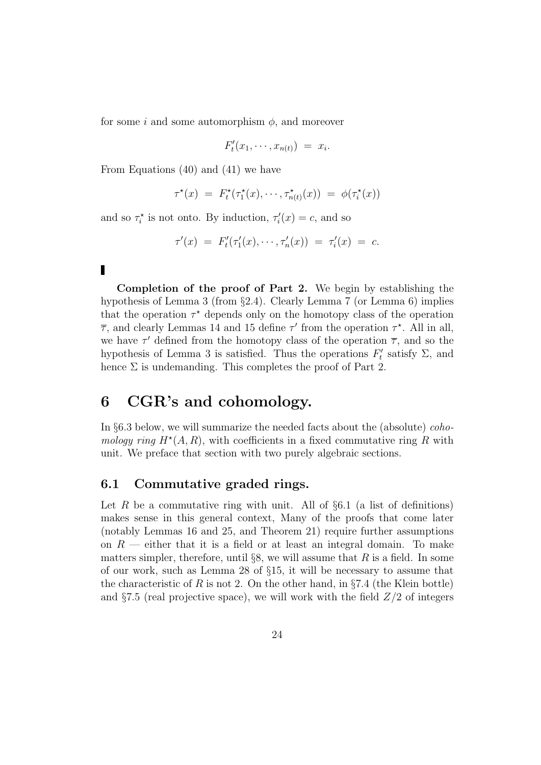for some i and some automorphism  $\phi$ , and moreover

$$
F'_t(x_1,\cdots,x_{n(t)}) = x_i.
$$

From Equations (40) and (41) we have

$$
\tau^{\star}(x) = F_t^{\star}(\tau_1^{\star}(x), \cdots, \tau_{n(t)}^{\star}(x)) = \phi(\tau_i^{\star}(x))
$$

and so  $\tau_i^*$  is not onto. By induction,  $\tau_i$  $i(x) = c$ , and so

$$
\tau'(x) = F'_t(\tau'_1(x), \cdots, \tau'_n(x)) = \tau'_i(x) = c.
$$

Completion of the proof of Part 2. We begin by establishing the hypothesis of Lemma 3 (from §2.4). Clearly Lemma 7 (or Lemma 6) implies that the operation  $\tau^*$  depends only on the homotopy class of the operation  $\overline{\tau}$ , and clearly Lemmas 14 and 15 define  $\tau'$  from the operation  $\tau^*$ . All in all, we have  $\tau'$  defined from the homotopy class of the operation  $\overline{\tau}$ , and so the hypothesis of Lemma 3 is satisfied. Thus the operations  $F_t$  $t'$  satisfy  $\Sigma$ , and hence  $\Sigma$  is undemanding. This completes the proof of Part 2.

## 6 CGR's and cohomology.

In §6.3 below, we will summarize the needed facts about the (absolute) cohomology ring  $H^*(A, R)$ , with coefficients in a fixed commutative ring R with unit. We preface that section with two purely algebraic sections.

### 6.1 Commutative graded rings.

Let R be a commutative ring with unit. All of  $\S6.1$  (a list of definitions) makes sense in this general context, Many of the proofs that come later (notably Lemmas 16 and 25, and Theorem 21) require further assumptions on  $R$  — either that it is a field or at least an integral domain. To make matters simpler, therefore, until  $\S$ , we will assume that R is a field. In some of our work, such as Lemma 28 of §15, it will be necessary to assume that the characteristic of R is not 2. On the other hand, in §7.4 (the Klein bottle) and  $\S 7.5$  (real projective space), we will work with the field  $Z/2$  of integers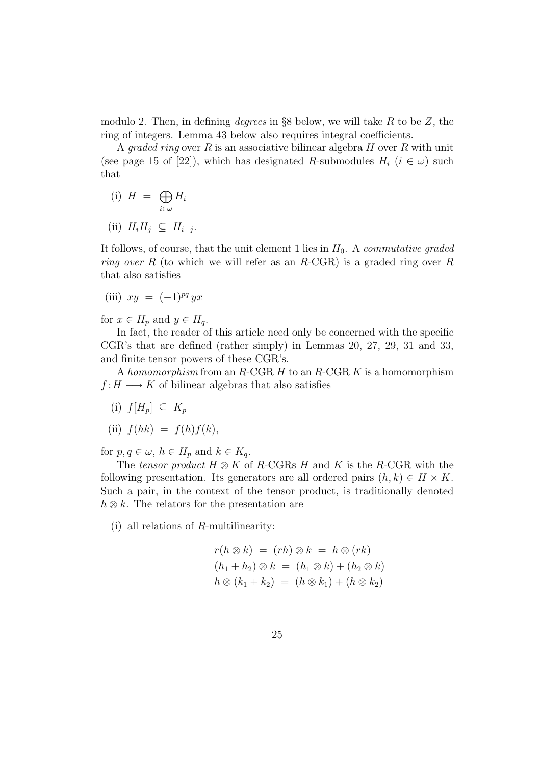modulo 2. Then, in defining *degrees* in §8 below, we will take R to be Z, the ring of integers. Lemma 43 below also requires integral coefficients.

A *graded ring* over R is an associative bilinear algebra  $H$  over R with unit (see page 15 of [22]), which has designated R-submodules  $H_i$  ( $i \in \omega$ ) such that

(i)  $H = \bigoplus$ i∈ω  $H_i$ (ii)  $H_i H_j \subseteq H_{i+j}$ .

It follows, of course, that the unit element 1 lies in  $H_0$ . A *commutative graded ring over* R (to which we will refer as an R-CGR) is a graded ring over R that also satisfies

(iii) 
$$
xy = (-1)^{pq} yx
$$

for  $x \in H_p$  and  $y \in H_q$ .

In fact, the reader of this article need only be concerned with the specific CGR's that are defined (rather simply) in Lemmas 20, 27, 29, 31 and 33, and finite tensor powers of these CGR's.

A homomorphism from an  $R$ -CGR  $H$  to an  $R$ -CGR  $K$  is a homomorphism  $f: H \longrightarrow K$  of bilinear algebras that also satisfies

(i)  $f[H_p] \subseteq K_p$ 

(ii) 
$$
f(hk) = f(h)f(k)
$$
,

for  $p, q \in \omega$ ,  $h \in H_p$  and  $k \in K_q$ .

The tensor product  $H \otimes K$  of R-CGRs H and K is the R-CGR with the following presentation. Its generators are all ordered pairs  $(h, k) \in H \times K$ . Such a pair, in the context of the tensor product, is traditionally denoted  $h \otimes k$ . The relators for the presentation are

(i) all relations of R-multilinearity:

$$
r(h \otimes k) = (rh) \otimes k = h \otimes (rk)
$$
  
\n
$$
(h_1 + h_2) \otimes k = (h_1 \otimes k) + (h_2 \otimes k)
$$
  
\n
$$
h \otimes (k_1 + k_2) = (h \otimes k_1) + (h \otimes k_2)
$$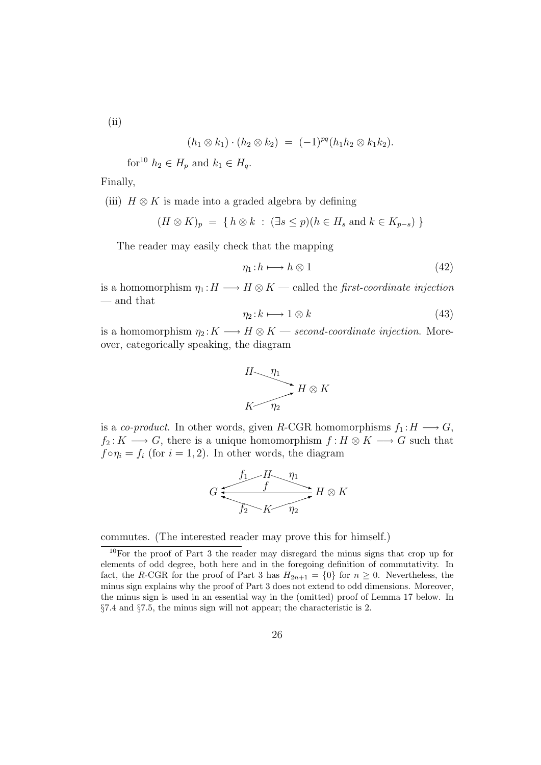(ii)

$$
(h_1 \otimes k_1) \cdot (h_2 \otimes k_2) = (-1)^{pq} (h_1 h_2 \otimes k_1 k_2).
$$

for<sup>10</sup>  $h_2 \in H_p$  and  $k_1 \in H_q$ .

Finally,

(iii)  $H \otimes K$  is made into a graded algebra by defining

$$
(H \otimes K)_p = \{ h \otimes k : (\exists s \le p)(h \in H_s \text{ and } k \in K_{p-s}) \}
$$

The reader may easily check that the mapping

$$
\eta_1: h \longmapsto h \otimes 1 \tag{42}
$$

is a homomorphism  $\eta_1 : H \longrightarrow H \otimes K$  — called the *first-coordinate injection* — and that

$$
\eta_2: k \longmapsto 1 \otimes k \tag{43}
$$

is a homomorphism  $\eta_2: K \longrightarrow H \otimes K$  — second-coordinate injection. Moreover, categorically speaking, the diagram

$$
H \longrightarrow \eta_1
$$
  

$$
K \longrightarrow H \otimes K
$$

is a co-product. In other words, given R-CGR homomorphisms  $f_1 : H \longrightarrow G$ ,  $f_2 : K \longrightarrow G$ , there is a unique homomorphism  $f : H \otimes K \longrightarrow G$  such that  $f \circ \eta_i = f_i$  (for  $i = 1, 2$ ). In other words, the diagram

$$
G \xrightarrow{f_1 \qquad H \qquad \eta_1} H \otimes K
$$
  

$$
f_2 \qquad K \qquad \eta_2
$$

commutes. (The interested reader may prove this for himself.)

<sup>10</sup>For the proof of Part 3 the reader may disregard the minus signs that crop up for elements of odd degree, both here and in the foregoing definition of commutativity. In fact, the R-CGR for the proof of Part 3 has  $H_{2n+1} = \{0\}$  for  $n \geq 0$ . Nevertheless, the minus sign explains why the proof of Part 3 does not extend to odd dimensions. Moreover, the minus sign is used in an essential way in the (omitted) proof of Lemma 17 below. In §7.4 and §7.5, the minus sign will not appear; the characteristic is 2.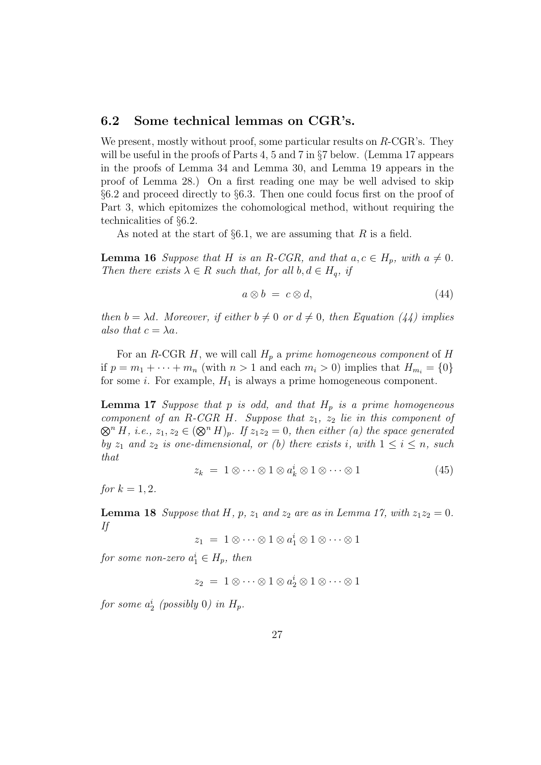### 6.2 Some technical lemmas on CGR's.

We present, mostly without proof, some particular results on  $R\text{-}CGR\text{'s}$ . They will be useful in the proofs of Parts 4, 5 and 7 in §7 below. (Lemma 17 appears in the proofs of Lemma 34 and Lemma 30, and Lemma 19 appears in the proof of Lemma 28.) On a first reading one may be well advised to skip §6.2 and proceed directly to §6.3. Then one could focus first on the proof of Part 3, which epitomizes the cohomological method, without requiring the technicalities of §6.2.

As noted at the start of  $\S6.1$ , we are assuming that R is a field.

**Lemma 16** Suppose that H is an R-CGR, and that  $a, c \in H_p$ , with  $a \neq 0$ . Then there exists  $\lambda \in R$  such that, for all  $b, d \in H_q$ , if

$$
a \otimes b = c \otimes d,\tag{44}
$$

then  $b = \lambda d$ . Moreover, if either  $b \neq 0$  or  $d \neq 0$ , then Equation (44) implies also that  $c = \lambda a$ .

For an R-CGR H, we will call  $H_p$  a prime homogeneous component of H if  $p = m_1 + \cdots + m_n$  (with  $n > 1$  and each  $m_i > 0$ ) implies that  $H_{m_i} = \{0\}$ for some *i*. For example,  $H_1$  is always a prime homogeneous component.

**Lemma 17** Suppose that p is odd, and that  $H_p$  is a prime homogeneous component of an R-CGR H. Suppose that  $z_1$ ,  $z_2$  lie in this component of  $\otimes^n H$ , i.e.,  $z_1, z_2 \in (\otimes^n H)_p$ . If  $z_1z_2 = 0$ , then either (a) the space generated by  $z_1$  and  $z_2$  is one-dimensional, or (b) there exists i, with  $1 \leq i \leq n$ , such that

$$
z_k = 1 \otimes \cdots \otimes 1 \otimes a_k^i \otimes 1 \otimes \cdots \otimes 1 \tag{45}
$$

for  $k = 1, 2$ .

**Lemma 18** Suppose that H, p,  $z_1$  and  $z_2$  are as in Lemma 17, with  $z_1z_2 = 0$ . If

 $z_1 = 1 \otimes \cdots \otimes 1 \otimes a_1^i \otimes 1 \otimes \cdots \otimes 1$ 

for some non-zero  $a_1^i \in H_p$ , then

$$
z_2 = 1 \otimes \cdots \otimes 1 \otimes a_2^i \otimes 1 \otimes \cdots \otimes 1
$$

for some  $a_2^i$  (possibly 0) in  $H_p$ .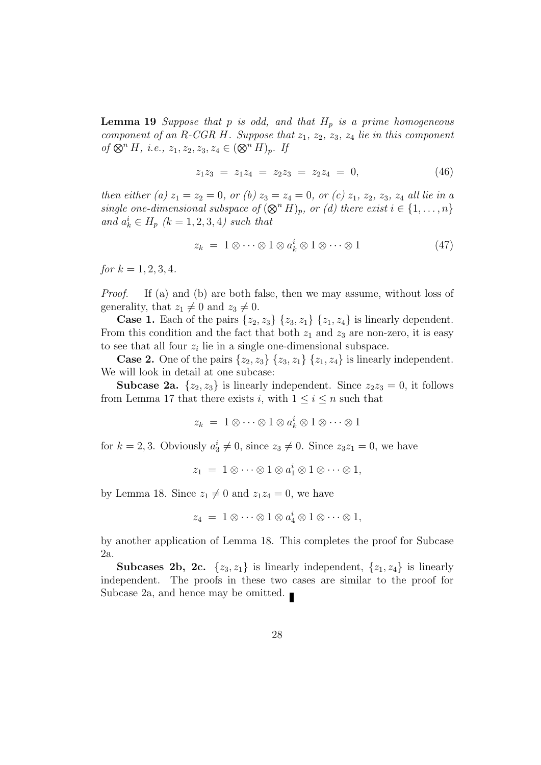**Lemma 19** Suppose that p is odd, and that  $H_p$  is a prime homogeneous component of an R-CGR H. Suppose that  $z_1$ ,  $z_2$ ,  $z_3$ ,  $z_4$  lie in this component of  $\otimes^n H$ , i.e.,  $z_1, z_2, z_3, z_4 \in (\otimes^n H)_p$ . If

$$
z_1 z_3 = z_1 z_4 = z_2 z_3 = z_2 z_4 = 0, \qquad (46)
$$

then either (a)  $z_1 = z_2 = 0$ , or (b)  $z_3 = z_4 = 0$ , or (c)  $z_1$ ,  $z_2$ ,  $z_3$ ,  $z_4$  all lie in a single one-dimensional subspace of  $(\otimes^n H)_p$ , or (d) there exist  $i \in \{1, \ldots, n\}$ and  $a_k^i \in H_p$   $(k = 1, 2, 3, 4)$  such that

$$
z_k = 1 \otimes \cdots \otimes 1 \otimes a_k^i \otimes 1 \otimes \cdots \otimes 1 \tag{47}
$$

for  $k = 1, 2, 3, 4$ .

Proof. If (a) and (b) are both false, then we may assume, without loss of generality, that  $z_1 \neq 0$  and  $z_3 \neq 0$ .

**Case 1.** Each of the pairs  $\{z_2, z_3\}$   $\{z_3, z_1\}$   $\{z_1, z_4\}$  is linearly dependent. From this condition and the fact that both  $z_1$  and  $z_3$  are non-zero, it is easy to see that all four  $z_i$  lie in a single one-dimensional subspace.

**Case 2.** One of the pairs  $\{z_2, z_3\}$   $\{z_3, z_1\}$   $\{z_1, z_4\}$  is linearly independent. We will look in detail at one subcase:

**Subcase 2a.**  $\{z_2, z_3\}$  is linearly independent. Since  $z_2z_3 = 0$ , it follows from Lemma 17 that there exists i, with  $1 \leq i \leq n$  such that

$$
z_k = 1 \otimes \cdots \otimes 1 \otimes a_k^i \otimes 1 \otimes \cdots \otimes 1
$$

for  $k = 2, 3$ . Obviously  $a_3^i \neq 0$ , since  $z_3 \neq 0$ . Since  $z_3z_1 = 0$ , we have

$$
z_1 = 1 \otimes \cdots \otimes 1 \otimes a_1^i \otimes 1 \otimes \cdots \otimes 1,
$$

by Lemma 18. Since  $z_1 \neq 0$  and  $z_1z_4 = 0$ , we have

$$
z_4 = 1 \otimes \cdots \otimes 1 \otimes a_4^i \otimes 1 \otimes \cdots \otimes 1,
$$

by another application of Lemma 18. This completes the proof for Subcase 2a.

Subcases 2b, 2c.  $\{z_3, z_1\}$  is linearly independent,  $\{z_1, z_4\}$  is linearly independent. The proofs in these two cases are similar to the proof for Subcase 2a, and hence may be omitted.  $\blacksquare$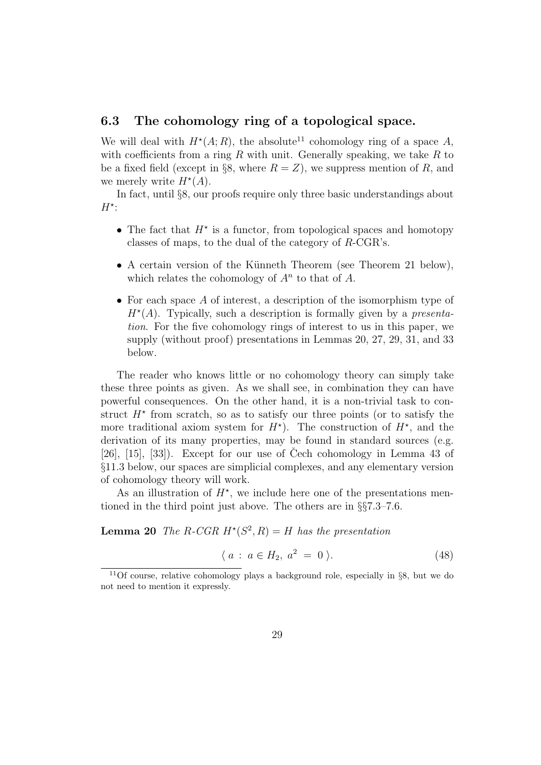### 6.3 The cohomology ring of a topological space.

We will deal with  $H^*(A; R)$ , the absolute<sup>11</sup> cohomology ring of a space A, with coefficients from a ring R with unit. Generally speaking, we take R to be a fixed field (except in §8, where  $R = Z$ ), we suppress mention of R, and we merely write  $H^*(A)$ .

In fact, until §8, our proofs require only three basic understandings about  $H^*$ :

- The fact that  $H^*$  is a functor, from topological spaces and homotopy classes of maps, to the dual of the category of R-CGR's.
- A certain version of the Künneth Theorem (see Theorem 21 below), which relates the cohomology of  $A<sup>n</sup>$  to that of A.
- For each space A of interest, a description of the isomorphism type of  $H^*(A)$ . Typically, such a description is formally given by a *presenta*tion. For the five cohomology rings of interest to us in this paper, we supply (without proof) presentations in Lemmas 20, 27, 29, 31, and 33 below.

The reader who knows little or no cohomology theory can simply take these three points as given. As we shall see, in combination they can have powerful consequences. On the other hand, it is a non-trivial task to construct  $H^*$  from scratch, so as to satisfy our three points (or to satisfy the more traditional axiom system for  $H^*$ ). The construction of  $H^*$ , and the derivation of its many properties, may be found in standard sources (e.g. [26],  $[15]$ ,  $[33]$ ). Except for our use of Cech cohomology in Lemma 43 of §11.3 below, our spaces are simplicial complexes, and any elementary version of cohomology theory will work.

As an illustration of  $H^*$ , we include here one of the presentations mentioned in the third point just above. The others are in §§7.3–7.6.

**Lemma 20** The R-CGR  $H^*(S^2, R) = H$  has the presentation

$$
\langle a : a \in H_2, a^2 = 0 \rangle.
$$
 (48)

<sup>&</sup>lt;sup>11</sup>Of course, relative cohomology plays a background role, especially in  $\S 8$ , but we do not need to mention it expressly.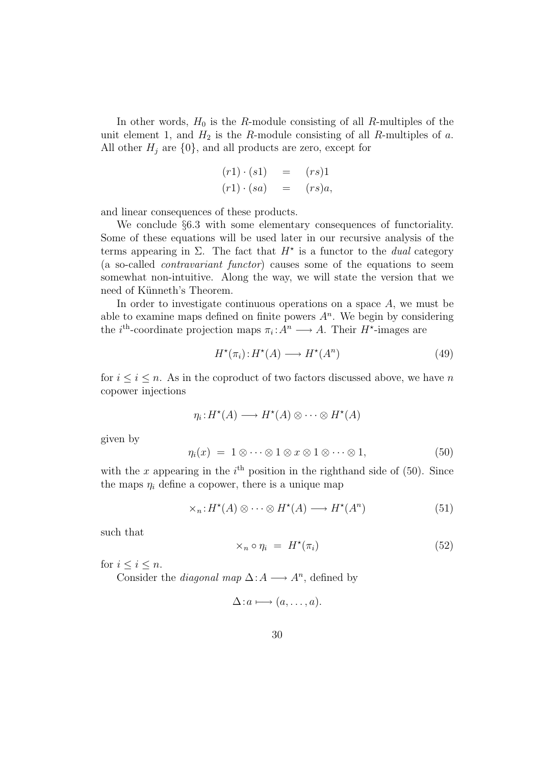In other words,  $H_0$  is the R-module consisting of all R-multiples of the unit element 1, and  $H_2$  is the R-module consisting of all R-multiples of a. All other  $H_i$  are  $\{0\}$ , and all products are zero, except for

$$
(r1) \cdot (s1) = (rs)1
$$
  

$$
(r1) \cdot (sa) = (rs)a,
$$

and linear consequences of these products.

We conclude §6.3 with some elementary consequences of functoriality. Some of these equations will be used later in our recursive analysis of the terms appearing in  $\Sigma$ . The fact that  $H^*$  is a functor to the *dual* category (a so-called contravariant functor) causes some of the equations to seem somewhat non-intuitive. Along the way, we will state the version that we need of Künneth's Theorem.

In order to investigate continuous operations on a space  $A$ , we must be able to examine maps defined on finite powers  $A<sup>n</sup>$ . We begin by considering the *i*<sup>th</sup>-coordinate projection maps  $\pi_i: A^n \longrightarrow A$ . Their  $H^*$ -images are

$$
H^{\star}(\pi_i): H^{\star}(A) \longrightarrow H^{\star}(A^n) \tag{49}
$$

for  $i \leq i \leq n$ . As in the coproduct of two factors discussed above, we have n copower injections

$$
\eta_i: H^{\star}(A) \longrightarrow H^{\star}(A) \otimes \cdots \otimes H^{\star}(A)
$$

given by

$$
\eta_i(x) = 1 \otimes \cdots \otimes 1 \otimes x \otimes 1 \otimes \cdots \otimes 1, \tag{50}
$$

with the x appearing in the  $i<sup>th</sup>$  position in the righthand side of (50). Since the maps  $\eta_i$  define a copower, there is a unique map

$$
\times_n: H^*(A) \otimes \cdots \otimes H^*(A) \longrightarrow H^*(A^n) \tag{51}
$$

such that

$$
\times_n \circ \eta_i = H^*(\pi_i) \tag{52}
$$

for  $i \leq i \leq n$ .

Consider the *diagonal map*  $\Delta: A \longrightarrow A^n$ , defined by

$$
\Delta: a \longmapsto (a, \dots, a).
$$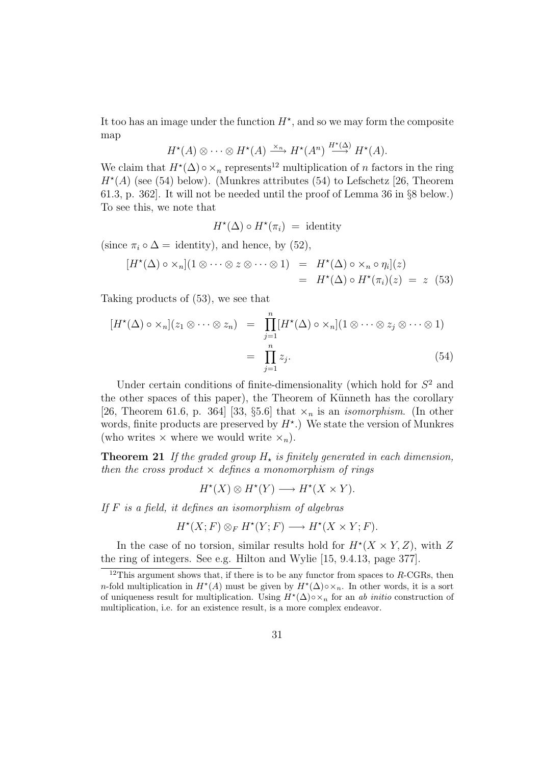It too has an image under the function  $H^*$ , and so we may form the composite map

$$
H^{\star}(A) \otimes \cdots \otimes H^{\star}(A) \xrightarrow{\times_n} H^{\star}(A^n) \xrightarrow{H^{\star}(\Delta)} H^{\star}(A).
$$

We claim that  $H^*(\Delta) \circ \times_n$  represents<sup>12</sup> multiplication of n factors in the ring  $H^{\star}(A)$  (see (54) below). (Munkres attributes (54) to Lefschetz [26, Theorem 61.3, p. 362]. It will not be needed until the proof of Lemma 36 in §8 below.) To see this, we note that

$$
H^{\star}(\Delta) \circ H^{\star}(\pi_i) = \text{identity}
$$

(since  $\pi_i \circ \Delta = \text{identity}$ ), and hence, by (52),

$$
[H^*(\Delta) \circ \times_n](1 \otimes \cdots \otimes z \otimes \cdots \otimes 1) = H^*(\Delta) \circ \times_n \circ \eta_i](z)
$$
  
=  $H^*(\Delta) \circ H^*(\pi_i)(z) = z$  (53)

Taking products of (53), we see that

$$
[H^{\star}(\Delta) \circ \times_n](z_1 \otimes \cdots \otimes z_n) = \prod_{j=1}^n [H^{\star}(\Delta) \circ \times_n](1 \otimes \cdots \otimes z_j \otimes \cdots \otimes 1)
$$
  

$$
= \prod_{j=1}^n z_j.
$$
 (54)

Under certain conditions of finite-dimensionality (which hold for  $S<sup>2</sup>$  and the other spaces of this paper), the Theorem of Künneth has the corollary [26, Theorem 61.6, p. 364] [33, §5.6] that  $\times_n$  is an *isomorphism*. (In other words, finite products are preserved by  $H^*$ .) We state the version of Munkres (who writes  $\times$  where we would write  $\times_n$ ).

**Theorem 21** If the graded group  $H<sub>*</sub>$  is finitely generated in each dimension, then the cross product  $\times$  defines a monomorphism of rings

$$
H^*(X) \otimes H^*(Y) \longrightarrow H^*(X \times Y).
$$

If  $F$  is a field, it defines an isomorphism of algebras

$$
H^*(X;F) \otimes_F H^*(Y;F) \longrightarrow H^*(X \times Y;F).
$$

In the case of no torsion, similar results hold for  $H^*(X \times Y, Z)$ , with Z the ring of integers. See e.g. Hilton and Wylie [15, 9.4.13, page 377].

<sup>&</sup>lt;sup>12</sup>This argument shows that, if there is to be any functor from spaces to  $R$ -CGRs, then n-fold multiplication in  $H^*(A)$  must be given by  $H^*(\Delta) \circ \times_n$ . In other words, it is a sort of uniqueness result for multiplication. Using  $H^*(\Delta) \circ \times_n$  for an ab initio construction of multiplication, i.e. for an existence result, is a more complex endeavor.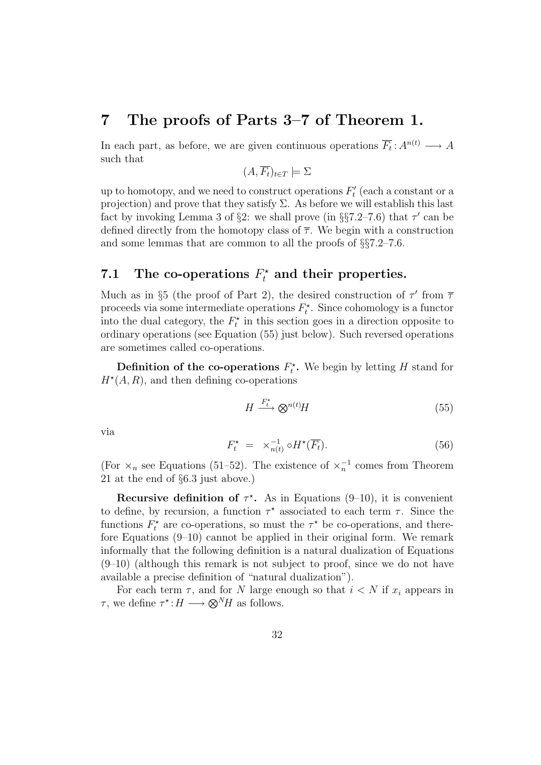## 7 The proofs of Parts 3–7 of Theorem 1.

In each part, as before, we are given continuous operations  $\overline{F_t}: A^{n(t)} \longrightarrow A$ such that

$$
(A,\overline{F_t})_{t \in T} \models \Sigma
$$

up to homotopy, and we need to construct operations  $F_t'$  $t'$  (each a constant or a projection) and prove that they satisfy  $\Sigma$ . As before we will establish this last fact by invoking Lemma 3 of §2: we shall prove (in §§7.2–7.6) that  $\tau'$  can be defined directly from the homotopy class of  $\overline{\tau}$ . We begin with a construction and some lemmas that are common to all the proofs of §§7.2–7.6.

# 7.1 The co-operations  $F_t^*$  and their properties.

Much as in §5 (the proof of Part 2), the desired construction of  $\tau'$  from  $\overline{\tau}$ proceeds via some intermediate operations  $F_t^*$ . Since cohomology is a functor into the dual category, the  $F_t^*$  in this section goes in a direction opposite to ordinary operations (see Equation (55) just below). Such reversed operations are sometimes called co-operations.

**Definition of the co-operations**  $F_t^*$ . We begin by letting H stand for  $H^*(A, R)$ , and then defining co-operations

$$
H \xrightarrow{F_t^*} \otimes^{n(t)} H \tag{55}
$$

via

$$
F_t^* = \times_{n(t)}^{-1} \circ H^*(\overline{F_t}). \tag{56}
$$

(For  $\times_n$  see Equations (51–52). The existence of  $\times_n^{-1}$  comes from Theorem 21 at the end of §6.3 just above.)

Recursive definition of  $\tau^*$ . As in Equations (9-10), it is convenient to define, by recursion, a function  $\tau^*$  associated to each term  $\tau$ . Since the functions  $F_t^*$  are co-operations, so must the  $\tau^*$  be co-operations, and therefore Equations (9–10) cannot be applied in their original form. We remark informally that the following definition is a natural dualization of Equations  $(9-10)$  (although this remark is not subject to proof, since we do not have available a precise definition of "natural dualization").

For each term  $\tau$ , and for N large enough so that  $i < N$  if  $x_i$  appears in  $\tau$ , we define  $\tau^*$ :  $H \longrightarrow \otimes^N H$  as follows.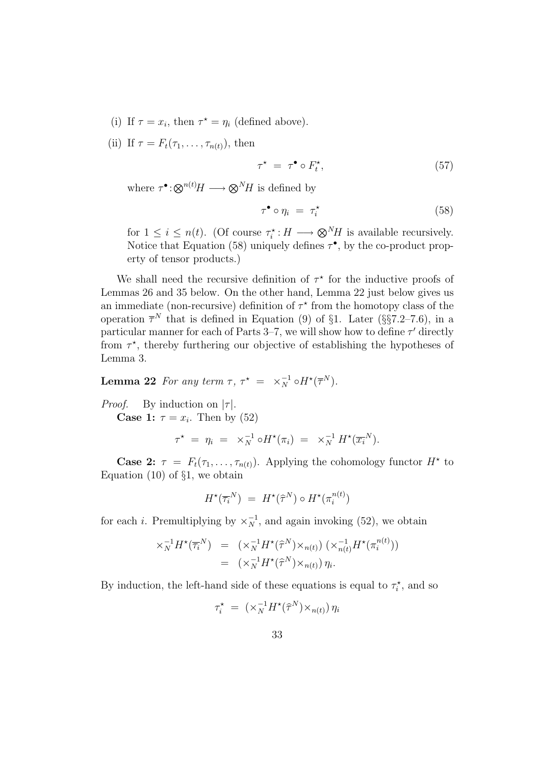- (i) If  $\tau = x_i$ , then  $\tau^* = \eta_i$  (defined above).
- (ii) If  $\tau = F_t(\tau_1, \ldots, \tau_{n(t)})$ , then

$$
\tau^* = \tau^{\bullet} \circ F_t^*, \tag{57}
$$

where  $\tau^{\bullet}$ : $\bigotimes^{n(t)} H \longrightarrow \bigotimes^{N} H$  is defined by

$$
\tau^{\bullet} \circ \eta_i = \tau_i^{\star} \tag{58}
$$

for  $1 \leq i \leq n(t)$ . (Of course  $\tau_i^* : H \longrightarrow \otimes^N H$  is available recursively. Notice that Equation (58) uniquely defines  $\tau^{\bullet}$ , by the co-product property of tensor products.)

We shall need the recursive definition of  $\tau^*$  for the inductive proofs of Lemmas 26 and 35 below. On the other hand, Lemma 22 just below gives us an immediate (non-recursive) definition of  $\tau^*$  from the homotopy class of the operation  $\overline{\tau}^N$  that is defined in Equation (9) of §1. Later (§§7.2–7.6), in a particular manner for each of Parts 3-7, we will show how to define  $\tau'$  directly from  $\tau^*$ , thereby furthering our objective of establishing the hypotheses of Lemma 3.

**Lemma 22** For any term  $\tau$ ,  $\tau^* = \times_N^{-1} \circ H^*(\overline{\tau}^N)$ .

*Proof.* By induction on  $|\tau|$ .

**Case 1:**  $\tau = x_i$ . Then by (52)

$$
\tau^{\star} \; = \; \eta_i \; = \; \; \times^{-1}_N \circ H^{\star}(\pi_i) \; = \; \; \times^{-1}_N \, H^{\star}(\overline{x_i}^N).
$$

**Case 2:**  $\tau = F_t(\tau_1, \ldots, \tau_{n(t)})$ . Applying the cohomology functor  $H^*$  to Equation  $(10)$  of  $\S1$ , we obtain

$$
H^{\star}(\overline{\tau_i}^N) = H^{\star}(\widehat{\tau}^N) \circ H^{\star}(\pi_i^{n(t)})
$$

for each *i*. Premultiplying by  $\times_N^{-1}$ , and again invoking (52), we obtain

$$
\times_N^{-1} H^{\star}(\overline{\tau_i}^N) = (\times_N^{-1} H^{\star}(\widehat{\tau}^N) \times_{n(t)}) (\times_{n(t)}^{-1} H^{\star}(\pi_i^{n(t)}))
$$
  

$$
= (\times_N^{-1} H^{\star}(\widehat{\tau}^N) \times_{n(t)}) \eta_i.
$$

By induction, the left-hand side of these equations is equal to  $\tau_i^*$ , and so

$$
\tau_i^{\star} = (\times_N^{-1} H^{\star}(\widehat{\tau}^N) \times_{n(t)}) \eta_i
$$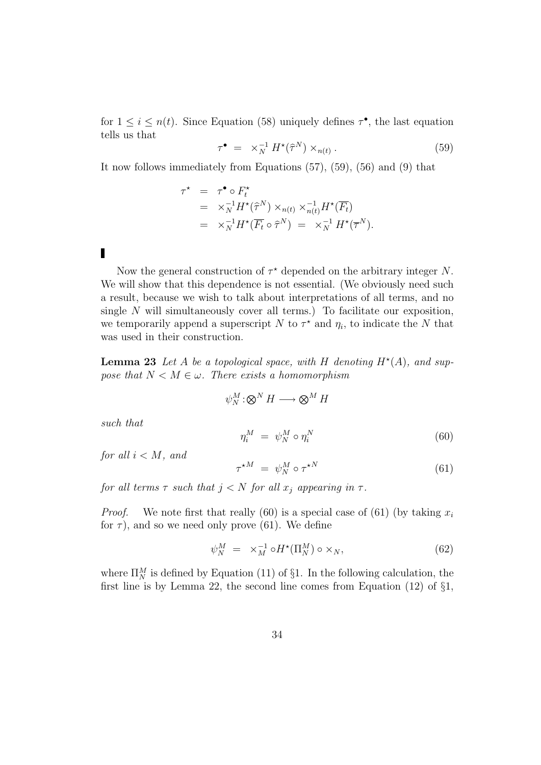for  $1 \leq i \leq n(t)$ . Since Equation (58) uniquely defines  $\tau^{\bullet}$ , the last equation tells us that

$$
\tau^{\bullet} = \times_N^{-1} H^{\star}(\hat{\tau}^N) \times_{n(t)} . \tag{59}
$$

It now follows immediately from Equations (57), (59), (56) and (9) that

$$
\tau^{\star} = \tau^{\bullet} \circ F_t^{\star}
$$
  
=  $\times_N^{-1} H^{\star}(\hat{\tau}^N) \times_{n(t)} \times_{n(t)}^{-1} H^{\star}(\overline{F_t})$   
=  $\times_N^{-1} H^{\star}(\overline{F_t} \circ \hat{\tau}^N) = \times_N^{-1} H^{\star}(\overline{\tau}^N).$ 

 $\blacksquare$ 

Now the general construction of  $\tau^*$  depended on the arbitrary integer N. We will show that this dependence is not essential. (We obviously need such a result, because we wish to talk about interpretations of all terms, and no single  $N$  will simultaneously cover all terms.) To facilitate our exposition, we temporarily append a superscript N to  $\tau^*$  and  $\eta_i$ , to indicate the N that was used in their construction.

**Lemma 23** Let A be a topological space, with H denoting  $H^*(A)$ , and suppose that  $N < M \in \omega$ . There exists a homomorphism

$$
\psi_N^M : \otimes^N H \longrightarrow \otimes^M H
$$

such that

$$
\eta_i^M = \psi_N^M \circ \eta_i^N \tag{60}
$$

for all  $i < M$ , and

$$
\tau^{\star M} = \psi_N^M \circ \tau^{\star N} \tag{61}
$$

for all terms  $\tau$  such that  $j < N$  for all  $x_j$  appearing in  $\tau$ .

*Proof.* We note first that really (60) is a special case of (61) (by taking  $x_i$ for  $\tau$ ), and so we need only prove (61). We define

$$
\psi_N^M = \times_M^{-1} \circ H^\star(\Pi_N^M) \circ \times_N,\tag{62}
$$

where  $\Pi_N^M$  is defined by Equation (11) of §1. In the following calculation, the first line is by Lemma 22, the second line comes from Equation (12) of §1,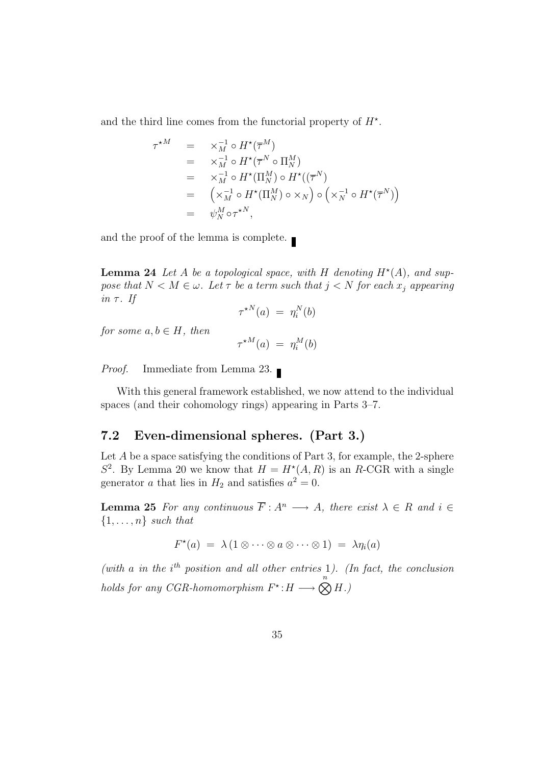and the third line comes from the functorial property of  $H^*$ .

$$
\tau^{\star M} = \times_M^{-1} \circ H^{\star}(\overline{\tau}^M)
$$
  
\n
$$
= \times_M^{-1} \circ H^{\star}(\overline{\tau}^N \circ \Pi_N^M)
$$
  
\n
$$
= \times_M^{-1} \circ H^{\star}(\Pi_N^M) \circ H^{\star}((\overline{\tau}^N)
$$
  
\n
$$
= (\times_M^{-1} \circ H^{\star}(\Pi_N^M) \circ \times_N) \circ (\times_N^{-1} \circ H^{\star}(\overline{\tau}^N))
$$
  
\n
$$
= \psi_N^M \circ \tau^{\star N},
$$

and the proof of the lemma is complete.

**Lemma 24** Let A be a topological space, with H denoting  $H^*(A)$ , and suppose that  $N < M \in \omega$ . Let  $\tau$  be a term such that  $j < N$  for each  $x_j$  appearing in  $\tau$ . If

$$
\tau^{\star N}(a) = \eta_i^N(b)
$$

for some  $a, b \in H$ , then

$$
\tau^{\star M}(a) \; = \; \eta_i^M(b)
$$

Proof. Immediate from Lemma 23.

With this general framework established, we now attend to the individual spaces (and their cohomology rings) appearing in Parts 3–7.

## 7.2 Even-dimensional spheres. (Part 3.)

Let  $A$  be a space satisfying the conditions of Part 3, for example, the 2-sphere  $S^2$ . By Lemma 20 we know that  $H = H^*(A, R)$  is an R-CGR with a single generator a that lies in  $H_2$  and satisfies  $a^2 = 0$ .

**Lemma 25** For any continuous  $\overline{F}: A^n \longrightarrow A$ , there exist  $\lambda \in R$  and  $i \in$  $\{1, \ldots, n\}$  such that

$$
F^{\star}(a) = \lambda (1 \otimes \cdots \otimes a \otimes \cdots \otimes 1) = \lambda \eta_i(a)
$$

(with a in the  $i<sup>th</sup>$  position and all other entries 1). (In fact, the conclusion holds for any CGR-homomorphism  $F^* : H \longrightarrow \bigotimes^n H$ .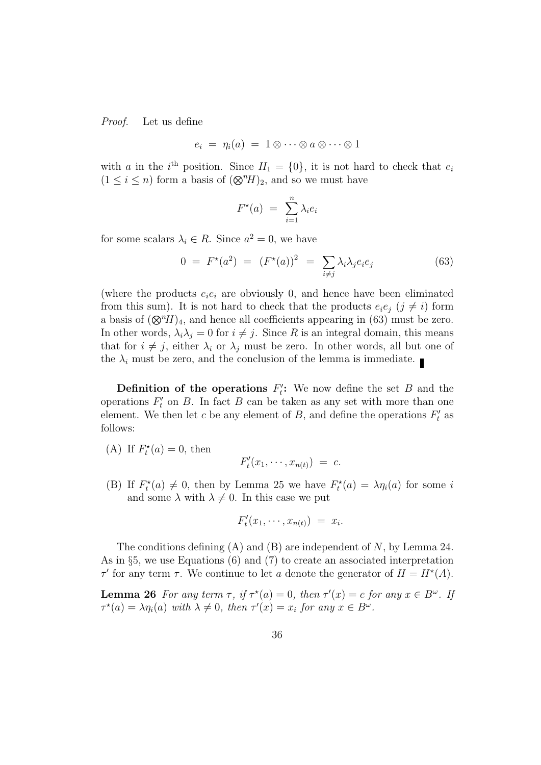Proof. Let us define

$$
e_i = \eta_i(a) = 1 \otimes \cdots \otimes a \otimes \cdots \otimes 1
$$

with a in the i<sup>th</sup> position. Since  $H_1 = \{0\}$ , it is not hard to check that  $e_i$  $(1 \leq i \leq n)$  form a basis of  $({\otimes}^n H)_2$ , and so we must have

$$
F^{\star}(a) = \sum_{i=1}^{n} \lambda_i e_i
$$

for some scalars  $\lambda_i \in R$ . Since  $a^2 = 0$ , we have

$$
0 = F^*(a^2) = (F^*(a))^2 = \sum_{i \neq j} \lambda_i \lambda_j e_i e_j \tag{63}
$$

(where the products  $e_i e_i$  are obviously 0, and hence have been eliminated from this sum). It is not hard to check that the products  $e_i e_j$  ( $j \neq i$ ) form a basis of  $(\mathbb{Q}^n H)_4$ , and hence all coefficients appearing in (63) must be zero. In other words,  $\lambda_i \lambda_j = 0$  for  $i \neq j$ . Since R is an integral domain, this means that for  $i \neq j$ , either  $\lambda_i$  or  $\lambda_j$  must be zero. In other words, all but one of the  $\lambda_i$  must be zero, and the conclusion of the lemma is immediate.

Definition of the operations  $F_t$ ": We now define the set  $B$  and the operations  $F_t'$  $t'$  on B. In fact B can be taken as any set with more than one element. We then let c be any element of B, and define the operations  $F_t$  $t'$  as follows:

(A) If  $F_t^*(a) = 0$ , then

$$
F'_t(x_1,\cdots,x_{n(t)}) = c.
$$

(B) If  $F_t^*(a) \neq 0$ , then by Lemma 25 we have  $F_t^*(a) = \lambda \eta_i(a)$  for some i and some  $\lambda$  with  $\lambda \neq 0$ . In this case we put

$$
F'_t(x_1,\cdots,x_{n(t)}) = x_i.
$$

The conditions defining  $(A)$  and  $(B)$  are independent of N, by Lemma 24. As in §5, we use Equations (6) and (7) to create an associated interpretation τ' for any term τ. We continue to let a denote the generator of  $H = H^*(A)$ .

**Lemma 26** For any term  $\tau$ , if  $\tau^*(a) = 0$ , then  $\tau'(x) = c$  for any  $x \in B^{\omega}$ . If  $\tau^*(a) = \lambda \eta_i(a)$  with  $\lambda \neq 0$ , then  $\tau'(x) = x_i$  for any  $x \in B^{\omega}$ .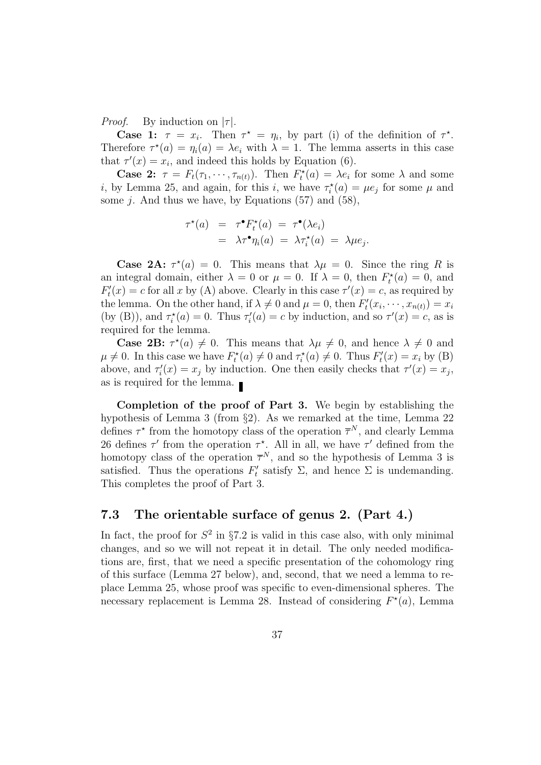*Proof.* By induction on  $|\tau|$ .

Case 1:  $\tau = x_i$ . Then  $\tau^* = \eta_i$ , by part (i) of the definition of  $\tau^*$ . Therefore  $\tau^*(a) = \eta_i(a) = \lambda e_i$  with  $\lambda = 1$ . The lemma asserts in this case that  $\tau'(x) = x_i$ , and indeed this holds by Equation (6).

**Case 2:**  $\tau = F_t(\tau_1, \dots, \tau_{n(t)})$ . Then  $F_t^*(a) = \lambda e_i$  for some  $\lambda$  and some *i*, by Lemma 25, and again, for this *i*, we have  $\tau_i^*(a) = \mu e_j$  for some  $\mu$  and some *j*. And thus we have, by Equations  $(57)$  and  $(58)$ ,

$$
\tau^*(a) = \tau^{\bullet} F_t^*(a) = \tau^{\bullet} (\lambda e_i)
$$
  
=  $\lambda \tau^{\bullet} \eta_i(a) = \lambda \tau_i^*(a) = \lambda \mu e_j.$ 

**Case 2A:**  $\tau^*(a) = 0$ . This means that  $\lambda \mu = 0$ . Since the ring R is an integral domain, either  $\lambda = 0$  or  $\mu = 0$ . If  $\lambda = 0$ , then  $F_t^*(a) = 0$ , and  $F_t'$  $t''_t(x) = c$  for all x by (A) above. Clearly in this case  $\tau'(x) = c$ , as required by the lemma. On the other hand, if  $\lambda \neq 0$  and  $\mu = 0$ , then  $F_t$  $x'_{t}(x_{i}, \cdots, x_{n(t)}) = x_{i}$ (by (B)), and  $\tau_i^*(a) = 0$ . Thus  $\tau_i'$  $\tau'(a) = c$  by induction, and so  $\tau'(x) = c$ , as is required for the lemma.

**Case 2B:**  $\tau^*(a) \neq 0$ . This means that  $\lambda \mu \neq 0$ , and hence  $\lambda \neq 0$  and  $\mu \neq 0$ . In this case we have  $F_t^*(a) \neq 0$  and  $\tau_i^*(a) \neq 0$ . Thus  $F_t'$  $t'_{t}(x) = x_{i}$  by (B) above, and  $\tau_i'$  $\tau'_i(x) = x_j$  by induction. One then easily checks that  $\tau'(x) = x_j$ , as is required for the lemma.

Completion of the proof of Part 3. We begin by establishing the hypothesis of Lemma 3 (from §2). As we remarked at the time, Lemma 22 defines  $\tau^*$  from the homotopy class of the operation  $\overline{\tau}^N$ , and clearly Lemma 26 defines  $\tau'$  from the operation  $\tau^*$ . All in all, we have  $\tau'$  defined from the homotopy class of the operation  $\bar{\tau}^N$ , and so the hypothesis of Lemma 3 is satisfied. Thus the operations  $F_t'$  $\mathcal{L}_t$  satisfy Σ, and hence Σ is undemanding. This completes the proof of Part 3.

### 7.3 The orientable surface of genus 2. (Part 4.)

In fact, the proof for  $S^2$  in §7.2 is valid in this case also, with only minimal changes, and so we will not repeat it in detail. The only needed modifications are, first, that we need a specific presentation of the cohomology ring of this surface (Lemma 27 below), and, second, that we need a lemma to replace Lemma 25, whose proof was specific to even-dimensional spheres. The necessary replacement is Lemma 28. Instead of considering  $F^*(a)$ , Lemma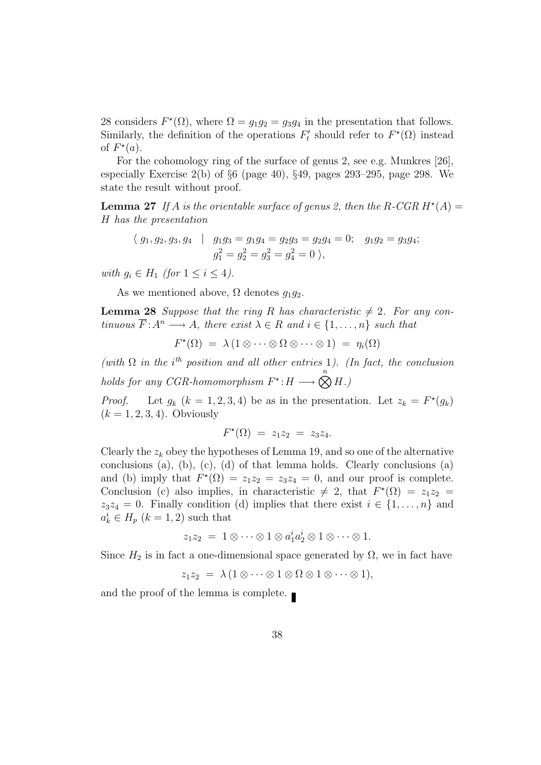28 considers  $F^*(\Omega)$ , where  $\Omega = g_1 g_2 = g_3 g_4$  in the presentation that follows. Similarly, the definition of the operations  $F_t'$ '' should refer to  $F^{\star}(\Omega)$  instead of  $F^*(a)$ .

For the cohomology ring of the surface of genus 2, see e.g. Munkres [26], especially Exercise  $2(b)$  of  $\S6$  (page 40),  $\S49$ , pages  $293-295$ , page 298. We state the result without proof.

**Lemma 27** If A is the orientable surface of genus 2, then the R-CGR  $H^*(A)$  = H has the presentation

 $\langle g_1, g_2, g_3, g_4 | g_1g_3 = g_1g_4 = g_2g_3 = g_2g_4 = 0; g_1g_2 = g_3g_4;$  $g_1^2 = g_2^2 = g_3^2 = g_4^2 = 0$ ,

with  $g_i \in H_1$  (for  $1 \leq i \leq 4$ ).

As we mentioned above,  $\Omega$  denotes  $q_1q_2$ .

**Lemma 28** Suppose that the ring R has characteristic  $\neq$  2. For any continuous  $\overline{F}$ :  $A^n \longrightarrow A$ , there exist  $\lambda \in R$  and  $i \in \{1, \ldots, n\}$  such that

$$
F^{\star}(\Omega) = \lambda (1 \otimes \cdots \otimes \Omega \otimes \cdots \otimes 1) = \eta_i(\Omega)
$$

(with  $\Omega$  in the i<sup>th</sup> position and all other entries 1). (In fact, the conclusion holds for any CGR-homomorphism  $F^* : H \longrightarrow \bigotimes^n H$ .

*Proof.* Let  $g_k$   $(k = 1, 2, 3, 4)$  be as in the presentation. Let  $z_k = F^*(g_k)$  $(k = 1, 2, 3, 4)$ . Obviously

$$
F^{\star}(\Omega) = z_1 z_2 = z_3 z_4.
$$

Clearly the  $z_k$  obey the hypotheses of Lemma 19, and so one of the alternative conclusions (a), (b), (c), (d) of that lemma holds. Clearly conclusions (a) and (b) imply that  $F^*(\Omega) = z_1z_2 = z_3z_4 = 0$ , and our proof is complete. Conclusion (c) also implies, in characteristic  $\neq 2$ , that  $F^{\star}(\Omega) = z_1 z_2 =$  $z_3z_4 = 0$ . Finally condition (d) implies that there exist  $i \in \{1, \ldots, n\}$  and  $a_k^i \in H_p \ (k=1,2)$  such that

$$
z_1 z_2 = 1 \otimes \cdots \otimes 1 \otimes a_1^i a_2^i \otimes 1 \otimes \cdots \otimes 1.
$$

Since  $H_2$  is in fact a one-dimensional space generated by  $\Omega$ , we in fact have

$$
z_1 z_2 = \lambda (1 \otimes \cdots \otimes 1 \otimes \Omega \otimes 1 \otimes \cdots \otimes 1),
$$

and the proof of the lemma is complete.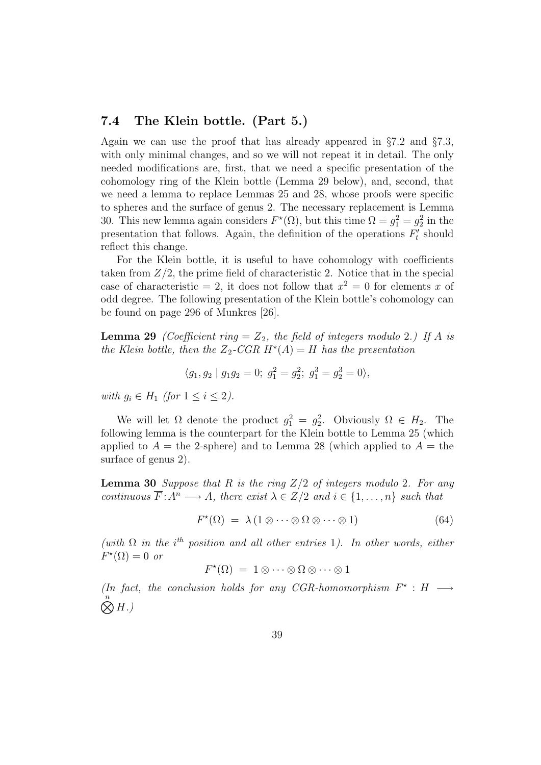### 7.4 The Klein bottle. (Part 5.)

Again we can use the proof that has already appeared in  $\S7.2$  and  $\S7.3$ , with only minimal changes, and so we will not repeat it in detail. The only needed modifications are, first, that we need a specific presentation of the cohomology ring of the Klein bottle (Lemma 29 below), and, second, that we need a lemma to replace Lemmas 25 and 28, whose proofs were specific to spheres and the surface of genus 2. The necessary replacement is Lemma 30. This new lemma again considers  $F^*(\Omega)$ , but this time  $\Omega = g_1^2 = g_2^2$  in the presentation that follows. Again, the definition of the operations  $F_t'$  $t'$  should reflect this change.

For the Klein bottle, it is useful to have cohomology with coefficients taken from  $Z/2$ , the prime field of characteristic 2. Notice that in the special case of characteristic = 2, it does not follow that  $x^2 = 0$  for elements x of odd degree. The following presentation of the Klein bottle's cohomology can be found on page 296 of Munkres [26].

**Lemma 29** (Coefficient ring  $Z_2$ , the field of integers modulo 2.) If A is the Klein bottle, then the  $Z_2$ -CGR  $H^*(A) = H$  has the presentation

$$
\langle g_1, g_2 | g_1 g_2 = 0; g_1^2 = g_2^2; g_1^3 = g_2^3 = 0 \rangle,
$$

with  $g_i \in H_1$  (for  $1 \leq i \leq 2$ ).

We will let  $\Omega$  denote the product  $g_1^2 = g_2^2$ . Obviously  $\Omega \in H_2$ . The following lemma is the counterpart for the Klein bottle to Lemma 25 (which applied to  $A =$  the 2-sphere) and to Lemma 28 (which applied to  $A =$  the surface of genus 2).

**Lemma 30** Suppose that R is the ring  $Z/2$  of integers modulo 2. For any continuous  $\overline{F} : A^n \longrightarrow A$ , there exist  $\lambda \in \mathbb{Z}/2$  and  $i \in \{1, \ldots, n\}$  such that

$$
F^{\star}(\Omega) = \lambda (1 \otimes \cdots \otimes \Omega \otimes \cdots \otimes 1) \tag{64}
$$

(with  $\Omega$  in the i<sup>th</sup> position and all other entries 1). In other words, either  $F^{\star}(\Omega) = 0$  or

$$
F^{\star}(\Omega) = 1 \otimes \cdots \otimes \Omega \otimes \cdots \otimes 1
$$

(In fact, the conclusion holds for any CGR-homomorphism  $F^* : H \longrightarrow$  $\bigotimes^n H$ .)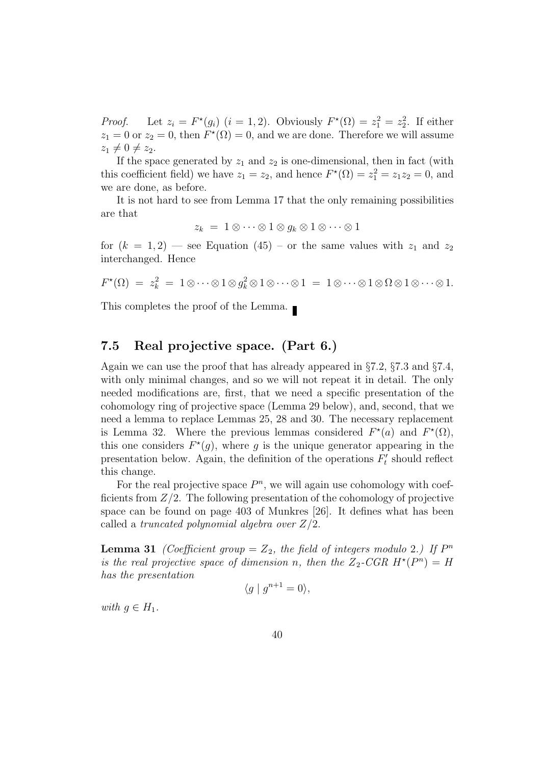*Proof.* Let  $z_i = F^*(g_i)$   $(i = 1, 2)$ . Obviously  $F^*(\Omega) = z_1^2 = z_2^2$ . If either  $z_1 = 0$  or  $z_2 = 0$ , then  $F^*(\Omega) = 0$ , and we are done. Therefore we will assume  $z_1 \neq 0 \neq z_2$ .

If the space generated by  $z_1$  and  $z_2$  is one-dimensional, then in fact (with this coefficient field) we have  $z_1 = z_2$ , and hence  $F^*(\Omega) = z_1^2 = z_1 z_2 = 0$ , and we are done, as before.

It is not hard to see from Lemma 17 that the only remaining possibilities are that

$$
z_k = 1 \otimes \cdots \otimes 1 \otimes g_k \otimes 1 \otimes \cdots \otimes 1
$$

for  $(k = 1, 2)$  — see Equation (45) – or the same values with  $z_1$  and  $z_2$ interchanged. Hence

$$
F^{\star}(\Omega) = z_k^2 = 1 \otimes \cdots \otimes 1 \otimes g_k^2 \otimes 1 \otimes \cdots \otimes 1 = 1 \otimes \cdots \otimes 1 \otimes \Omega \otimes 1 \otimes \cdots \otimes 1.
$$

This completes the proof of the Lemma.

### 7.5 Real projective space. (Part 6.)

Again we can use the proof that has already appeared in §7.2, §7.3 and §7.4, with only minimal changes, and so we will not repeat it in detail. The only needed modifications are, first, that we need a specific presentation of the cohomology ring of projective space (Lemma 29 below), and, second, that we need a lemma to replace Lemmas 25, 28 and 30. The necessary replacement is Lemma 32. Where the previous lemmas considered  $F^*(a)$  and  $F^*(\Omega)$ , this one considers  $F^*(g)$ , where g is the unique generator appearing in the presentation below. Again, the definition of the operations  $F_t$  $t'$  should reflect this change.

For the real projective space  $P^n$ , we will again use cohomology with coefficients from  $Z/2$ . The following presentation of the cohomology of projective space can be found on page 403 of Munkres [26]. It defines what has been called a truncated polynomial algebra over  $Z/2$ .

**Lemma 31** (Coefficient group =  $Z_2$ , the field of integers modulo 2.) If  $P^n$ is the real projective space of dimension n, then the  $Z_2$ -CGR  $H^*(P^n) = H$ has the presentation

$$
\langle g \mid g^{n+1} = 0 \rangle,
$$

with  $g \in H_1$ .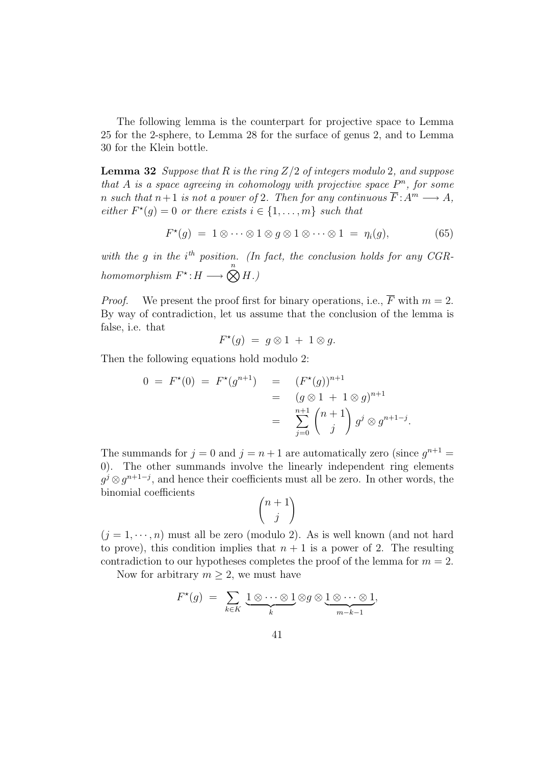The following lemma is the counterpart for projective space to Lemma 25 for the 2-sphere, to Lemma 28 for the surface of genus 2, and to Lemma 30 for the Klein bottle.

**Lemma 32** Suppose that R is the ring  $Z/2$  of integers modulo 2, and suppose that A is a space agreeing in cohomology with projective space  $P^n$ , for some n such that  $n+1$  is not a power of 2. Then for any continuous  $\overline{F}$ :  $A^m \longrightarrow A$ , either  $F^*(g) = 0$  or there exists  $i \in \{1, \ldots, m\}$  such that

$$
F^{\star}(g) = 1 \otimes \cdots \otimes 1 \otimes g \otimes 1 \otimes \cdots \otimes 1 = \eta_i(g), \tag{65}
$$

.

with the g in the  $i<sup>th</sup>$  position. (In fact, the conclusion holds for any CGRhomomorphism  $F^*$ :  $H \longrightarrow \bigotimes^n H$ .)

*Proof.* We present the proof first for binary operations, i.e.,  $\overline{F}$  with  $m = 2$ . By way of contradiction, let us assume that the conclusion of the lemma is false, i.e. that

$$
F^{\star}(g) = g \otimes 1 + 1 \otimes g.
$$

Then the following equations hold modulo 2:

$$
0 = F^*(0) = F^*(g^{n+1}) = (F^*(g))^{n+1}
$$
  
=  $(g \otimes 1 + 1 \otimes g)^{n+1}$   
=  $\sum_{j=0}^{n+1} {n+1 \choose j} g^j \otimes g^{n+1-j}$ 

The summands for  $j = 0$  and  $j = n + 1$  are automatically zero (since  $g^{n+1} =$ 0). The other summands involve the linearly independent ring elements  $g^j \otimes g^{n+1-j}$ , and hence their coefficients must all be zero. In other words, the binomial coefficients

$$
\binom{n+1}{j}
$$

 $(j = 1, \dots, n)$  must all be zero (modulo 2). As is well known (and not hard to prove), this condition implies that  $n + 1$  is a power of 2. The resulting contradiction to our hypotheses completes the proof of the lemma for  $m = 2$ .

Now for arbitrary  $m \geq 2$ , we must have

$$
F^{\star}(g) = \sum_{k \in K} \underbrace{1 \otimes \cdots \otimes 1}_{k} \otimes g \otimes \underbrace{1 \otimes \cdots \otimes 1}_{m-k-1},
$$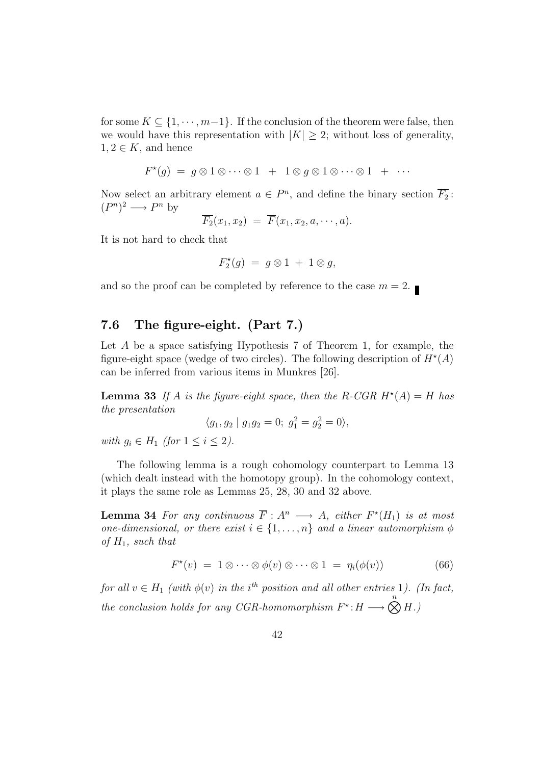for some  $K \subseteq \{1, \dots, m-1\}$ . If the conclusion of the theorem were false, then we would have this representation with  $|K| \geq 2$ ; without loss of generality,  $1, 2 \in K$ , and hence

$$
F^{\star}(g) = g \otimes 1 \otimes \cdots \otimes 1 + 1 \otimes g \otimes 1 \otimes \cdots \otimes 1 + \cdots
$$

Now select an arbitrary element  $a \in P^n$ , and define the binary section  $\overline{F_2}$ :  $(P^n)^2 \longrightarrow P^n$  by

$$
\overline{F_2}(x_1, x_2) = \overline{F}(x_1, x_2, a, \cdots, a).
$$

It is not hard to check that

$$
F_2^{\star}(g) = g \otimes 1 + 1 \otimes g,
$$

and so the proof can be completed by reference to the case  $m = 2$ .

### 7.6 The figure-eight. (Part 7.)

Let  $A$  be a space satisfying Hypothesis  $7$  of Theorem 1, for example, the figure-eight space (wedge of two circles). The following description of  $H^*(A)$ can be inferred from various items in Munkres [26].

**Lemma 33** If A is the figure-eight space, then the R-CGR  $H^*(A) = H$  has the presentation

$$
\langle g_1, g_2 | g_1 g_2 = 0; g_1^2 = g_2^2 = 0 \rangle,
$$

with  $q_i \in H_1$  (for  $1 \leq i \leq 2$ ).

The following lemma is a rough cohomology counterpart to Lemma 13 (which dealt instead with the homotopy group). In the cohomology context, it plays the same role as Lemmas 25, 28, 30 and 32 above.

**Lemma 34** For any continuous  $\overline{F}: A^n \longrightarrow A$ , either  $F^*(H_1)$  is at most one-dimensional, or there exist  $i \in \{1, \ldots, n\}$  and a linear automorphism  $\phi$ of  $H_1$ , such that

$$
F^{\star}(v) = 1 \otimes \cdots \otimes \phi(v) \otimes \cdots \otimes 1 = \eta_i(\phi(v)) \tag{66}
$$

for all  $v \in H_1$  (with  $\phi(v)$  in the i<sup>th</sup> position and all other entries 1). (In fact, the conclusion holds for any CGR-homomorphism  $F^* : H \longrightarrow \bigotimes^n H$ .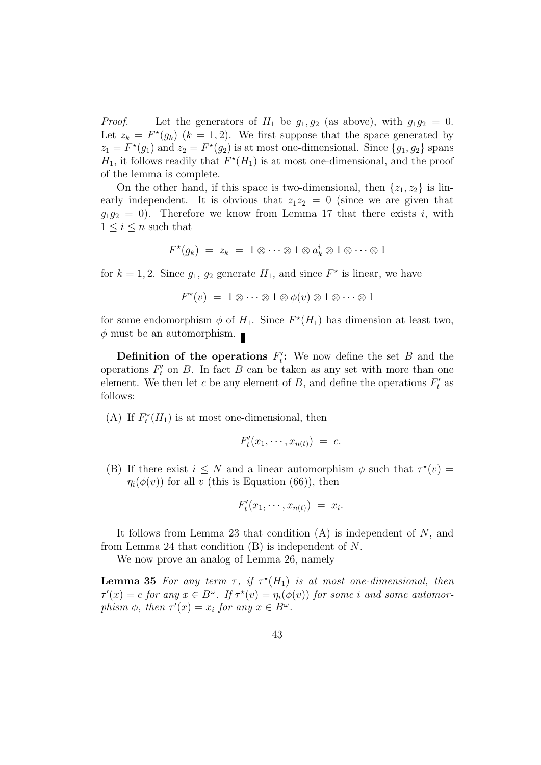*Proof.* Let the generators of  $H_1$  be  $g_1, g_2$  (as above), with  $g_1g_2 = 0$ . Let  $z_k = F^*(g_k)$   $(k = 1, 2)$ . We first suppose that the space generated by  $z_1 = F^*(g_1)$  and  $z_2 = F^*(g_2)$  is at most one-dimensional. Since  $\{g_1, g_2\}$  spans  $H_1$ , it follows readily that  $F^*(H_1)$  is at most one-dimensional, and the proof of the lemma is complete.

On the other hand, if this space is two-dimensional, then  $\{z_1, z_2\}$  is linearly independent. It is obvious that  $z_1z_2 = 0$  (since we are given that  $g_1g_2 = 0$ ). Therefore we know from Lemma 17 that there exists i, with  $1 \leq i \leq n$  such that

$$
F^{\star}(g_k) = z_k = 1 \otimes \cdots \otimes 1 \otimes a_k^i \otimes 1 \otimes \cdots \otimes 1
$$

for  $k = 1, 2$ . Since  $g_1, g_2$  generate  $H_1$ , and since  $F^*$  is linear, we have

$$
F^{\star}(v) = 1 \otimes \cdots \otimes 1 \otimes \phi(v) \otimes 1 \otimes \cdots \otimes 1
$$

for some endomorphism  $\phi$  of  $H_1$ . Since  $F^*(H_1)$  has dimension at least two,  $\phi$  must be an automorphism.

Definition of the operations  $F_t'$ ": We now define the set  $B$  and the operations  $F_t'$  $t'$  on B. In fact B can be taken as any set with more than one element. We then let c be any element of B, and define the operations  $F_t$  $t'$  as follows:

(A) If  $F_t^*(H_1)$  is at most one-dimensional, then

$$
F'_t(x_1,\cdots,x_{n(t)}) = c.
$$

(B) If there exist  $i \leq N$  and a linear automorphism  $\phi$  such that  $\tau^*(v) =$  $\eta_i(\phi(v))$  for all v (this is Equation (66)), then

$$
F'_t(x_1,\cdots,x_{n(t)}) = x_i.
$$

It follows from Lemma 23 that condition  $(A)$  is independent of  $N$ , and from Lemma 24 that condition  $(B)$  is independent of N.

We now prove an analog of Lemma 26, namely

**Lemma 35** For any term  $\tau$ , if  $\tau^*(H_1)$  is at most one-dimensional, then  $\tau'(x) = c$  for any  $x \in B^{\omega}$ . If  $\tau^*(v) = \eta_i(\phi(v))$  for some i and some automorphism  $\phi$ , then  $\tau'(x) = x_i$  for any  $x \in B^{\omega}$ .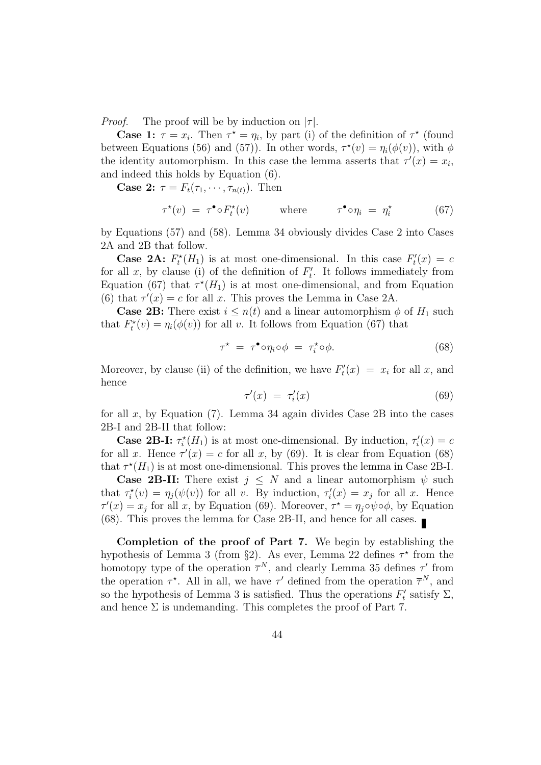*Proof.* The proof will be by induction on  $|\tau|$ .

**Case 1:**  $\tau = x_i$ . Then  $\tau^* = \eta_i$ , by part (i) of the definition of  $\tau^*$  (found between Equations (56) and (57)). In other words,  $\tau^*(v) = \eta_i(\phi(v))$ , with  $\phi$ the identity automorphism. In this case the lemma asserts that  $\tau'(x) = x_i$ , and indeed this holds by Equation (6).

**Case 2:**  $\tau = F_t(\tau_1, \dots, \tau_{n(t)})$ . Then

$$
\tau^{\star}(v) = \tau^{\bullet} \circ F_t^{\star}(v) \qquad \text{where} \qquad \tau^{\bullet} \circ \eta_i = \eta_i^{\star} \qquad (67)
$$

by Equations (57) and (58). Lemma 34 obviously divides Case 2 into Cases 2A and 2B that follow.

**Case 2A:**  $F_t^*(H_1)$  is at most one-dimensional. In this case  $F_t^*$  $t''_t(x) = c$ for all x, by clause (i) of the definition of  $F_t$  $t'$ . It follows immediately from Equation (67) that  $\tau^*(H_1)$  is at most one-dimensional, and from Equation (6) that  $\tau'(x) = c$  for all x. This proves the Lemma in Case 2A.

**Case 2B:** There exist  $i \leq n(t)$  and a linear automorphism  $\phi$  of  $H_1$  such that  $F_t^*(v) = \eta_i(\phi(v))$  for all v. It follows from Equation (67) that

$$
\tau^* = \tau^* \circ \eta_i \circ \phi = \tau_i^* \circ \phi. \tag{68}
$$

Moreover, by clause (ii) of the definition, we have  $F_t$  $t''_t(x) = x_i$  for all x, and hence

$$
\tau'(x) = \tau'_i(x) \tag{69}
$$

for all x, by Equation  $(7)$ . Lemma 34 again divides Case 2B into the cases 2B-I and 2B-II that follow:

**Case 2B-I:**  $\tau_i^*(H_1)$  is at most one-dimensional. By induction,  $\tau_i$  $t_i'(x) = c$ for all x. Hence  $\tau'(x) = c$  for all x, by (69). It is clear from Equation (68) that  $\tau^*(H_1)$  is at most one-dimensional. This proves the lemma in Case 2B-I.

**Case 2B-II:** There exist  $j \leq N$  and a linear automorphism  $\psi$  such that  $\tau_i^*(v) = \eta_j(\psi(v))$  for all v. By induction,  $\tau_i$  $i(x) = x_j$  for all x. Hence  $\tau'(x) = x_j$  for all x, by Equation (69). Moreover,  $\tau^* = \eta_j \circ \psi \circ \phi$ , by Equation (68). This proves the lemma for Case 2B-II, and hence for all cases.

Completion of the proof of Part 7. We begin by establishing the hypothesis of Lemma 3 (from §2). As ever, Lemma 22 defines  $\tau^*$  from the homotopy type of the operation  $\overline{\tau}^N$ , and clearly Lemma 35 defines  $\tau'$  from the operation  $\tau^*$ . All in all, we have  $\tau'$  defined from the operation  $\overline{\tau}^N$ , and so the hypothesis of Lemma 3 is satisfied. Thus the operations  $F_t$  $t'$  satisfy  $\Sigma$ , and hence  $\Sigma$  is undemanding. This completes the proof of Part 7.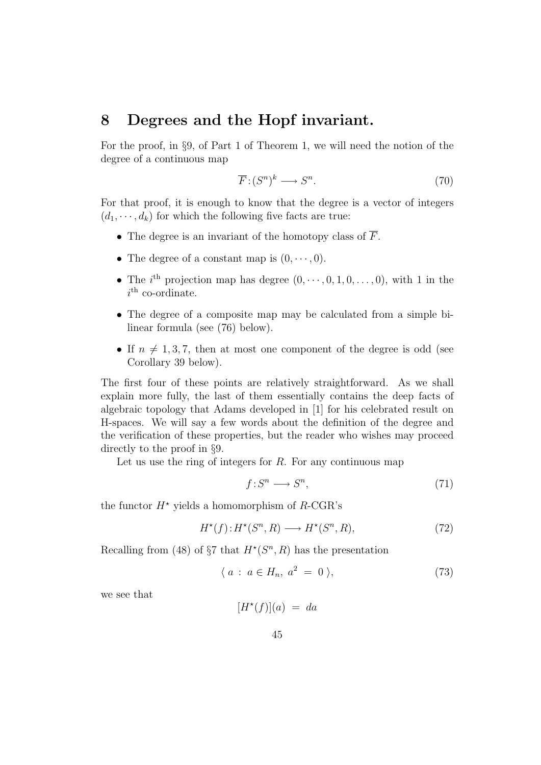## 8 Degrees and the Hopf invariant.

For the proof, in §9, of Part 1 of Theorem 1, we will need the notion of the degree of a continuous map

$$
\overline{F} : (S^n)^k \longrightarrow S^n. \tag{70}
$$

For that proof, it is enough to know that the degree is a vector of integers  $(d_1, \dots, d_k)$  for which the following five facts are true:

- The degree is an invariant of the homotopy class of  $\overline{F}$ .
- The degree of a constant map is  $(0, \dots, 0)$ .
- The i<sup>th</sup> projection map has degree  $(0, \dots, 0, 1, 0, \dots, 0)$ , with 1 in the  $i<sup>th</sup>$  co-ordinate.
- The degree of a composite map may be calculated from a simple bilinear formula (see (76) below).
- If  $n \neq 1, 3, 7$ , then at most one component of the degree is odd (see Corollary 39 below).

The first four of these points are relatively straightforward. As we shall explain more fully, the last of them essentially contains the deep facts of algebraic topology that Adams developed in [1] for his celebrated result on H-spaces. We will say a few words about the definition of the degree and the verification of these properties, but the reader who wishes may proceed directly to the proof in §9.

Let us use the ring of integers for  $R$ . For any continuous map

$$
f: S^n \longrightarrow S^n,\tag{71}
$$

the functor  $H^*$  yields a homomorphism of R-CGR's

$$
H^*(f): H^*(S^n, R) \longrightarrow H^*(S^n, R),\tag{72}
$$

Recalling from (48) of  $\S7$  that  $H^*(S^n, R)$  has the presentation

$$
\langle a : a \in H_n, a^2 = 0 \rangle,
$$
\n
$$
(73)
$$

we see that

 $[H^*(f)](a) = da$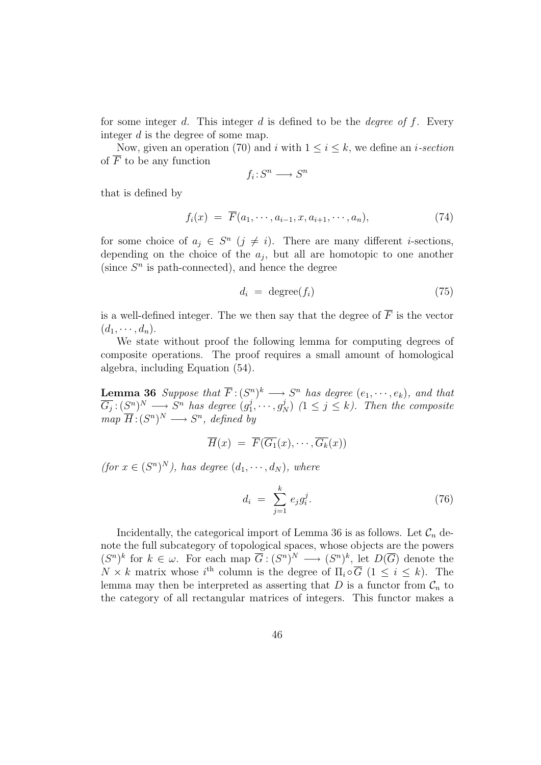for some integer d. This integer d is defined to be the degree of f. Every integer d is the degree of some map.

Now, given an operation (70) and i with  $1 \leq i \leq k$ , we define an i-section of  $\overline{F}$  to be any function

$$
f_i : S^n \longrightarrow S^n
$$

that is defined by

$$
f_i(x) = \overline{F}(a_1, \cdots, a_{i-1}, x, a_{i+1}, \cdots, a_n), \qquad (74)
$$

for some choice of  $a_j \in S^n$   $(j \neq i)$ . There are many different *i*-sections, depending on the choice of the  $a_j$ , but all are homotopic to one another (since  $S<sup>n</sup>$  is path-connected), and hence the degree

$$
d_i = \text{degree}(f_i) \tag{75}
$$

is a well-defined integer. The we then say that the degree of  $\overline{F}$  is the vector  $(d_1, \cdots, d_n).$ 

We state without proof the following lemma for computing degrees of composite operations. The proof requires a small amount of homological algebra, including Equation (54).

**Lemma 36** Suppose that  $\overline{F}$ :  $(S^n)^k \longrightarrow S^n$  has degree  $(e_1, \dots, e_k)$ , and that  $\overline{G_j}:(S^n)^N\longrightarrow S^n$  has degree  $(g_1^j)$  $j_1^j, \dots, g_N^j$   $(1 \leq j \leq k)$ . Then the composite  $map \ \overline{H}: (S^n)^N \longrightarrow S^n, \ defined \ by$ 

$$
\overline{H}(x) = \overline{F}(\overline{G_1}(x), \cdots, \overline{G_k}(x))
$$

(for  $x \in (S^n)^N$ ), has degree  $(d_1, \dots, d_N)$ , where

$$
d_i = \sum_{j=1}^{k} e_j g_i^j. \tag{76}
$$

Incidentally, the categorical import of Lemma 36 is as follows. Let  $\mathcal{C}_n$  denote the full subcategory of topological spaces, whose objects are the powers  $(S^n)^k$  for  $k \in \omega$ . For each map  $\overline{G} : (S^n)^N \longrightarrow (S^n)^k$ , let  $D(\overline{G})$  denote the  $N \times k$  matrix whose i<sup>th</sup> column is the degree of  $\Pi_i \circ \overline{G}$  ( $1 \leq i \leq k$ ). The lemma may then be interpreted as asserting that D is a functor from  $\mathcal{C}_n$  to the category of all rectangular matrices of integers. This functor makes a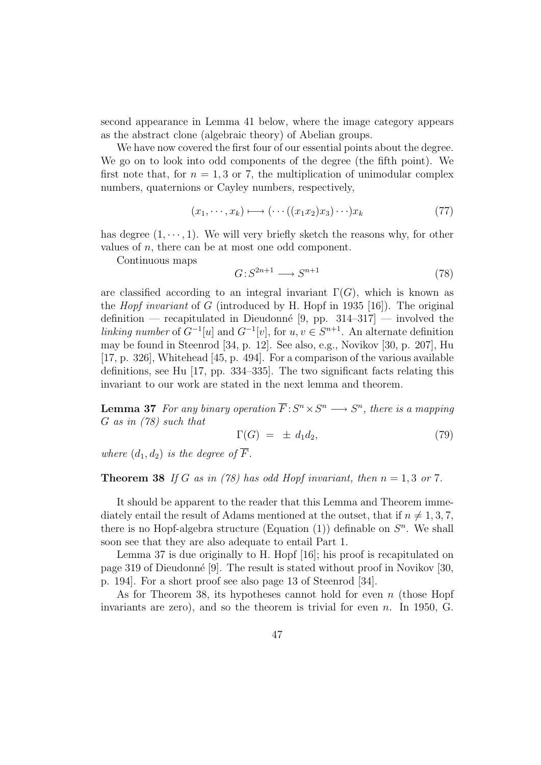second appearance in Lemma 41 below, where the image category appears as the abstract clone (algebraic theory) of Abelian groups.

We have now covered the first four of our essential points about the degree. We go on to look into odd components of the degree (the fifth point). We first note that, for  $n = 1, 3$  or 7, the multiplication of unimodular complex numbers, quaternions or Cayley numbers, respectively,

$$
(x_1, \cdots, x_k) \longmapsto (\cdots ((x_1 x_2) x_3) \cdots) x_k \tag{77}
$$

has degree  $(1, \dots, 1)$ . We will very briefly sketch the reasons why, for other values of  $n$ , there can be at most one odd component.

Continuous maps

$$
G: S^{2n+1} \longrightarrow S^{n+1} \tag{78}
$$

are classified according to an integral invariant  $\Gamma(G)$ , which is known as the *Hopf invariant* of G (introduced by H. Hopf in 1935 [16]). The original definition — recapitulated in Dieudonné [9, pp.  $314-317$ ] — involved the linking number of  $G^{-1}[u]$  and  $G^{-1}[v]$ , for  $u, v \in S^{n+1}$ . An alternate definition may be found in Steenrod [34, p. 12]. See also, e.g., Novikov [30, p. 207], Hu [17, p. 326], Whitehead [45, p. 494]. For a comparison of the various available definitions, see Hu [17, pp. 334–335]. The two significant facts relating this invariant to our work are stated in the next lemma and theorem.

**Lemma 37** For any binary operation  $\overline{F}: S^n \times S^n \longrightarrow S^n$ , there is a mapping G as in (78) such that

$$
\Gamma(G) = \pm d_1 d_2, \tag{79}
$$

where  $(d_1, d_2)$  is the degree of  $\overline{F}$ .

#### **Theorem 38** If G as in (78) has odd Hopf invariant, then  $n = 1, 3$  or 7.

It should be apparent to the reader that this Lemma and Theorem immediately entail the result of Adams mentioned at the outset, that if  $n \neq 1, 3, 7$ , there is no Hopf-algebra structure (Equation  $(1)$ ) definable on  $S<sup>n</sup>$ . We shall soon see that they are also adequate to entail Part 1.

Lemma 37 is due originally to H. Hopf [16]; his proof is recapitulated on page 319 of Dieudonn´e [9]. The result is stated without proof in Novikov [30, p. 194]. For a short proof see also page 13 of Steenrod [34].

As for Theorem 38, its hypotheses cannot hold for even  $n$  (those Hopf invariants are zero), and so the theorem is trivial for even  $n$ . In 1950, G.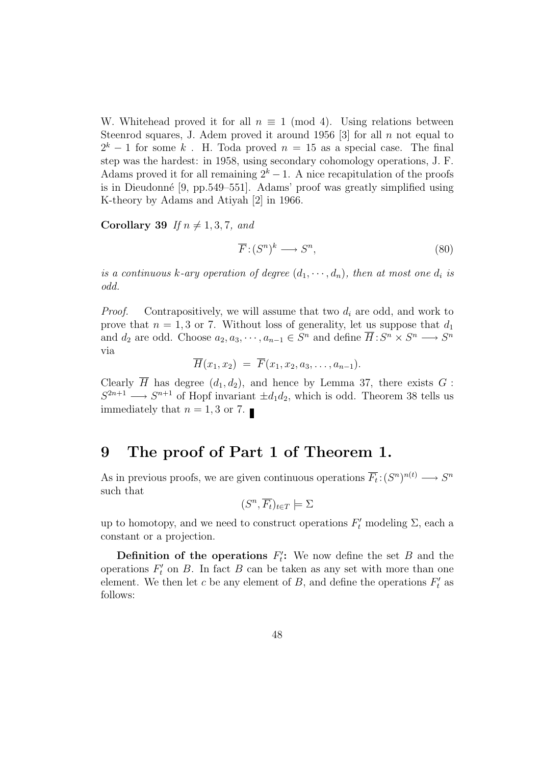W. Whitehead proved it for all  $n \equiv 1 \pmod{4}$ . Using relations between Steenrod squares, J. Adem proved it around 1956 [3] for all  $n$  not equal to  $2<sup>k</sup> - 1$  for some k. H. Toda proved  $n = 15$  as a special case. The final step was the hardest: in 1958, using secondary cohomology operations, J. F. Adams proved it for all remaining  $2^k - 1$ . A nice recapitulation of the proofs is in Dieudonn´e [9, pp.549–551]. Adams' proof was greatly simplified using K-theory by Adams and Atiyah [2] in 1966.

Corollary 39 If  $n \neq 1, 3, 7,$  and

$$
\overline{F} : (S^n)^k \longrightarrow S^n,\tag{80}
$$

is a continuous k-ary operation of degree  $(d_1, \dots, d_n)$ , then at most one  $d_i$  is odd.

*Proof.* Contrapositively, we will assume that two  $d_i$  are odd, and work to prove that  $n = 1, 3$  or 7. Without loss of generality, let us suppose that  $d_1$ and  $d_2$  are odd. Choose  $a_2, a_3, \dots, a_{n-1} \in S^n$  and define  $\overline{H}: S^n \times S^n \longrightarrow S^n$ via

$$
\overline{H}(x_1,x_2) = \overline{F}(x_1,x_2,a_3,\ldots,a_{n-1}).
$$

Clearly  $\overline{H}$  has degree  $(d_1, d_2)$ , and hence by Lemma 37, there exists G :  $S^{2n+1} \longrightarrow S^{n+1}$  of Hopf invariant  $\pm d_1 d_2$ , which is odd. Theorem 38 tells us immediately that  $n = 1, 3$  or 7.

## 9 The proof of Part 1 of Theorem 1.

As in previous proofs, we are given continuous operations  $\overline{F}_t: (S^n)^{n(t)} \longrightarrow S^n$ such that

$$
(S^n, \overline{F_t})_{t \in T} \models \Sigma
$$

up to homotopy, and we need to construct operations  $F'_t$  modeling  $\Sigma$ , each a constant or a projection.

Definition of the operations  $F_t$ ": We now define the set  $B$  and the operations  $F_t'$  $t'$  on B. In fact B can be taken as any set with more than one element. We then let c be any element of B, and define the operations  $F_t$  $t'$  as follows: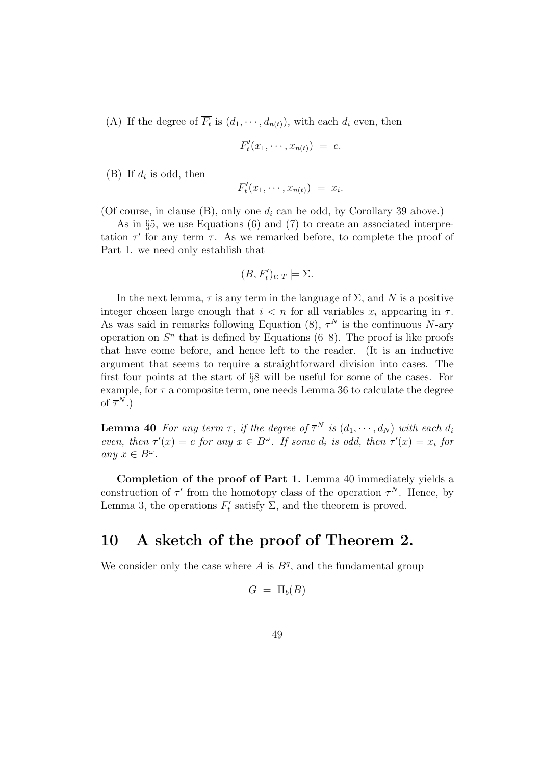(A) If the degree of  $\overline{F_t}$  is  $(d_1, \dots, d_{n(t)})$ , with each  $d_i$  even, then

$$
F'_t(x_1,\cdots,x_{n(t)}) = c.
$$

(B) If  $d_i$  is odd, then

$$
F'_t(x_1,\cdots,x_{n(t)}) = x_i.
$$

(Of course, in clause  $(B)$ , only one  $d_i$  can be odd, by Corollary 39 above.)

As in §5, we use Equations (6) and (7) to create an associated interpretation  $\tau'$  for any term  $\tau$ . As we remarked before, to complete the proof of Part 1. we need only establish that

$$
(B, F'_t)_{t \in T} \models \Sigma.
$$

In the next lemma,  $\tau$  is any term in the language of  $\Sigma$ , and N is a positive integer chosen large enough that  $i < n$  for all variables  $x_i$  appearing in  $\tau$ . As was said in remarks following Equation (8),  $\overline{\tau}^N$  is the continuous N-ary operation on  $S<sup>n</sup>$  that is defined by Equations (6–8). The proof is like proofs that have come before, and hence left to the reader. (It is an inductive argument that seems to require a straightforward division into cases. The first four points at the start of §8 will be useful for some of the cases. For example, for  $\tau$  a composite term, one needs Lemma 36 to calculate the degree of  $\overline{\tau}^N$ .)

**Lemma 40** For any term  $\tau$ , if the degree of  $\overline{\tau}^N$  is  $(d_1, \dots, d_N)$  with each  $d_i$ even, then  $\tau'(x) = c$  for any  $x \in B^{\omega}$ . If some  $d_i$  is odd, then  $\tau'(x) = x_i$  for any  $x \in B^{\omega}$ .

Completion of the proof of Part 1. Lemma 40 immediately yields a construction of  $\tau'$  from the homotopy class of the operation  $\overline{\tau}^N$ . Hence, by Lemma 3, the operations  $F_t'$  $t'$  satisfy  $\Sigma$ , and the theorem is proved.

## 10 A sketch of the proof of Theorem 2.

We consider only the case where  $A$  is  $B<sup>q</sup>$ , and the fundamental group

$$
G~=~\Pi_b(B)
$$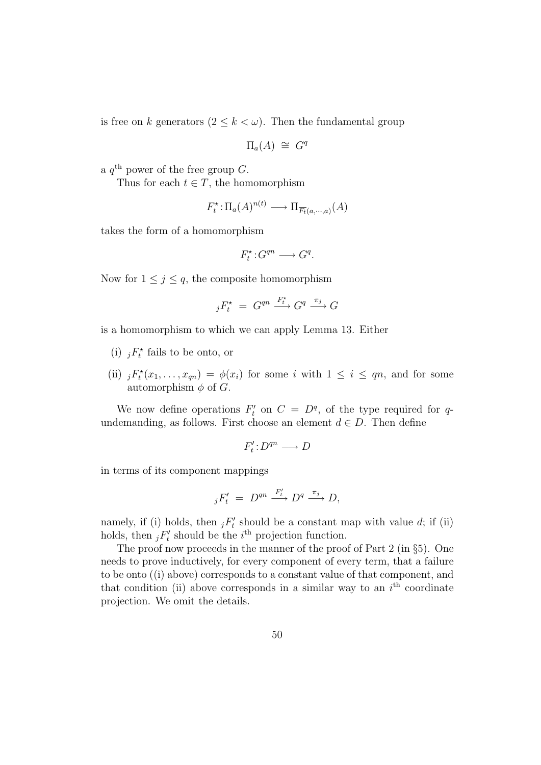is free on k generators  $(2 \leq k < \omega)$ . Then the fundamental group

$$
\Pi_a(A) \cong G^q
$$

a  $q^{\text{th}}$  power of the free group G.

Thus for each  $t \in T$ , the homomorphism

$$
F_t^* : \Pi_a(A)^{n(t)} \longrightarrow \Pi_{\overline{F_t}(a,\cdots,a)}(A)
$$

takes the form of a homomorphism

$$
F_t^{\star}: G^{qn} \longrightarrow G^q.
$$

Now for  $1 \leq j \leq q$ , the composite homomorphism

$$
{}_jF_t^{\star} = G^{qn} \xrightarrow{F_t^{\star}} G^q \xrightarrow{\pi_j} G
$$

is a homomorphism to which we can apply Lemma 13. Either

- (i)  ${}_jF_t^{\star}$  fails to be onto, or
- (ii)  ${}_jF_t^*(x_1,\ldots,x_{qn}) = \phi(x_i)$  for some i with  $1 \leq i \leq qn$ , and for some automorphism  $\phi$  of  $G$ .

We now define operations  $F_t'$  $t'$  on  $C = D^q$ , of the type required for qundemanding, as follows. First choose an element  $d \in D$ . Then define

$$
F'_t\!:\!D^{qn}\longrightarrow D
$$

in terms of its component mappings

$$
{}_jF'_t = D^{qn} \xrightarrow{F'_t} D^q \xrightarrow{\pi_j} D,
$$

namely, if (i) holds, then  $jF'_t$  $t'$  should be a constant map with value d; if (ii) holds, then  $\overline{j}F'_t$  $t'$  should be the  $i<sup>th</sup>$  projection function.

The proof now proceeds in the manner of the proof of Part 2 (in §5). One needs to prove inductively, for every component of every term, that a failure to be onto ((i) above) corresponds to a constant value of that component, and that condition (ii) above corresponds in a similar way to an  $i<sup>th</sup>$  coordinate projection. We omit the details.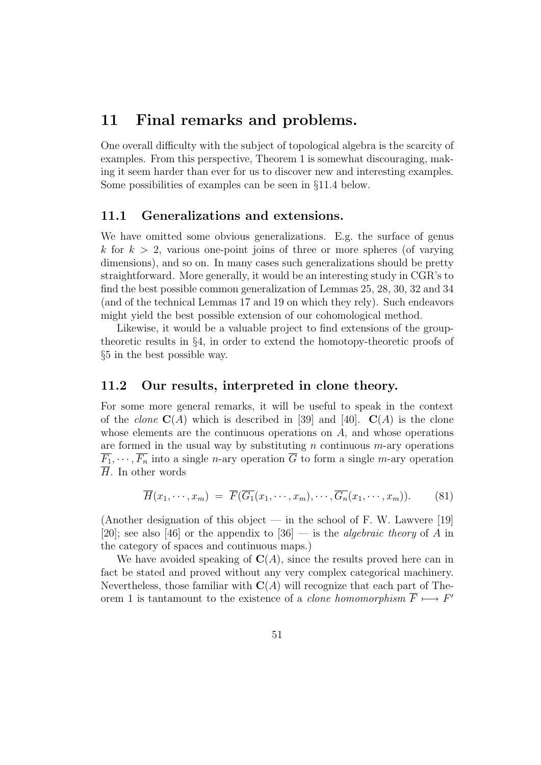## 11 Final remarks and problems.

One overall difficulty with the subject of topological algebra is the scarcity of examples. From this perspective, Theorem 1 is somewhat discouraging, making it seem harder than ever for us to discover new and interesting examples. Some possibilities of examples can be seen in §11.4 below.

### 11.1 Generalizations and extensions.

We have omitted some obvious generalizations. E.g. the surface of genus k for  $k > 2$ , various one-point joins of three or more spheres (of varying dimensions), and so on. In many cases such generalizations should be pretty straightforward. More generally, it would be an interesting study in CGR's to find the best possible common generalization of Lemmas 25, 28, 30, 32 and 34 (and of the technical Lemmas 17 and 19 on which they rely). Such endeavors might yield the best possible extension of our cohomological method.

Likewise, it would be a valuable project to find extensions of the grouptheoretic results in §4, in order to extend the homotopy-theoretic proofs of §5 in the best possible way.

### 11.2 Our results, interpreted in clone theory.

For some more general remarks, it will be useful to speak in the context of the *clone*  $C(A)$  which is described in [39] and [40].  $C(A)$  is the clone whose elements are the continuous operations on  $A$ , and whose operations are formed in the usual way by substituting  $n$  continuous  $m$ -ary operations  $\overline{F_1}, \dots, \overline{F_n}$  into a single *n*-ary operation  $\overline{G}$  to form a single *m*-ary operation  $\overline{H}$ . In other words

$$
\overline{H}(x_1,\dots,x_m) = \overline{F}(\overline{G_1}(x_1,\dots,x_m),\dots,\overline{G_n}(x_1,\dots,x_m)).
$$
 (81)

(Another designation of this object — in the school of F. W. Lawvere [19] [20]; see also [46] or the appendix to [36] — is the *algebraic theory* of A in the category of spaces and continuous maps.)

We have avoided speaking of  $C(A)$ , since the results proved here can in fact be stated and proved without any very complex categorical machinery. Nevertheless, those familiar with  $C(A)$  will recognize that each part of Theorem 1 is tantamount to the existence of a *clone homomorphism*  $\overline{F} \longmapsto F'$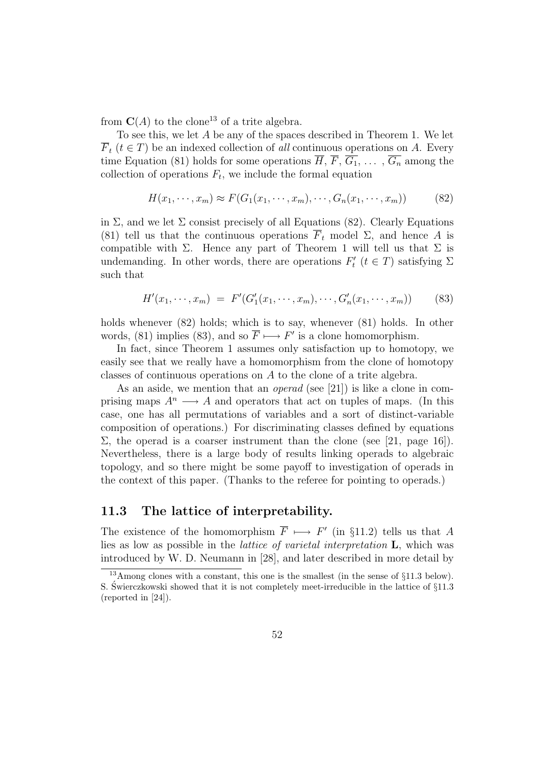from  $\mathbf{C}(A)$  to the clone<sup>13</sup> of a trite algebra.

To see this, we let A be any of the spaces described in Theorem 1. We let  $\overline{F}_t$  ( $t \in T$ ) be an indexed collection of all continuous operations on A. Every time Equation (81) holds for some operations  $\overline{H}$ ,  $\overline{F}$ ,  $\overline{G_1}$ , ...,  $\overline{G_n}$  among the collection of operations  $F_t$ , we include the formal equation

$$
H(x_1, \cdots, x_m) \approx F(G_1(x_1, \cdots, x_m), \cdots, G_n(x_1, \cdots, x_m))
$$
 (82)

in  $\Sigma$ , and we let  $\Sigma$  consist precisely of all Equations (82). Clearly Equations (81) tell us that the continuous operations  $\overline{F}_t$  model  $\Sigma$ , and hence A is compatible with  $\Sigma$ . Hence any part of Theorem 1 will tell us that  $\Sigma$  is undemanding. In other words, there are operations  $F_t$  $t'$  ( $t \in T$ ) satisfying  $\Sigma$ such that

$$
H'(x_1, \dots, x_m) = F'(G'_1(x_1, \dots, x_m), \dots, G'_n(x_1, \dots, x_m))
$$
 (83)

holds whenever (82) holds; which is to say, whenever (81) holds. In other words, (81) implies (83), and so  $\overline{F} \longmapsto F'$  is a clone homomorphism.

In fact, since Theorem 1 assumes only satisfaction up to homotopy, we easily see that we really have a homomorphism from the clone of homotopy classes of continuous operations on A to the clone of a trite algebra.

As an aside, we mention that an *operad* (see [21]) is like a clone in comprising maps  $A^n \longrightarrow A$  and operators that act on tuples of maps. (In this case, one has all permutations of variables and a sort of distinct-variable composition of operations.) For discriminating classes defined by equations  $\Sigma$ , the operad is a coarser instrument than the clone (see [21, page 16]). Nevertheless, there is a large body of results linking operads to algebraic topology, and so there might be some payoff to investigation of operads in the context of this paper. (Thanks to the referee for pointing to operads.)

### 11.3 The lattice of interpretability.

The existence of the homomorphism  $\overline{F} \longmapsto F'$  (in §11.2) tells us that A lies as low as possible in the lattice of varietal interpretation L, which was introduced by W. D. Neumann in [28], and later described in more detail by

<sup>&</sup>lt;sup>13</sup>Among clones with a constant, this one is the smallest (in the sense of  $\S11.3$  below). S. Swierczkowski showed that it is not completely meet-irreducible in the lattice of  $\S11.3$ (reported in [24]).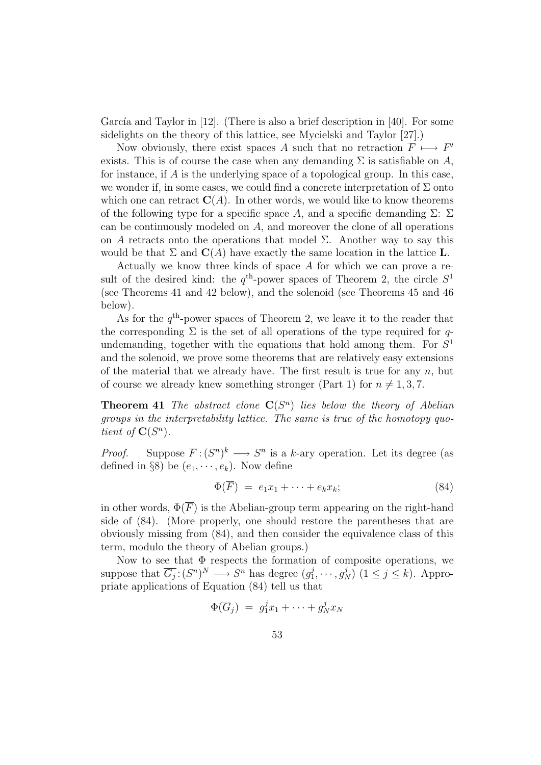García and Taylor in  $[12]$ . (There is also a brief description in  $[40]$ . For some sidelights on the theory of this lattice, see Mycielski and Taylor [27].)

Now obviously, there exist spaces A such that no retraction  $\overrightarrow{F} \longmapsto F'$ exists. This is of course the case when any demanding  $\Sigma$  is satisfiable on A, for instance, if A is the underlying space of a topological group. In this case, we wonder if, in some cases, we could find a concrete interpretation of  $\Sigma$  onto which one can retract  $\mathbf{C}(A)$ . In other words, we would like to know theorems of the following type for a specific space A, and a specific demanding  $\Sigma: \Sigma$ can be continuously modeled on A, and moreover the clone of all operations on A retracts onto the operations that model  $\Sigma$ . Another way to say this would be that  $\Sigma$  and  $\mathbf{C}(A)$  have exactly the same location in the lattice **L**.

Actually we know three kinds of space A for which we can prove a result of the desired kind: the  $q^{\text{th}}$ -power spaces of Theorem 2, the circle  $S^1$ (see Theorems 41 and 42 below), and the solenoid (see Theorems 45 and 46 below).

As for the  $q<sup>th</sup>$ -power spaces of Theorem 2, we leave it to the reader that the corresponding  $\Sigma$  is the set of all operations of the type required for qundemanding, together with the equations that hold among them. For  $S<sup>1</sup>$ and the solenoid, we prove some theorems that are relatively easy extensions of the material that we already have. The first result is true for any  $n$ , but of course we already knew something stronger (Part 1) for  $n \neq 1, 3, 7$ .

**Theorem 41** The abstract clone  $C(S^n)$  lies below the theory of Abelian groups in the interpretability lattice. The same is true of the homotopy quotient of  $\mathbf{C}(S^n)$ .

*Proof.* Suppose  $\overline{F}$ :  $(S^n)^k \longrightarrow S^n$  is a k-ary operation. Let its degree (as defined in §8) be  $(e_1, \dots, e_k)$ . Now define

$$
\Phi(\overline{F}) = e_1 x_1 + \dots + e_k x_k; \tag{84}
$$

in other words,  $\Phi(\overline{F})$  is the Abelian-group term appearing on the right-hand side of (84). (More properly, one should restore the parentheses that are obviously missing from (84), and then consider the equivalence class of this term, modulo the theory of Abelian groups.)

Now to see that  $\Phi$  respects the formation of composite operations, we suppose that  $\overline{G_j}: (S^n)^N \longrightarrow S^n$  has degree  $(g_1^j)$  $j_1^j, \cdots, g_N^j$   $(1 \le j \le k)$ . Appropriate applications of Equation (84) tell us that

$$
\Phi(\overline{G}_j) = g_1^j x_1 + \cdots + g_N^j x_N
$$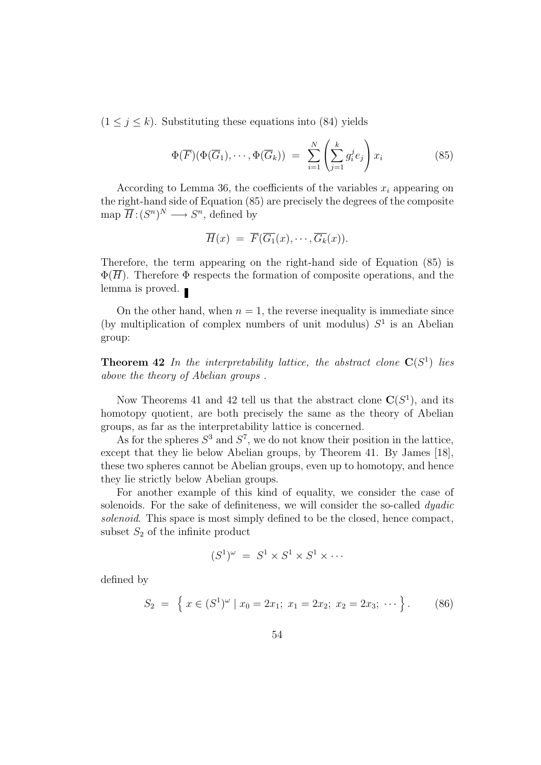$(1 \leq j \leq k)$ . Substituting these equations into (84) yields

$$
\Phi(\overline{F})(\Phi(\overline{G}_1),\cdots,\Phi(\overline{G}_k)) = \sum_{i=1}^N \left(\sum_{j=1}^k g_i^j e_j\right) x_i \tag{85}
$$

According to Lemma 36, the coefficients of the variables  $x_i$  appearing on the right-hand side of Equation (85) are precisely the degrees of the composite map  $\overline{H}$ :  $(S^n)^N \longrightarrow S^n$ , defined by

$$
\overline{H}(x) = \overline{F}(\overline{G_1}(x), \cdots, \overline{G_k}(x)).
$$

Therefore, the term appearing on the right-hand side of Equation (85) is  $\Phi(\overline{H})$ . Therefore  $\Phi$  respects the formation of composite operations, and the lemma is proved. ■

On the other hand, when  $n = 1$ , the reverse inequality is immediate since (by multiplication of complex numbers of unit modulus)  $S<sup>1</sup>$  is an Abelian group:

**Theorem 42** In the interpretability lattice, the abstract clone  $C(S^1)$  lies above the theory of Abelian groups .

Now Theorems 41 and 42 tell us that the abstract clone  $\mathbf{C}(S^1)$ , and its homotopy quotient, are both precisely the same as the theory of Abelian groups, as far as the interpretability lattice is concerned.

As for the spheres  $S^3$  and  $S^7$ , we do not know their position in the lattice, except that they lie below Abelian groups, by Theorem 41. By James [18], these two spheres cannot be Abelian groups, even up to homotopy, and hence they lie strictly below Abelian groups.

For another example of this kind of equality, we consider the case of solenoids. For the sake of definiteness, we will consider the so-called *dyadic* solenoid. This space is most simply defined to be the closed, hence compact, subset  $S_2$  of the infinite product

$$
(S^1)^{\omega} = S^1 \times S^1 \times S^1 \times \cdots
$$

defined by

$$
S_2 = \left\{ x \in (S^1)^{\omega} \mid x_0 = 2x_1; \ x_1 = 2x_2; \ x_2 = 2x_3; \ \cdots \right\}.
$$
 (86)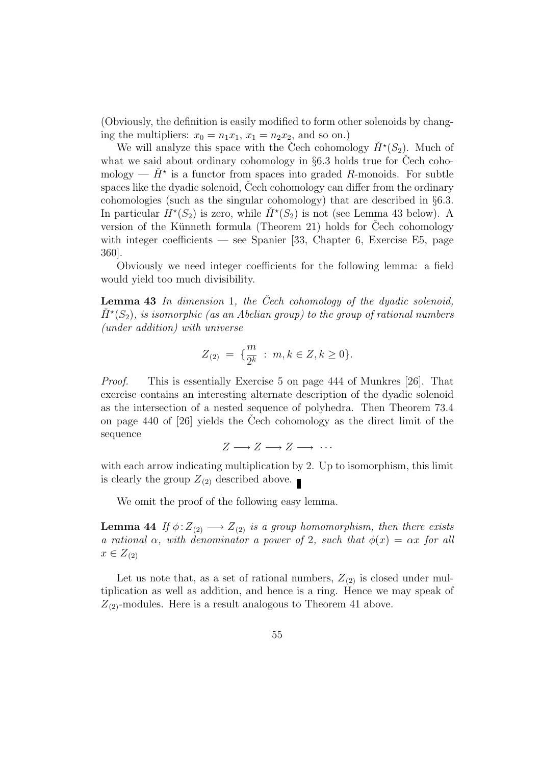(Obviously, the definition is easily modified to form other solenoids by changing the multipliers:  $x_0 = n_1x_1$ ,  $x_1 = n_2x_2$ , and so on.)

We will analyze this space with the Čech cohomology  $\check{H}^*(S_2)$ . Much of what we said about ordinary cohomology in  $\S6.3$  holds true for Cech cohomology —  $\check{H}^*$  is a functor from spaces into graded R-monoids. For subtle spaces like the dyadic solenoid, Cech cohomology can differ from the ordinary cohomologies (such as the singular cohomology) that are described in §6.3. In particular  $\dot{H}^*(S_2)$  is zero, while  $\check{H}^*(S_2)$  is not (see Lemma 43 below). A version of the Künneth formula (Theorem 21) holds for Cech cohomology with integer coefficients — see Spanier [33, Chapter 6, Exercise E5, page 360].

Obviously we need integer coefficients for the following lemma: a field would yield too much divisibility.

**Lemma 43** In dimension 1, the Cech cohomology of the dyadic solenoid,  $\check{H}^{\star}(S_2)$ , is isomorphic (as an Abelian group) to the group of rational numbers (under addition) with universe

$$
Z_{(2)} = \{ \frac{m}{2^k} \, : \, m, k \in Z, k \ge 0 \}.
$$

Proof. This is essentially Exercise 5 on page 444 of Munkres [26]. That exercise contains an interesting alternate description of the dyadic solenoid as the intersection of a nested sequence of polyhedra. Then Theorem 73.4 on page  $440$  of  $[26]$  yields the Cech cohomology as the direct limit of the sequence

$$
Z \longrightarrow Z \longrightarrow Z \longrightarrow \cdots
$$

with each arrow indicating multiplication by 2. Up to isomorphism, this limit is clearly the group  $Z_{(2)}$  described above.

We omit the proof of the following easy lemma.

**Lemma 44** If  $\phi: Z_{(2)} \longrightarrow Z_{(2)}$  is a group homomorphism, then there exists a rational  $\alpha$ , with denominator a power of 2, such that  $\phi(x) = \alpha x$  for all  $x \in Z_{(2)}$ 

Let us note that, as a set of rational numbers,  $Z_{(2)}$  is closed under multiplication as well as addition, and hence is a ring. Hence we may speak of  $Z_{(2)}$ -modules. Here is a result analogous to Theorem 41 above.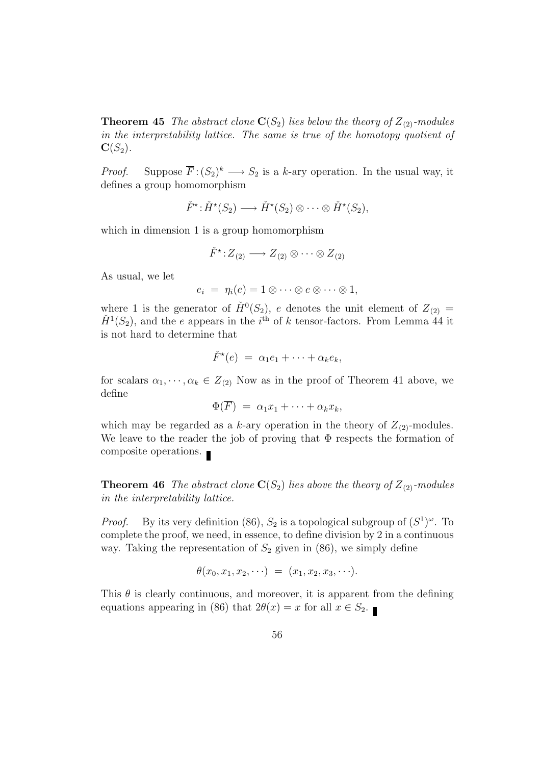**Theorem 45** The abstract clone  $\mathbf{C}(S_2)$  lies below the theory of  $Z_{(2)}$ -modules in the interpretability lattice. The same is true of the homotopy quotient of  $\mathbf{C}(S_2)$ .

*Proof.* Suppose  $\overline{F}$ :  $(S_2)^k \longrightarrow S_2$  is a k-ary operation. In the usual way, it defines a group homomorphism

$$
\check{F}^{\star} : \check{H}^{\star}(S_2) \longrightarrow \check{H}^{\star}(S_2) \otimes \cdots \otimes \check{H}^{\star}(S_2),
$$

which in dimension 1 is a group homomorphism

$$
\check{F}^{\star}: Z_{(2)} \longrightarrow Z_{(2)} \otimes \cdots \otimes Z_{(2)}
$$

As usual, we let

$$
e_i = \eta_i(e) = 1 \otimes \cdots \otimes e \otimes \cdots \otimes 1,
$$

where 1 is the generator of  $\check{H}^0(S_2)$ , e denotes the unit element of  $Z_{(2)} =$  $\check{H}^1(S_2)$ , and the e appears in the i<sup>th</sup> of k tensor-factors. From Lemma 44 it is not hard to determine that

$$
\check{F}^{\star}(e) = \alpha_1 e_1 + \cdots + \alpha_k e_k,
$$

for scalars  $\alpha_1, \dots, \alpha_k \in Z_{(2)}$  Now as in the proof of Theorem 41 above, we define

$$
\Phi(\overline{F}) = \alpha_1 x_1 + \cdots + \alpha_k x_k,
$$

which may be regarded as a k-ary operation in the theory of  $Z_{(2)}$ -modules. We leave to the reader the job of proving that  $\Phi$  respects the formation of composite operations.

**Theorem 46** The abstract clone  $\mathbf{C}(S_2)$  lies above the theory of  $Z_{(2)}$ -modules in the interpretability lattice.

*Proof.* By its very definition (86),  $S_2$  is a topological subgroup of  $(S^1)^\omega$ . To complete the proof, we need, in essence, to define division by 2 in a continuous way. Taking the representation of  $S_2$  given in (86), we simply define

$$
\theta(x_0,x_1,x_2,\cdots) = (x_1,x_2,x_3,\cdots).
$$

This  $\theta$  is clearly continuous, and moreover, it is apparent from the defining equations appearing in (86) that  $2\theta(x) = x$  for all  $x \in S_2$ .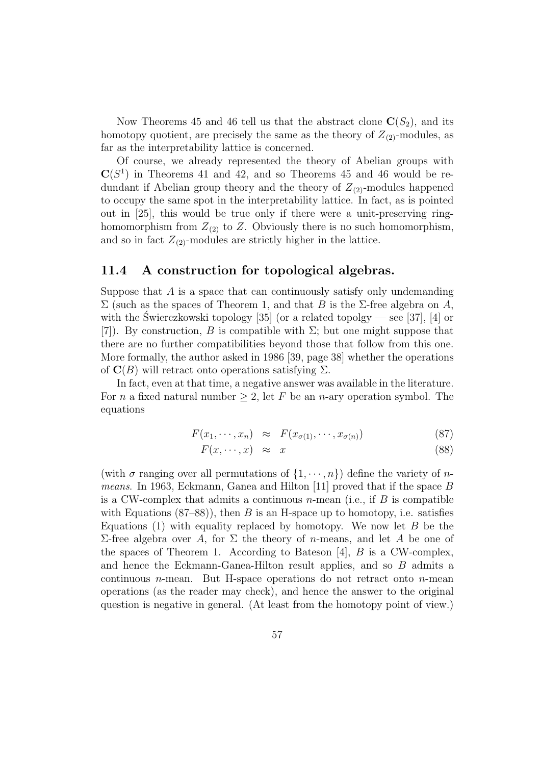Now Theorems 45 and 46 tell us that the abstract clone  $\mathbf{C}(S_2)$ , and its homotopy quotient, are precisely the same as the theory of  $Z_{(2)}$ -modules, as far as the interpretability lattice is concerned.

Of course, we already represented the theory of Abelian groups with  $\mathbf{C}(S^1)$  in Theorems 41 and 42, and so Theorems 45 and 46 would be redundant if Abelian group theory and the theory of  $Z_{(2)}$ -modules happened to occupy the same spot in the interpretability lattice. In fact, as is pointed out in [25], this would be true only if there were a unit-preserving ringhomomorphism from  $Z_{(2)}$  to Z. Obviously there is no such homomorphism, and so in fact  $Z_{(2)}$ -modules are strictly higher in the lattice.

### 11.4 A construction for topological algebras.

Suppose that  $A$  is a space that can continuously satisfy only undemanding  $\Sigma$  (such as the spaces of Theorem 1, and that B is the Σ-free algebra on A, with the Swierczkowski topology  $[35]$  (or a related topolgy — see [37], [4] or [7]). By construction, B is compatible with  $\Sigma$ ; but one might suppose that there are no further compatibilities beyond those that follow from this one. More formally, the author asked in 1986 [39, page 38] whether the operations of  $\mathbf{C}(B)$  will retract onto operations satisfying  $\Sigma$ .

In fact, even at that time, a negative answer was available in the literature. For *n* a fixed natural number  $\geq 2$ , let *F* be an *n*-ary operation symbol. The equations

$$
F(x_1, \cdots, x_n) \approx F(x_{\sigma(1)}, \cdots, x_{\sigma(n)})
$$
\n(87)

$$
F(x, \cdots, x) \approx x \tag{88}
$$

(with  $\sigma$  ranging over all permutations of  $\{1, \dots, n\}$ ) define the variety of nmeans. In 1963, Eckmann, Ganea and Hilton [11] proved that if the space B is a CW-complex that admits a continuous  $n$ -mean (i.e., if B is compatible with Equations  $(87–88)$ , then B is an H-space up to homotopy, i.e. satisfies Equations (1) with equality replaced by homotopy. We now let  $B$  be the Σ-free algebra over A, for Σ the theory of n-means, and let A be one of the spaces of Theorem 1. According to Bateson [4],  $B$  is a CW-complex, and hence the Eckmann-Ganea-Hilton result applies, and so B admits a continuous  $n$ -mean. But H-space operations do not retract onto  $n$ -mean operations (as the reader may check), and hence the answer to the original question is negative in general. (At least from the homotopy point of view.)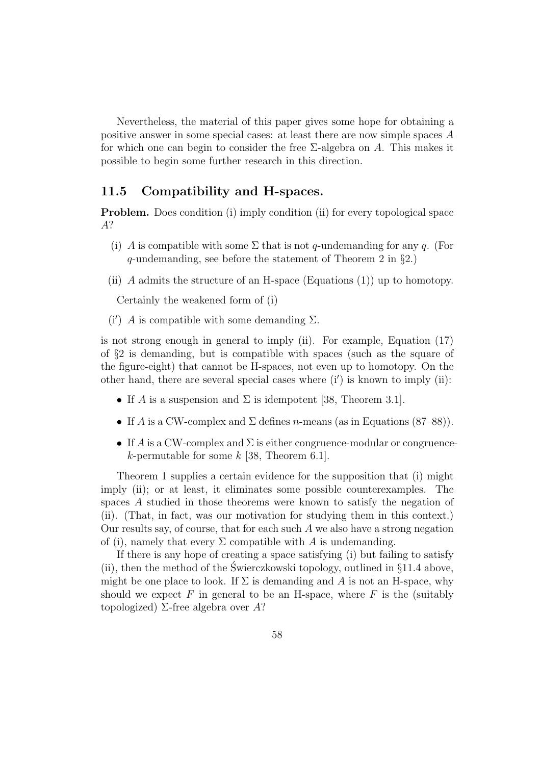Nevertheless, the material of this paper gives some hope for obtaining a positive answer in some special cases: at least there are now simple spaces A for which one can begin to consider the free  $\Sigma$ -algebra on A. This makes it possible to begin some further research in this direction.

### 11.5 Compatibility and H-spaces.

Problem. Does condition (i) imply condition (ii) for every topological space A?

- (i) A is compatible with some  $\Sigma$  that is not q-undemanding for any q. (For q-undemanding, see before the statement of Theorem 2 in §2.)
- (ii) A admits the structure of an H-space (Equations  $(1)$ ) up to homotopy.

Certainly the weakened form of (i)

(i') A is compatible with some demanding  $\Sigma$ .

is not strong enough in general to imply (ii). For example, Equation (17) of  $\S2$  is demanding, but is compatible with spaces (such as the square of the figure-eight) that cannot be H-spaces, not even up to homotopy. On the other hand, there are several special cases where  $(i')$  is known to imply (ii):

- If A is a suspension and  $\Sigma$  is idempotent [38, Theorem 3.1].
- If A is a CW-complex and  $\Sigma$  defines *n*-means (as in Equations (87–88)).
- If A is a CW-complex and  $\Sigma$  is either congruence-modular or congruencek-permutable for some  $k$  [38, Theorem 6.1].

Theorem 1 supplies a certain evidence for the supposition that (i) might imply (ii); or at least, it eliminates some possible counterexamples. The spaces A studied in those theorems were known to satisfy the negation of (ii). (That, in fact, was our motivation for studying them in this context.) Our results say, of course, that for each such  $A$  we also have a strong negation of (i), namely that every  $\Sigma$  compatible with A is undemanding.

If there is any hope of creating a space satisfying (i) but failing to satisfy (ii), then the method of the Swierczkowski topology, outlined in  $§11.4$  above, might be one place to look. If  $\Sigma$  is demanding and A is not an H-space, why should we expect  $F$  in general to be an H-space, where  $F$  is the (suitably topologized)  $\Sigma$ -free algebra over A?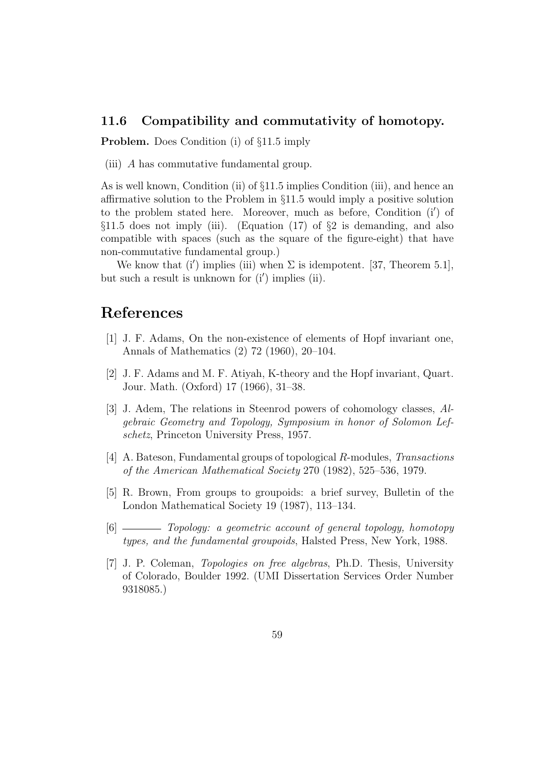### 11.6 Compatibility and commutativity of homotopy.

Problem. Does Condition (i) of §11.5 imply

(iii) A has commutative fundamental group.

As is well known, Condition (ii) of §11.5 implies Condition (iii), and hence an affirmative solution to the Problem in §11.5 would imply a positive solution to the problem stated here. Moreover, much as before, Condition (i') of  $\S11.5$  does not imply (iii). (Equation (17) of  $\S2$  is demanding, and also compatible with spaces (such as the square of the figure-eight) that have non-commutative fundamental group.)

We know that (i') implies (iii) when  $\Sigma$  is idempotent. [37, Theorem 5.1], but such a result is unknown for  $(i')$  implies  $(ii)$ .

## References

- [1] J. F. Adams, On the non-existence of elements of Hopf invariant one, Annals of Mathematics (2) 72 (1960), 20–104.
- [2] J. F. Adams and M. F. Atiyah, K-theory and the Hopf invariant, Quart. Jour. Math. (Oxford) 17 (1966), 31–38.
- [3] J. Adem, The relations in Steenrod powers of cohomology classes, Algebraic Geometry and Topology, Symposium in honor of Solomon Lefschetz, Princeton University Press, 1957.
- [4] A. Bateson, Fundamental groups of topological R-modules, Transactions of the American Mathematical Society 270 (1982), 525–536, 1979.
- [5] R. Brown, From groups to groupoids: a brief survey, Bulletin of the London Mathematical Society 19 (1987), 113–134.
- [6] Topology: a geometric account of general topology, homotopy types, and the fundamental groupoids, Halsted Press, New York, 1988.
- [7] J. P. Coleman, Topologies on free algebras, Ph.D. Thesis, University of Colorado, Boulder 1992. (UMI Dissertation Services Order Number 9318085.)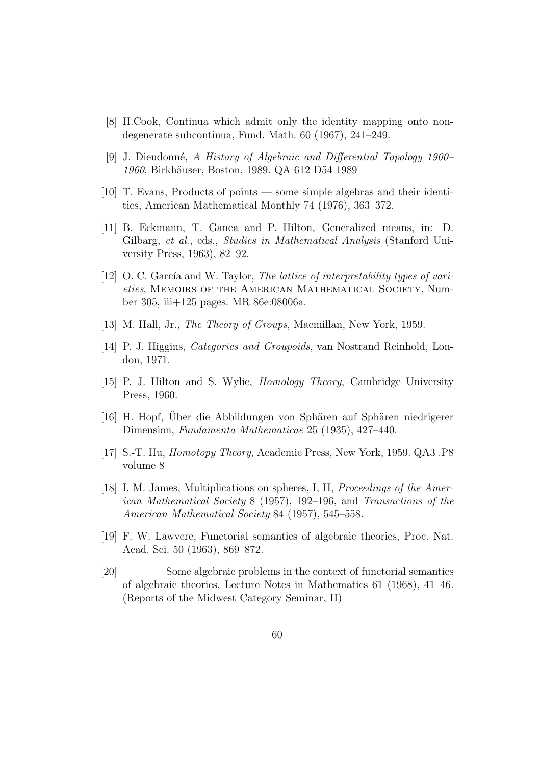- [8] H.Cook, Continua which admit only the identity mapping onto nondegenerate subcontinua, Fund. Math. 60 (1967), 241–249.
- [9] J. Dieudonn´e, A History of Algebraic and Differential Topology 1900– 1960, Birkhäuser, Boston, 1989. QA 612 D54 1989
- [10] T. Evans, Products of points some simple algebras and their identities, American Mathematical Monthly 74 (1976), 363–372.
- [11] B. Eckmann, T. Ganea and P. Hilton, Generalized means, in: D. Gilbarg, et al., eds., Studies in Mathematical Analysis (Stanford University Press, 1963), 82–92.
- $[12]$  O. C. García and W. Taylor, The lattice of interpretability types of varieties, MEMOIRS OF THE AMERICAN MATHEMATICAL SOCIETY, Number 305, iii+125 pages. MR 86e:08006a.
- [13] M. Hall, Jr., *The Theory of Groups*, Macmillan, New York, 1959.
- [14] P. J. Higgins, Categories and Groupoids, van Nostrand Reinhold, London, 1971.
- [15] P. J. Hilton and S. Wylie, Homology Theory, Cambridge University Press, 1960.
- [16] H. Hopf, Über die Abbildungen von Sphären auf Sphären niedrigerer Dimension, Fundamenta Mathematicae 25 (1935), 427–440.
- [17] S.-T. Hu, Homotopy Theory, Academic Press, New York, 1959. QA3 .P8 volume 8
- [18] I. M. James, Multiplications on spheres, I, II, Proceedings of the American Mathematical Society 8 (1957), 192–196, and Transactions of the American Mathematical Society 84 (1957), 545–558.
- [19] F. W. Lawvere, Functorial semantics of algebraic theories, Proc. Nat. Acad. Sci. 50 (1963), 869–872.
- [20] Some algebraic problems in the context of functorial semantics of algebraic theories, Lecture Notes in Mathematics 61 (1968), 41–46. (Reports of the Midwest Category Seminar, II)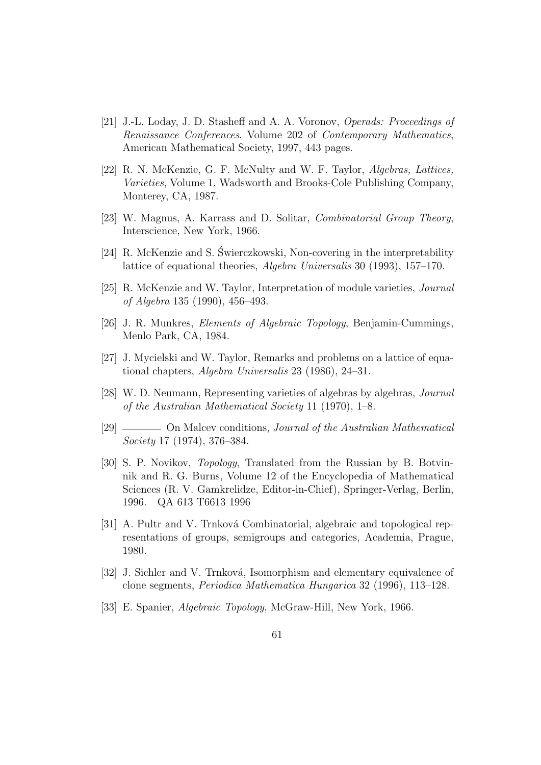- [21] J.-L. Loday, J. D. Stasheff and A. A. Voronov, Operads: Proceedings of Renaissance Conferences. Volume 202 of Contemporary Mathematics, American Mathematical Society, 1997, 443 pages.
- [22] R. N. McKenzie, G. F. McNulty and W. F. Taylor, Algebras, Lattices, Varieties, Volume 1, Wadsworth and Brooks-Cole Publishing Company, Monterey, CA, 1987.
- [23] W. Magnus, A. Karrass and D. Solitar, Combinatorial Group Theory, Interscience, New York, 1966.
- [24] R. McKenzie and S. Swierczkowski, Non-covering in the interpretability ´ lattice of equational theories, Algebra Universalis 30 (1993), 157–170.
- [25] R. McKenzie and W. Taylor, Interpretation of module varieties, Journal of Algebra 135 (1990), 456–493.
- [26] J. R. Munkres, Elements of Algebraic Topology, Benjamin-Cummings, Menlo Park, CA, 1984.
- [27] J. Mycielski and W. Taylor, Remarks and problems on a lattice of equational chapters, Algebra Universalis 23 (1986), 24–31.
- [28] W. D. Neumann, Representing varieties of algebras by algebras, Journal of the Australian Mathematical Society 11 (1970), 1–8.
- [29] On Malcev conditions, *Journal of the Australian Mathematical* Society 17 (1974), 376–384.
- [30] S. P. Novikov, Topology, Translated from the Russian by B. Botvinnik and R. G. Burns, Volume 12 of the Encyclopedia of Mathematical Sciences (R. V. Gamkrelidze, Editor-in-Chief), Springer-Verlag, Berlin, 1996. QA 613 T6613 1996
- [31] A. Pultr and V. Trnková Combinatorial, algebraic and topological representations of groups, semigroups and categories, Academia, Prague, 1980.
- [32] J. Sichler and V. Trnková, Isomorphism and elementary equivalence of clone segments, Periodica Mathematica Hungarica 32 (1996), 113–128.
- [33] E. Spanier, Algebraic Topology, McGraw-Hill, New York, 1966.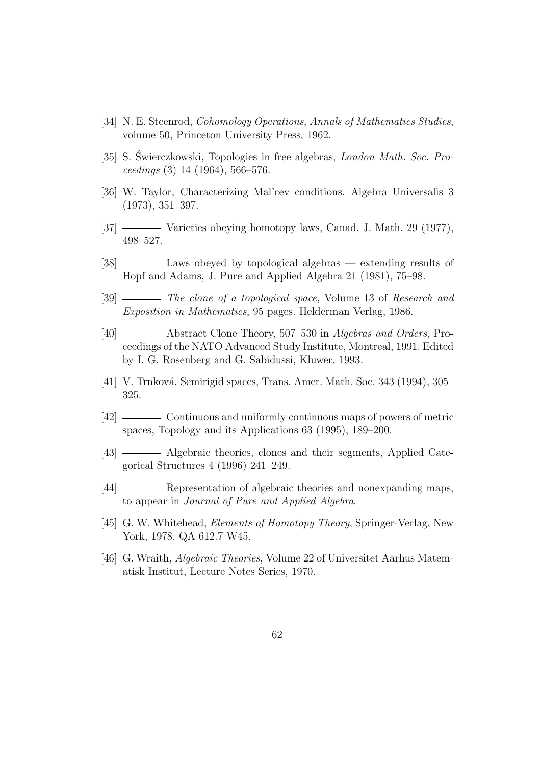- [34] N. E. Steenrod, Cohomology Operations, Annals of Mathematics Studies, volume 50, Princeton University Press, 1962.
- [35] S. Świerczkowski, Topologies in free algebras, *London Math. Soc. Pro* $ceedings (3) 14 (1964), 566-576.$
- [36] W. Taylor, Characterizing Mal'cev conditions, Algebra Universalis 3 (1973), 351–397.
- [37] Varieties obeying homotopy laws, Canad. J. Math. 29 (1977), 498–527.
- [38] ——— Laws obeyed by topological algebras extending results of Hopf and Adams, J. Pure and Applied Algebra 21 (1981), 75–98.
- [39] The clone of a topological space, Volume 13 of Research and Exposition in Mathematics, 95 pages. Helderman Verlag, 1986.
- [40] Abstract Clone Theory, 507–530 in Algebras and Orders, Proceedings of the NATO Advanced Study Institute, Montreal, 1991. Edited by I. G. Rosenberg and G. Sabidussi, Kluwer, 1993.
- [41] V. Trnková, Semirigid spaces, Trans. Amer. Math. Soc. 343 (1994), 305– 325.
- [42] Continuous and uniformly continuous maps of powers of metric spaces, Topology and its Applications 63 (1995), 189–200.
- [43] Algebraic theories, clones and their segments, Applied Categorical Structures 4 (1996) 241–249.
- [44] Representation of algebraic theories and nonexpanding maps, to appear in Journal of Pure and Applied Algebra.
- [45] G. W. Whitehead, *Elements of Homotopy Theory*, Springer-Verlag, New York, 1978. QA 612.7 W45.
- [46] G. Wraith, Algebraic Theories, Volume 22 of Universitet Aarhus Matematisk Institut, Lecture Notes Series, 1970.